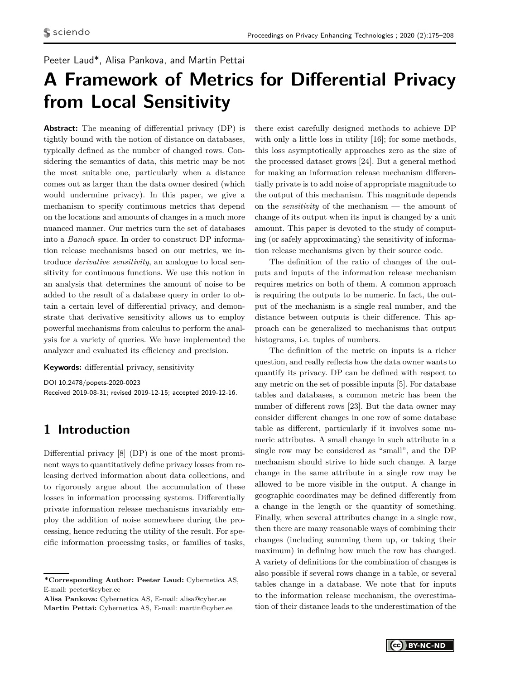# Peeter Laud\*, Alisa Pankova, and Martin Pettai

# **A Framework of Metrics for Differential Privacy from Local Sensitivity**

**Abstract:** The meaning of differential privacy (DP) is tightly bound with the notion of distance on databases, typically defined as the number of changed rows. Considering the semantics of data, this metric may be not the most suitable one, particularly when a distance comes out as larger than the data owner desired (which would undermine privacy). In this paper, we give a mechanism to specify continuous metrics that depend on the locations and amounts of changes in a much more nuanced manner. Our metrics turn the set of databases into a *Banach space*. In order to construct DP information release mechanisms based on our metrics, we introduce *derivative sensitivity*, an analogue to local sensitivity for continuous functions. We use this notion in an analysis that determines the amount of noise to be added to the result of a database query in order to obtain a certain level of differential privacy, and demonstrate that derivative sensitivity allows us to employ powerful mechanisms from calculus to perform the analysis for a variety of queries. We have implemented the analyzer and evaluated its efficiency and precision.

#### **Keywords:** differential privacy, sensitivity

DOI 10.2478/popets-2020-0023 Received 2019-08-31; revised 2019-12-15; accepted 2019-12-16.

# **1 Introduction**

Differential privacy [\[8\]](#page-16-0) (DP) is one of the most prominent ways to quantitatively define privacy losses from releasing derived information about data collections, and to rigorously argue about the accumulation of these losses in information processing systems. Differentially private information release mechanisms invariably employ the addition of noise somewhere during the processing, hence reducing the utility of the result. For specific information processing tasks, or families of tasks,

**Alisa Pankova:** Cybernetica AS, E-mail: alisa@cyber.ee **Martin Pettai:** Cybernetica AS, E-mail: martin@cyber.ee

there exist carefully designed methods to achieve DP with only a little loss in utility [\[16\]](#page-16-1); for some methods, this loss asymptotically approaches zero as the size of the processed dataset grows [\[24\]](#page-17-0). But a general method for making an information release mechanism differentially private is to add noise of appropriate magnitude to the output of this mechanism. This magnitude depends on the *sensitivity* of the mechanism — the amount of change of its output when its input is changed by a unit amount. This paper is devoted to the study of computing (or safely approximating) the sensitivity of information release mechanisms given by their source code.

The definition of the ratio of changes of the outputs and inputs of the information release mechanism requires metrics on both of them. A common approach is requiring the outputs to be numeric. In fact, the output of the mechanism is a single real number, and the distance between outputs is their difference. This approach can be generalized to mechanisms that output histograms, i.e. tuples of numbers.

The definition of the metric on inputs is a richer question, and really reflects how the data owner wants to quantify its privacy. DP can be defined with respect to any metric on the set of possible inputs [\[5\]](#page-16-2). For database tables and databases, a common metric has been the number of different rows [\[23\]](#page-16-3). But the data owner may consider different changes in one row of some database table as different, particularly if it involves some numeric attributes. A small change in such attribute in a single row may be considered as "small", and the DP mechanism should strive to hide such change. A large change in the same attribute in a single row may be allowed to be more visible in the output. A change in geographic coordinates may be defined differently from a change in the length or the quantity of something. Finally, when several attributes change in a single row, then there are many reasonable ways of combining their changes (including summing them up, or taking their maximum) in defining how much the row has changed. A variety of definitions for the combination of changes is also possible if several rows change in a table, or several tables change in a database. We note that for inputs to the information release mechanism, the overestimation of their distance leads to the underestimation of the

**<sup>\*</sup>Corresponding Author: Peeter Laud:** Cybernetica AS, E-mail: peeter@cyber.ee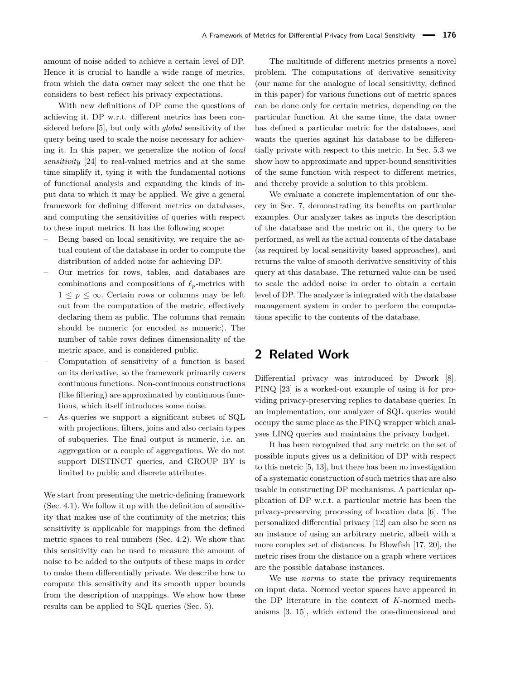amount of noise added to achieve a certain level of DP. Hence it is crucial to handle a wide range of metrics, from which the data owner may select the one that he considers to best reflect his privacy expectations.

With new definitions of DP come the questions of achieving it. DP w.r.t. different metrics has been considered before [\[5\]](#page-16-2), but only with *global* sensitivity of the query being used to scale the noise necessary for achieving it. In this paper, we generalize the notion of *local sensitivity* [\[24\]](#page-17-0) to real-valued metrics and at the same time simplify it, tying it with the fundamental notions of functional analysis and expanding the kinds of input data to which it may be applied. We give a general framework for defining different metrics on databases, and computing the sensitivities of queries with respect to these input metrics. It has the following scope:

- Being based on local sensitivity, we require the actual content of the database in order to compute the distribution of added noise for achieving DP.
- Our metrics for rows, tables, and databases are combinations and compositions of  $\ell_p$ -metrics with  $1 \leq p \leq \infty$ . Certain rows or columns may be left out from the computation of the metric, effectively declaring them as public. The columns that remain should be numeric (or encoded as numeric). The number of table rows defines dimensionality of the metric space, and is considered public.
- Computation of sensitivity of a function is based on its derivative, so the framework primarily covers continuous functions. Non-continuous constructions (like filtering) are approximated by continuous functions, which itself introduces some noise.
- As queries we support a significant subset of SQL with projections, filters, joins and also certain types of subqueries. The final output is numeric, i.e. an aggregation or a couple of aggregations. We do not support DISTINCT queries, and GROUP BY is limited to public and discrete attributes.

We start from presenting the metric-defining framework (Sec. [4.1\)](#page-4-0). We follow it up with the definition of sensitivity that makes use of the continuity of the metrics; this sensitivity is applicable for mappings from the defined metric spaces to real numbers (Sec. [4.2\)](#page-4-1). We show that this sensitivity can be used to measure the amount of noise to be added to the outputs of these maps in order to make them differentially private. We describe how to compute this sensitivity and its smooth upper bounds from the description of mappings. We show how these results can be applied to SQL queries (Sec. [5\)](#page-8-0).

The multitude of different metrics presents a novel problem. The computations of derivative sensitivity (our name for the analogue of local sensitivity, defined in this paper) for various functions out of metric spaces can be done only for certain metrics, depending on the particular function. At the same time, the data owner has defined a particular metric for the databases, and wants the queries against his database to be differentially private with respect to this metric. In Sec. [5.3](#page-9-0) we show how to approximate and upper-bound sensitivities of the same function with respect to different metrics, and thereby provide a solution to this problem.

We evaluate a concrete implementation of our theory in Sec. [7,](#page-12-0) demonstrating its benefits on particular examples. Our analyzer takes as inputs the description of the database and the metric on it, the query to be performed, as well as the actual contents of the database (as required by local sensitivity based approaches), and returns the value of smooth derivative sensitivity of this query at this database. The returned value can be used to scale the added noise in order to obtain a certain level of DP. The analyzer is integrated with the database management system in order to perform the computations specific to the contents of the database.

# **2 Related Work**

Differential privacy was introduced by Dwork [\[8\]](#page-16-0). PINQ [\[23\]](#page-16-3) is a worked-out example of using it for providing privacy-preserving replies to database queries. In an implementation, our analyzer of SQL queries would occupy the same place as the PINQ wrapper which analyses LINQ queries and maintains the privacy budget.

It has been recognized that any metric on the set of possible inputs gives us a definition of DP with respect to this metric [\[5,](#page-16-2) [13\]](#page-16-4), but there has been no investigation of a systematic construction of such metrics that are also usable in constructing DP mechanisms. A particular application of DP w.r.t. a particular metric has been the privacy-preserving processing of location data [\[6\]](#page-16-5). The personalized differential privacy [\[12\]](#page-16-6) can also be seen as an instance of using an arbitrary metric, albeit with a more complex set of distances. In Blowfish [\[17,](#page-16-7) [20\]](#page-16-8), the metric rises from the distance on a graph where vertices are the possible database instances.

We use *norms* to state the privacy requirements on input data. Normed vector spaces have appeared in the DP literature in the context of *K*-normed mechanisms [\[3,](#page-16-9) [15\]](#page-16-10), which extend the one-dimensional and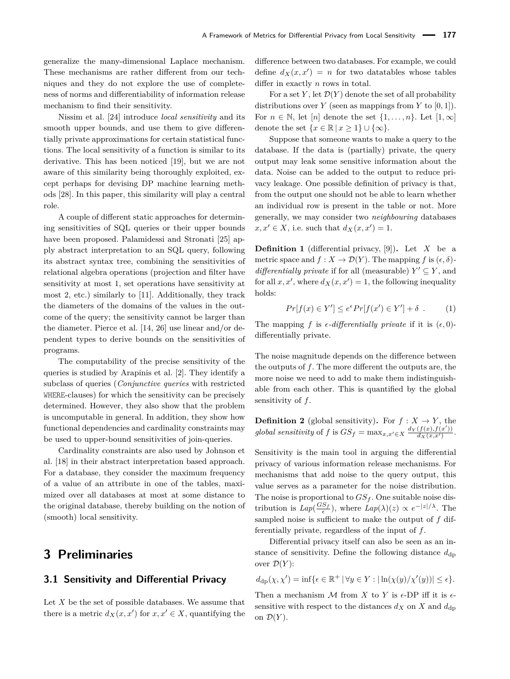generalize the many-dimensional Laplace mechanism. These mechanisms are rather different from our techniques and they do not explore the use of completeness of norms and differentiability of information release mechanism to find their sensitivity.

Nissim et al. [\[24\]](#page-17-0) introduce *local sensitivity* and its smooth upper bounds, and use them to give differentially private approximations for certain statistical functions. The local sensitivity of a function is similar to its derivative. This has been noticed [\[19\]](#page-16-11), but we are not aware of this similarity being thoroughly exploited, except perhaps for devising DP machine learning methods [\[28\]](#page-17-1). In this paper, this similarity will play a central role.

A couple of different static approaches for determining sensitivities of SQL queries or their upper bounds have been proposed. Palamidessi and Stronati [\[25\]](#page-17-2) apply abstract interpretation to an SQL query, following its abstract syntax tree, combining the sensitivities of relational algebra operations (projection and filter have sensitivity at most 1, set operations have sensitivity at most 2, etc.) similarly to [\[11\]](#page-16-12). Additionally, they track the diameters of the domains of the values in the outcome of the query; the sensitivity cannot be larger than the diameter. Pierce et al. [\[14,](#page-16-13) [26\]](#page-17-3) use linear and/or dependent types to derive bounds on the sensitivities of programs.

The computability of the precise sensitivity of the queries is studied by Arapinis et al. [\[2\]](#page-16-14). They identify a subclass of queries (*Conjunctive queries* with restricted WHERE-clauses) for which the sensitivity can be precisely determined. However, they also show that the problem is uncomputable in general. In addition, they show how functional dependencies and cardinality constraints may be used to upper-bound sensitivities of join-queries.

Cardinality constraints are also used by Johnson et al. [\[18\]](#page-16-15) in their abstract interpretation based approach. For a database, they consider the maximum frequency of a value of an attribute in one of the tables, maximized over all databases at most at some distance to the original database, thereby building on the notion of (smooth) local sensitivity.

# **3 Preliminaries**

#### <span id="page-2-0"></span>**3.1 Sensitivity and Differential Privacy**

Let *X* be the set of possible databases. We assume that there is a metric  $d_X(x, x')$  for  $x, x' \in X$ , quantifying the difference between two databases. For example, we could define  $d_X(x, x') = n$  for two datatables whose tables differ in exactly *n* rows in total.

For a set Y, let  $\mathcal{D}(Y)$  denote the set of all probability distributions over *Y* (seen as mappings from *Y* to  $[0, 1]$ ). For  $n \in \mathbb{N}$ , let  $[n]$  denote the set  $\{1, \ldots, n\}$ . Let  $[1, \infty]$ denote the set  $\{x \in \mathbb{R} \mid x \geq 1\} \cup \{\infty\}.$ 

Suppose that someone wants to make a query to the database. If the data is (partially) private, the query output may leak some sensitive information about the data. Noise can be added to the output to reduce privacy leakage. One possible definition of privacy is that, from the output one should not be able to learn whether an individual row is present in the table or not. More generally, we may consider two *neighbouring* databases  $x, x' \in X$ , i.e. such that  $d_X(x, x') = 1$ .

<span id="page-2-1"></span>**Definition 1** (differential privacy, [\[9\]](#page-16-16))**.** Let *X* be a metric space and  $f: X \to \mathcal{D}(Y)$ . The mapping f is  $(\epsilon, \delta)$ *differentially private* if for all (measurable)  $Y' \subseteq Y$ , and for all  $x, x'$ , where  $d_X(x, x') = 1$ , the following inequality holds:

<span id="page-2-2"></span>
$$
Pr[f(x) \in Y'] \le e^{\epsilon} Pr[f(x') \in Y'] + \delta . \tag{1}
$$

The mapping *f* is  $\epsilon$ -differentially private if it is  $(\epsilon, 0)$ differentially private.

The noise magnitude depends on the difference between the outputs of *f*. The more different the outputs are, the more noise we need to add to make them indistinguishable from each other. This is quantified by the global sensitivity of *f*.

**Definition 2** (global sensitivity). For  $f : X \to Y$ , the *global sensitivity* of *f* is  $GS_f = \max_{x,x'\in X} \frac{d_Y(f(x),f(x'))}{d_X(x,x')}$ .

Sensitivity is the main tool in arguing the differential privacy of various information release mechanisms. For mechanisms that add noise to the query output, this value serves as a parameter for the noise distribution. The noise is proportional to *GS<sup>f</sup>* . One suitable noise distribution is  $Lap(\frac{GS_f}{\epsilon})$ , where  $Lap(\lambda)(z) \propto e^{-|z|/\lambda}$ . The sampled noise is sufficient to make the output of *f* differentially private, regardless of the input of *f*.

Differential privacy itself can also be seen as an instance of sensitivity. Define the following distance  $d_{dp}$ over  $\mathcal{D}(Y)$ :

$$
d_{\mathrm{dp}}(\chi, \chi') = \inf \{ \epsilon \in \mathbb{R}^+ \, | \, \forall y \in Y : |\ln(\chi(y)/\chi'(y))| \le \epsilon \}.
$$

Then a mechanism  $M$  from  $X$  to  $Y$  is  $\epsilon$ -DP iff it is  $\epsilon$ sensitive with respect to the distances  $d_X$  on  $X$  and  $d_{dp}$ on  $\mathcal{D}(Y)$ .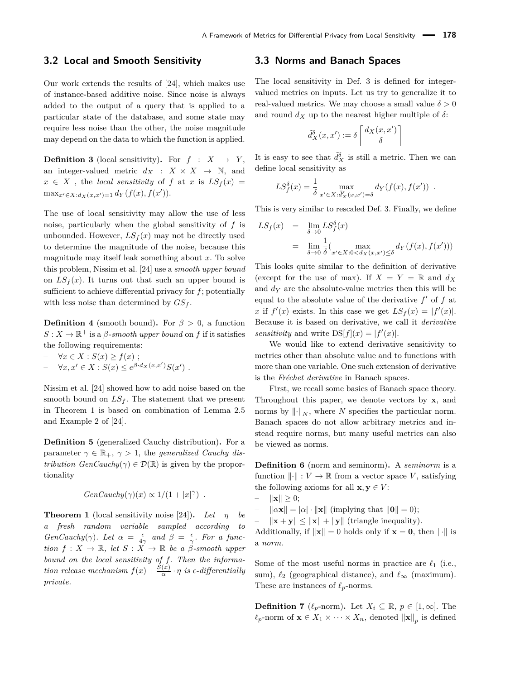### **3.2 Local and Smooth Sensitivity**

Our work extends the results of [\[24\]](#page-17-0), which makes use of instance-based additive noise. Since noise is always added to the output of a query that is applied to a particular state of the database, and some state may require less noise than the other, the noise magnitude may depend on the data to which the function is applied.

<span id="page-3-1"></span>**Definition 3** (local sensitivity). For  $f : X \rightarrow Y$ , an integer-valued metric  $d_X$  :  $X \times X \rightarrow \mathbb{N}$ , and  $x \in X$ , the *local sensitivity* of *f* at *x* is  $LS_f(x) =$  $\max_{x' \in X: d_X(x, x') = 1} d_Y(f(x), f(x')).$ 

The use of local sensitivity may allow the use of less noise, particularly when the global sensitivity of *f* is unbounded. However,  $LS_f(x)$  may not be directly used to determine the magnitude of the noise, because this magnitude may itself leak something about *x*. To solve this problem, Nissim et al. [\[24\]](#page-17-0) use a *smooth upper bound* on  $LS_f(x)$ . It turns out that such an upper bound is sufficient to achieve differential privacy for *f*; potentially with less noise than determined by  $GS_f$ .

<span id="page-3-2"></span>**Definition 4** (smooth bound). For  $\beta > 0$ , a function  $S: X \to \mathbb{R}^+$  is a *β*-smooth upper bound on *f* if it satisfies the following requirements:

- $∀x ∈ X : S(x) ≥ f(x);$
- $-$  ∀*x*, *x*' ∈ *X* : *S*(*x*) ≤  $e^{\beta \cdot d_X(x,x')} S(x')$ .

Nissim et al. [\[24\]](#page-17-0) showed how to add noise based on the smooth bound on  $LS_f$ . The statement that we present in Theorem [1](#page-3-0) is based on combination of Lemma 2.5 and Example 2 of [\[24\]](#page-17-0).

**Definition 5** (generalized Cauchy distribution)**.** For a parameter  $\gamma \in \mathbb{R}_+$ ,  $\gamma > 1$ , the *generalized Cauchy distribution*  $GenCauchy(\gamma) \in \mathcal{D}(\mathbb{R})$  is given by the proportionality

$$
GenCauchy(\gamma)(x) \propto 1/(1+|x|^{\gamma}).
$$

<span id="page-3-0"></span>**Theorem 1** (local sensitivity noise [\[24\]](#page-17-0)). *Let*  $\eta$  *be a fresh random variable sampled according to GenCauchy*( $\gamma$ )*. Let*  $\alpha = \frac{\epsilon}{4\gamma}$  *and*  $\beta = \frac{\epsilon}{\gamma}$ *. For a function*  $f: X \to \mathbb{R}$ *, let*  $S: X \to \mathbb{R}$  *be a*  $\beta$ *-smooth upper bound on the local sensitivity of f. Then the information release mechanism*  $f(x) + \frac{S(x)}{\alpha} \cdot \eta$  *is*  $\epsilon$ -differentially *private.*

### **3.3 Norms and Banach Spaces**

The local sensitivity in Def. [3](#page-3-1) is defined for integervalued metrics on inputs. Let us try to generalize it to real-valued metrics. We may choose a small value  $\delta > 0$ and round  $d_X$  up to the nearest higher multiple of  $\delta$ :

$$
\tilde{d}^{\delta}_X(x, x') := \delta \left[ \frac{d_X(x, x')}{\delta} \right]
$$

It is easy to see that  $\tilde{d}_{X}^{\delta}$  is still a metric. Then we can define local sensitivity as

$$
LS_{f}^{\delta}(x) = \frac{1}{\delta} \max_{x' \in X : \tilde{d}_{X}^{\delta}(x, x') = \delta} d_{Y}(f(x), f(x')) .
$$

This is very similar to rescaled Def. [3.](#page-3-1) Finally, we define

$$
LS_f(x) = \lim_{\delta \to 0} LS_f^{\delta}(x)
$$
  
= 
$$
\lim_{\delta \to 0} \frac{1}{\delta} (\max_{x' \in X: 0 < d_X(x, x') \le \delta} d_Y(f(x), f(x')))
$$

This looks quite similar to the definition of derivative (except for the use of max). If  $X = Y = \mathbb{R}$  and  $d_X$ and  $d<sub>Y</sub>$  are the absolute-value metrics then this will be equal to the absolute value of the derivative  $f'$  of  $f$  at x if  $f'(x)$  exists. In this case we get  $LS_f(x) = |f'(x)|$ . Because it is based on derivative, we call it *derivative sensitivity* and write  $DS[f](x) = |f'(x)|$ .

We would like to extend derivative sensitivity to metrics other than absolute value and to functions with more than one variable. One such extension of derivative is the *Fréchet derivative* in Banach spaces.

First, we recall some basics of Banach space theory. Throughout this paper, we denote vectors by **x**, and norms by  $\|\cdot\|_N$ , where *N* specifies the particular norm. Banach spaces do not allow arbitrary metrics and instead require norms, but many useful metrics can also be viewed as norms.

**Definition 6** (norm and seminorm)**.** A *seminorm* is a function  $\|\cdot\| : V \to \mathbb{R}$  from a vector space *V*, satisfying the following axioms for all  $\mathbf{x}, \mathbf{y} \in V$ :

- $\|\mathbf{x}\| > 0$ ;
- $\|\alpha \mathbf{x}\| = |\alpha| \cdot \|\mathbf{x}\|$  (implying that  $\|\mathbf{0}\| = 0$ );
- $\|\mathbf{x} + \mathbf{y}\| \leq \|\mathbf{x}\| + \|\mathbf{y}\|$  (triangle inequality).

Additionally, if  $\|\mathbf{x}\| = 0$  holds only if  $\mathbf{x} = \mathbf{0}$ , then  $\|\cdot\|$  is a *norm*.

Some of the most useful norms in practice are  $\ell_1$  (i.e., sum),  $\ell_2$  (geographical distance), and  $\ell_{\infty}$  (maximum). These are instances of  $\ell_p$ -norms.

**Definition 7** ( $\ell_p$ -norm). Let  $X_i \subseteq \mathbb{R}, p \in [1, \infty]$ . The  $\ell_p$ -norm of  $\mathbf{x} \in X_1 \times \cdots \times X_n$ , denoted  $\|\mathbf{x}\|_p$  is defined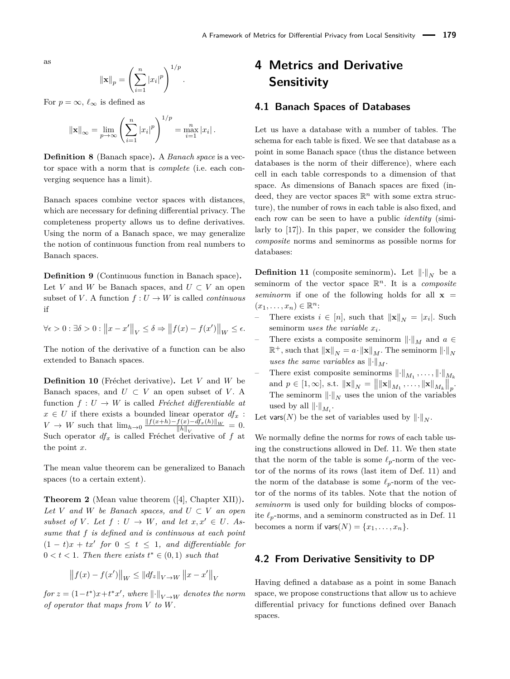as

$$
\|\mathbf{x}\|_{p} = \left(\sum_{i=1}^{n} |x_{i}|^{p}\right)^{1/p}.
$$

For  $p = \infty$ ,  $\ell_{\infty}$  is defined as

$$
\|\mathbf{x}\|_{\infty} = \lim_{p \to \infty} \left( \sum_{i=1}^{n} |x_i|^p \right)^{1/p} = \max_{i=1}^{n} |x_i|.
$$

**Definition 8** (Banach space)**.** A *Banach space* is a vector space with a norm that is *complete* (i.e. each converging sequence has a limit).

Banach spaces combine vector spaces with distances, which are necessary for defining differential privacy. The completeness property allows us to define derivatives. Using the norm of a Banach space, we may generalize the notion of continuous function from real numbers to Banach spaces.

**Definition 9** (Continuous function in Banach space)**.** Let *V* and *W* be Banach spaces, and  $U \subset V$  an open subset of *V*. A function  $f: U \to W$  is called *continuous* if

$$
\forall \epsilon > 0 : \exists \delta > 0 : ||x - x'||_V \le \delta \Rightarrow ||f(x) - f(x')||_W \le \epsilon.
$$

The notion of the derivative of a function can be also extended to Banach spaces.

**Definition 10** (Fréchet derivative)**.** Let *V* and *W* be Banach spaces, and  $U \subset V$  an open subset of *V*. A function  $f: U \to W$  is called *Fréchet differentiable at*  $x \in U$  if there exists a bounded linear operator  $df_x$ :  $V \rightarrow W$  such that  $\lim_{h\rightarrow 0} \frac{\|f(x+h)-f(x)-df_x(h)\|_W}{\|h\|_{\infty}}$  $\frac{\|h\|_V}{\|h\|_V} = 0.$ Such operator  $df_x$  is called Fréchet derivative of  $f$  at the point *x*.

The mean value theorem can be generalized to Banach spaces (to a certain extent).

<span id="page-4-4"></span>**Theorem 2** (Mean value theorem ([\[4\]](#page-16-17), Chapter XII))**.** Let *V* and *W* be Banach spaces, and  $U \subset V$  an open *subset of V. Let*  $f: U \rightarrow W$ *, and let*  $x, x' \in U$ *. Assume that f is defined and is continuous at each point*  $(1-t)x + tx'$  for  $0 \le t \le 1$ , and differentiable for  $0 < t < 1$ . Then there exists  $t^* \in (0,1)$  such that

$$
\left\|f(x) - f(x')\right\|_{W} \leq \|df_{z}\|_{V \to W} \|x - x'\|_{V}
$$

 $for z = (1-t^*)x+t^*x'$ , where  $\|\cdot\|_{V\to W}$  denotes the norm *of operator that maps from V to W.*

# <span id="page-4-3"></span>**4 Metrics and Derivative Sensitivity**

# <span id="page-4-0"></span>**4.1 Banach Spaces of Databases**

Let us have a database with a number of tables. The schema for each table is fixed. We see that database as a point in some Banach space (thus the distance between databases is the norm of their difference), where each cell in each table corresponds to a dimension of that space. As dimensions of Banach spaces are fixed (indeed, they are vector spaces  $\mathbb{R}^n$  with some extra structure), the number of rows in each table is also fixed, and each row can be seen to have a public *identity* (similarly to [\[17\]](#page-16-7)). In this paper, we consider the following *composite* norms and seminorms as possible norms for databases:

<span id="page-4-2"></span>**Definition 11** (composite seminorm). Let  $\|\cdot\|_N$  be a seminorm of the vector space R *<sup>n</sup>*. It is a *composite seminorm* if one of the following holds for all  $x =$  $(x_1, \ldots, x_n) \in \mathbb{R}^n$ :

- − There exists  $i \in [n]$ , such that  $\|\mathbf{x}\|_N = |x_i|$ . Such seminorm *uses the variable x<sup>i</sup>* .
- There exists a composite seminorm  $\left\| \cdot \right\|_M$  and  $a \in$  $\mathbb{R}^+$ , such that  $\|\mathbf{x}\|_N = a \cdot \|\mathbf{x}\|_M$ . The seminorm  $\|\cdot\|_N$ *uses the same variables* as  $\lVert \cdot \rVert_M$ .
- $-$  There exist composite seminorms  $\left\| \cdot \right\|_{M_1}, \ldots, \left\| \cdot \right\|_{M_k}$ and  $p \in [1, \infty]$ , s.t.  $\|\mathbf{x}\|_{N} = \|\|\mathbf{x}\|_{M_1}, \dots, \|\mathbf{x}\|_{M_k}\|_{p}$ . The seminorm  $\lVert \cdot \rVert_N$  uses the union of the variables used by all  $\left\| \cdot \right\|_{M_i}$ .

Let vars(*N*) be the set of variables used by  $\lVert \cdot \rVert_N$ .

We normally define the norms for rows of each table using the constructions allowed in Def. [11.](#page-4-2) We then state that the norm of the table is some  $\ell_p$ -norm of the vector of the norms of its rows (last item of Def. [11\)](#page-4-2) and the norm of the database is some  $\ell_p$ -norm of the vector of the norms of its tables. Note that the notion of *seminorm* is used only for building blocks of composite  $\ell_p$ -norms, and a seminorm constructed as in Def. [11](#page-4-2) becomes a norm if  $\text{vars}(N) = \{x_1, \ldots, x_n\}.$ 

# <span id="page-4-1"></span>**4.2 From Derivative Sensitivity to DP**

Having defined a database as a point in some Banach space, we propose constructions that allow us to achieve differential privacy for functions defined over Banach spaces.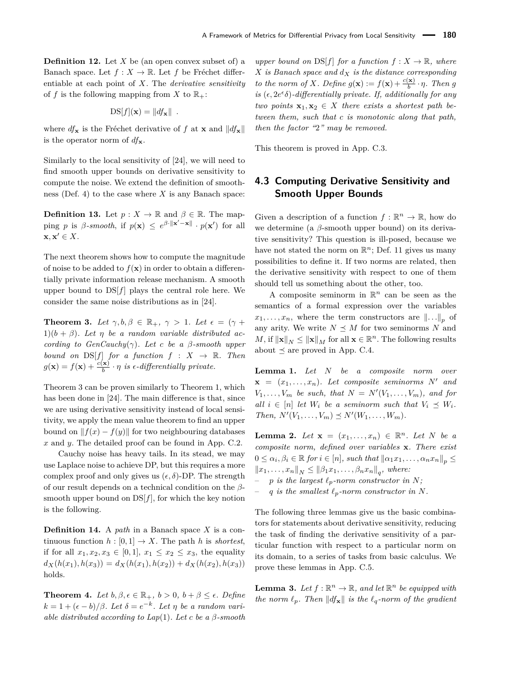**Definition 12.** Let *X* be (an open convex subset of) a Banach space. Let  $f: X \to \mathbb{R}$ . Let *f* be Fréchet differentiable at each point of *X*. The *derivative sensitivity* of f is the following mapping from X to  $\mathbb{R}_+$ :

$$
DS[f](\mathbf{x}) = ||df_{\mathbf{x}}||.
$$

where  $df_x$  is the Fréchet derivative of f at **x** and  $||df_x||$ is the operator norm of  $df_{\mathbf{x}}$ .

Similarly to the local sensitivity of [\[24\]](#page-17-0), we will need to find smooth upper bounds on derivative sensitivity to compute the noise. We extend the definition of smoothness (Def. [4\)](#page-3-2) to the case where *X* is any Banach space:

<span id="page-5-2"></span>**Definition 13.** Let  $p: X \to \mathbb{R}$  and  $\beta \in \mathbb{R}$ . The mapping *p* is *β*-*smooth*, if  $p(\mathbf{x}) \leq e^{\beta \cdot ||\mathbf{x}' - \mathbf{x}||} \cdot p(\mathbf{x}')$  for all  $\mathbf{x}, \mathbf{x}' \in X$ .

The next theorem shows how to compute the magnitude of noise to be added to  $f(\mathbf{x})$  in order to obtain a differentially private information release mechanism. A smooth upper bound to DS[*f*] plays the central role here. We consider the same noise distributions as in [\[24\]](#page-17-0).

<span id="page-5-0"></span>**Theorem 3.** Let  $\gamma, b, \beta \in \mathbb{R}_+$ ,  $\gamma > 1$ . Let  $\epsilon = (\gamma + \beta)$ 1) $(b + \beta)$ *. Let*  $\eta$  *be a random variable distributed according to*  $GenCauchy(\gamma)$ *. Let c be a*  $\beta$ *-smooth upper bound on*  $DS[f]$  *for a function*  $f : X \rightarrow \mathbb{R}$ *. Then*  $g(\mathbf{x}) = f(\mathbf{x}) + \frac{c(\mathbf{x})}{b} \cdot \eta$  *is*  $\epsilon$ -differentially private.

Theorem [3](#page-5-0) can be proven similarly to Theorem [1,](#page-3-0) which has been done in [\[24\]](#page-17-0). The main difference is that, since we are using derivative sensitivity instead of local sensitivity, we apply the mean value theorem to find an upper bound on  $||f(x) - f(y)||$  for two neighbouring databases *x* and *y*. The detailed proof can be found in App. [C.2.](#page-25-0)

Cauchy noise has heavy tails. In its stead, we may use Laplace noise to achieve DP, but this requires a more complex proof and only gives us  $(\epsilon, \delta)$ -DP. The strength of our result depends on a technical condition on the *β*smooth upper bound on DS[*f*], for which the key notion is the following.

**Definition 14.** A *path* in a Banach space *X* is a continuous function  $h : [0, 1] \rightarrow X$ . The path *h* is *shortest*, if for all  $x_1, x_2, x_3 \in [0, 1], x_1 \leq x_2 \leq x_3$ , the equality  $d_X(h(x_1), h(x_3)) = d_X(h(x_1), h(x_2)) + d_X(h(x_2), h(x_3))$ holds.

<span id="page-5-6"></span>**Theorem 4.** *Let*  $b, \beta, \epsilon \in \mathbb{R}_+$ ,  $b > 0$ ,  $b + \beta \leq \epsilon$ . *Define*  $k = 1 + (\epsilon - b)/\beta$ . Let  $\delta = e^{-k}$ . Let  $\eta$  be a random vari*able distributed according to*  $Lap(1)$ *. Let c be a*  $\beta$ *-smooth*  *upper bound on*  $DS[f]$  *for a function*  $f: X \to \mathbb{R}$ *, where X is Banach space and d<sup>X</sup> is the distance corresponding to the norm of X. Define*  $g(\mathbf{x}) := f(\mathbf{x}) + \frac{c(\mathbf{x})}{b} \cdot \eta$ *. Then g is*  $(\epsilon, 2e^{\epsilon}\delta)$ -differentially private. If, additionally for any *two points*  $\mathbf{x}_1, \mathbf{x}_2 \in X$  *there exists a shortest path between them, such that c is monotonic along that path, then the factor "*2*" may be removed.*

This theorem is proved in App. [C.3.](#page-25-1)

# <span id="page-5-3"></span>**4.3 Computing Derivative Sensitivity and Smooth Upper Bounds**

Given a description of a function  $f : \mathbb{R}^n \to \mathbb{R}$ , how do we determine (a *β*-smooth upper bound) on its derivative sensitivity? This question is ill-posed, because we have not stated the norm on  $\mathbb{R}^n$ ; Def. [11](#page-4-2) gives us many possibilities to define it. If two norms are related, then the derivative sensitivity with respect to one of them should tell us something about the other, too.

A composite seminorm in  $\mathbb{R}^n$  can be seen as the semantics of a formal expression over the variables  $x_1, \ldots, x_n$ , where the term constructors are  $\|\ldots\|_p$  of any arity. We write  $N \preceq M$  for two seminorms N and  $M$ , if  $\|\mathbf{x}\|_N \leq \|\mathbf{x}\|_M$  for all  $\mathbf{x} \in \mathbb{R}^n$ . The following results about  $\preceq$  are proved in App. [C.4.](#page-28-0)

<span id="page-5-5"></span>**Lemma 1.** *Let N be a composite norm over*  $\mathbf{x} = (x_1, \ldots, x_n)$ . Let composite seminorms N' and  $V_1, \ldots, V_m$  *be such, that*  $N = N'(V_1, \ldots, V_m)$ *, and for all*  $i \in [n]$  *let*  $W_i$  *be a seminorm such that*  $V_i \preceq W_i$ *. Then,*  $N'(V_1, \ldots, V_m) \preceq N'(W_1, \ldots, W_m)$ .

<span id="page-5-4"></span>**Lemma 2.** *Let*  $\mathbf{x} = (x_1, \ldots, x_n) \in \mathbb{R}^n$ . *Let N be a composite norm, defined over variables* **x***. There exist*  $0 \leq \alpha_i, \beta_i \in \mathbb{R}$  for  $i \in [n]$ , such that  $\|\alpha_1 x_1, \dots, \alpha_n x_n\|_p \leq$  $||x_1, \ldots, x_n||_N \leq ||\beta_1 x_1, \ldots, \beta_n x_n||_q$ , where:

- $p$  *is the largest*  $\ell_p$ *-norm constructor in*  $N$ *;*
- q is the smallest  $\ell_p$ -norm constructor in N.

The following three lemmas give us the basic combinators for statements about derivative sensitivity, reducing the task of finding the derivative sensitivity of a particular function with respect to a particular norm on its domain, to a series of tasks from basic calculus. We prove these lemmas in App. [C.5.](#page-29-0)

<span id="page-5-1"></span>**Lemma 3.** Let  $f : \mathbb{R}^n \to \mathbb{R}$ , and let  $\mathbb{R}^n$  be equipped with *the norm*  $\ell_p$ *. Then*  $\|df_{\mathbf{x}}\|$  *is the*  $\ell_q$ *-norm of the gradient*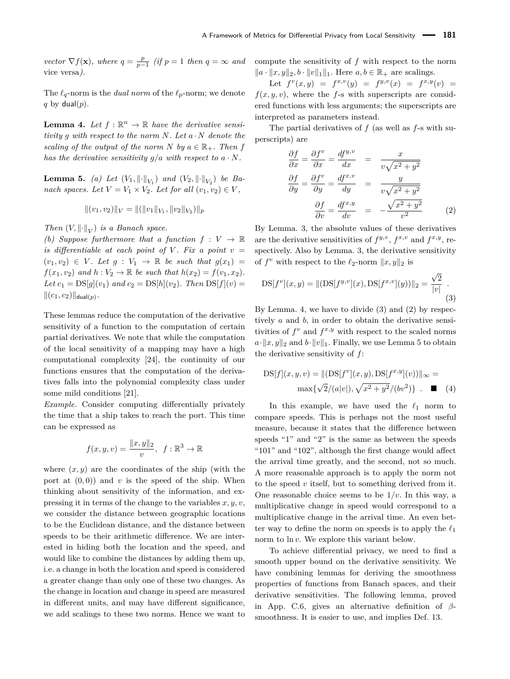*vector*  $\nabla f(\mathbf{x})$ *, where*  $q = \frac{p}{p-1}$  (if  $p = 1$  then  $q = \infty$  and vice versa*).*

The  $\ell_q$ -norm is the *dual norm* of the  $\ell_p$ -norm; we denote  $q$  by dual( $p$ ).

<span id="page-6-0"></span>**Lemma 4.** Let  $f : \mathbb{R}^n \to \mathbb{R}$  have the derivative sensi*tivity g with respect to the norm N. Let a* · *N denote the scaling of the output of the norm*  $N$  *by*  $a \in \mathbb{R}_+$ *. Then f has the derivative sensitivity*  $q/a$  *with respect to*  $a \cdot N$ *.* 

<span id="page-6-3"></span>**Lemma 5.** *(a)* Let  $(V_1, \|\cdot\|_{V_1})$  and  $(V_2, \|\cdot\|_{V_2})$  be Ba*nach spaces. Let*  $V = V_1 \times V_2$ *. Let for all*  $(v_1, v_2) \in V$ *,* 

$$
||(v_1, v_2)||_V = ||(||v_1||_{V_1}, ||v_2||_{V_2})||_p
$$

*Then*  $(V, \|\cdot\|_V)$  *is a Banach space.* 

*(b)* Suppose furthermore that a function  $f: V \to \mathbb{R}$ *is differentiable at each point of*  $V$ *. Fix a point*  $v =$  $(v_1, v_2) \in V$ . Let  $g: V_1 \rightarrow \mathbb{R}$  be such that  $g(x_1) =$ *f*(*x*<sub>1</sub>*, v*<sub>2</sub>) *and h* :  $V_2 \to \mathbb{R}$  *be such that*  $h(x_2) = f(v_1, x_2)$ *. Let*  $c_1 = DS[g](v_1)$  *and*  $c_2 = DS[h](v_2)$ *. Then*  $DS[f](v) =$  $||(c_1, c_2)||_{\text{dual}(p)}$ .

These lemmas reduce the computation of the derivative sensitivity of a function to the computation of certain partial derivatives. We note that while the computation of the local sensitivity of a mapping may have a high computational complexity [\[24\]](#page-17-0), the continuity of our functions ensures that the computation of the derivatives falls into the polynomial complexity class under some mild conditions [\[21\]](#page-16-18).

*Example.* Consider computing differentially privately the time that a ship takes to reach the port. This time can be expressed as

$$
f(x, y, v) = \frac{\|x, y\|_2}{v}, \ f: \mathbb{R}^3 \to \mathbb{R}
$$

where  $(x, y)$  are the coordinates of the ship (with the port at  $(0,0)$  and  $v$  is the speed of the ship. When thinking about sensitivity of the information, and expressing it in terms of the change to the variables *x, y, v*, we consider the distance between geographic locations to be the Euclidean distance, and the distance between speeds to be their arithmetic difference. We are interested in hiding both the location and the speed, and would like to combine the distances by adding them up, i.e. a change in both the location and speed is considered a greater change than only one of these two changes. As the change in location and change in speed are measured in different units, and may have different significance, we add scalings to these two norms. Hence we want to compute the sensitivity of *f* with respect to the norm  $\|a \cdot \|x, y\|_2, b \cdot \|v\|_1\|_1$ . Here  $a, b \in \mathbb{R}_+$  are scalings.

Let  $f^v(x, y) = f^{x, v}(y) = f^{y, v}(x) = f^{x, y}(v) =$  $f(x, y, v)$ , where the *f*-s with superscripts are considered functions with less arguments; the superscripts are interpreted as parameters instead.

The partial derivatives of *f* (as well as *f*-s with superscripts) are

<span id="page-6-2"></span>
$$
\frac{\partial f}{\partial x} = \frac{\partial f^v}{\partial x} = \frac{df^{y,v}}{dx} = \frac{x}{v\sqrt{x^2 + y^2}}
$$

$$
\frac{\partial f}{\partial y} = \frac{\partial f^v}{\partial y} = \frac{df^{x,v}}{dy} = \frac{y}{v\sqrt{x^2 + y^2}}
$$

$$
\frac{\partial f}{\partial v} = \frac{df^{x,y}}{dv} = -\frac{\sqrt{x^2 + y^2}}{v^2}
$$
(2)

By Lemma. [3,](#page-5-1) the absolute values of these derivatives are the derivative sensitivities of  $f^{y,v}$ ,  $f^{x,v}$  and  $f^{x,y}$ , respectively. Also by Lemma. [3,](#page-5-1) the derivative sensitivity of  $f^v$  with respect to the  $\ell_2$ -norm  $\|x, y\|_2$  is

<span id="page-6-1"></span>
$$
DS[f^v](x, y) = ||(DS[f^{y,v}](x), DS[f^{x,v}](y))||_2 = \frac{\sqrt{2}}{|v|}.
$$
\n(3)

By Lemma. [4,](#page-6-0) we have to divide [\(3\)](#page-6-1) and [\(2\)](#page-6-2) by respectively *a* and *b*, in order to obtain the derivative sensitivities of  $f^v$  and  $f^{x,y}$  with respect to the scaled norms  $a \cdot ||x, y||_2$  and  $b \cdot ||y||_1$ . Finally, we use Lemma [5](#page-6-3) to obtain the derivative sensitivity of *f*:

$$
DS[f](x, y, v) = ||(DS[fv](x, y), DS[fx,y](v))||_{\infty} =
$$
  
max{ $\sqrt{2}/(a|v|), \sqrt{x^2 + y^2}/(bv^2)$ } .  $\blacksquare$  (4)

In this example, we have used the  $\ell_1$  norm to compare speeds. This is perhaps not the most useful measure, because it states that the difference between speeds "1" and "2" is the same as between the speeds "101" and "102", although the first change would affect the arrival time greatly, and the second, not so much. A more reasonable approach is to apply the norm not to the speed *v* itself, but to something derived from it. One reasonable choice seems to be  $1/v$ . In this way, a multiplicative change in speed would correspond to a multiplicative change in the arrival time. An even better way to define the norm on speeds is to apply the  $\ell_1$ norm to ln *v*. We explore this variant below.

To achieve differential privacy, we need to find a smooth upper bound on the derivative sensitivity. We have combining lemmas for deriving the smoothness properties of functions from Banach spaces, and their derivative sensitivities. The following lemma, proved in App. [C.6,](#page-30-0) gives an alternative definition of *β*smoothness. It is easier to use, and implies Def. [13.](#page-5-2)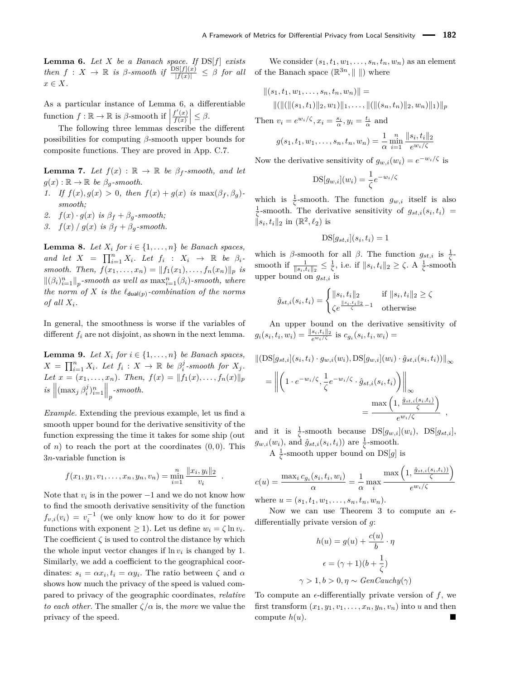<span id="page-7-0"></span>**Lemma 6.** *Let X be a Banach space. If* DS[*f*] *exists*  $\mathcal{F}$  *then*  $f: X \to \mathbb{R}$  *is*  $\beta$ -smooth if  $\frac{\text{DS}[f](x)}{|f(x)|} \leq \beta$  for all *x* ∈ *X.*

As a particular instance of Lemma [6,](#page-7-0) a differentiable function  $f : \mathbb{R} \to \mathbb{R}$  is  $\beta$ -smooth if  $\left| \frac{f'(x)}{f(x)} \right|$  $\left|\frac{f'(x)}{f(x)}\right| \leq \beta.$ 

The following three lemmas describe the different possibilities for computing *β*-smooth upper bounds for composite functions. They are proved in App. [C.7.](#page-30-1)

<span id="page-7-1"></span>**Lemma 7.** *Let*  $f(x) : \mathbb{R} \to \mathbb{R}$  *be*  $\beta_f$ *-smooth, and let*  $g(x): \mathbb{R} \to \mathbb{R}$  *be*  $\beta_q$ *-smooth.* 

- *1. If*  $f(x)$ ,  $g(x) > 0$ , then  $f(x) + g(x)$  *is* max( $\beta_f$ ,  $\beta_g$ ) *smooth;*
- 2.  $f(x) \cdot g(x)$  *is*  $\beta_f + \beta_g$ -smooth;
- *3.*  $f(x) / g(x)$  *is*  $\beta_f + \beta_g$ *-smooth.*

<span id="page-7-2"></span>**Lemma 8.** *Let*  $X_i$  *for*  $i \in \{1, \ldots, n\}$  *be Banach spaces, and let*  $X = \prod_{i=1}^{n} X_i$ *. Let*  $f_i : X_i \rightarrow \mathbb{R}$  *be*  $\beta_i$ *smooth. Then,*  $f(x_1, ..., x_n) = ||f_1(x_1), ..., f_n(x_n)||_p$  *is*  $\|(\beta_i)_{i=1}^n\|_p$ -smooth as well as  $\max_{i=1}^n (\beta_i)$ -smooth, where *the norm of X is the*  $\ell_{\text{dual}(p)}$ -combination of the norms *of all*  $X_i$ *.* 

In general, the smoothness is worse if the variables of different  $f_i$  are not disjoint, as shown in the next lemma.

<span id="page-7-3"></span>**Lemma 9.** *Let*  $X_i$  *for*  $i \in \{1, \ldots, n\}$  *be Banach spaces,*  $X = \prod_{i=1}^{n} X_i$ . Let  $f_i: X \to \mathbb{R}$  be  $\beta_i^j$ -smooth for  $X_j$ . *Let*  $x = (x_1, \ldots, x_n)$ *. Then,*  $f(x) = ||f_1(x), \ldots, f_n(x)||_p$  $\int \sin \left( \max_j \beta_i^j \right)_{i=1}^n \right]_p$ -smooth.

*Example.* Extending the previous example, let us find a smooth upper bound for the derivative sensitivity of the function expressing the time it takes for some ship (out of *n*) to reach the port at the coordinates  $(0,0)$ . This 3*n*-variable function is

$$
f(x_1, y_1, v_1, \ldots, x_n, y_n, v_n) = \min_{i=1}^n \frac{\|x_i, y_i\|_2}{v_i}.
$$

Note that  $v_i$  is in the power  $-1$  and we do not know how to find the smooth derivative sensitivity of the function  $f_{v,i}(v_i) = v_i^{-1}$  (we only know how to do it for power functions with exponent  $\geq 1$ ). Let us define  $w_i = \zeta \ln v_i$ . The coefficient  $\zeta$  is used to control the distance by which the whole input vector changes if  $\ln v_i$  is changed by 1. Similarly, we add a coefficient to the geographical coordinates:  $s_i = \alpha x_i, t_i = \alpha y_i$ . The ratio between  $\zeta$  and  $\alpha$ shows how much the privacy of the speed is valued compared to privacy of the geographic coordinates, *relative to each other.* The smaller  $\zeta/\alpha$  is, the *more* we value the privacy of the speed.

We consider  $(s_1, t_1, w_1, \ldots, s_n, t_n, w_n)$  as an element of the Banach space  $(\mathbb{R}^{3n}, \| \|)$  where

$$
||(s_1, t_1, w_1, \dots, s_n, t_n, w_n)|| =
$$
  
 
$$
||(||(||(s_1, t_1)||_2, w_1)||_1, \dots, ||(||(s_n, t_n)||_2, w_n)||_1)||_p
$$

Then  $v_i = e^{w_i/\zeta}, x_i = \frac{s_i}{\alpha}, y_i = \frac{t_i}{\alpha}$  and

$$
g(s_1, t_1, w_1, \dots, s_n, t_n, w_n) = \frac{1}{\alpha} \min_{i=1}^n \frac{\|s_i, t_i\|_2}{e^{w_i/\zeta}}
$$

Now the derivative sensitivity of  $g_{w,i}(w_i) = e^{-w_i/\zeta}$  is

$$
DS[g_{w,i}](w_i) = \frac{1}{\zeta}e^{-w_i/\zeta}
$$

which is  $\frac{1}{\zeta}$ -smooth. The function  $g_{w,i}$  itself is also  $\frac{1}{\zeta}$ -smooth. The derivative sensitivity of  $g_{st,i}(s_i, t_i)$  $||s_i, t_i||_2$  in  $(\mathbb{R}^2, \ell_2)$  is

$$
DS[g_{st,i}](s_i, t_i) = 1
$$

which is *β*-smooth for all *β*. The function  $g_{st,i}$  is  $\frac{1}{\zeta}$ smooth if  $\frac{1}{\|s_i,t_i\|_2} \leq \frac{1}{\zeta}$ , i.e. if  $\|s_i,t_i\|_2 \geq \zeta$ . A  $\frac{1}{\zeta}$ -smooth upper bound on *gst,i* is

$$
\hat{g}_{st,i}(s_i, t_i) = \begin{cases} \|s_i, t_i\|_2 & \text{if } \|s_i, t_i\|_2 \ge \zeta \\ \zeta e^{\frac{\|s_i, t_i\|_2}{\zeta} - 1} & \text{otherwise} \end{cases}
$$

An upper bound on the derivative sensitivity of  $g_i(s_i, t_i, w_i) = \frac{\|s_i, t_i\|_2}{e^{w_i/\zeta}}$  is  $c_{g_i}(s_i, t_i, w_i) =$ 

$$
\|(\text{DS}[g_{st,i}](s_i, t_i) \cdot g_{w,i}(w_i), \text{DS}[g_{w,i}](w_i) \cdot \hat{g}_{st,i}(s_i, t_i))\|_{\infty}
$$
  
= 
$$
\left\| \left( 1 \cdot e^{-w_i/\zeta}, \frac{1}{\zeta} e^{-w_i/\zeta} \cdot \hat{g}_{st,i}(s_i, t_i) \right) \right\|_{\infty}
$$
  
= 
$$
\frac{\max\left( 1, \frac{\hat{g}_{st,i}(s_i, t_i)}{\zeta} \right)}{e^{w_i/\zeta}},
$$

and it is  $\frac{1}{\zeta}$ -smooth because  $DS[g_{w,i}](w_i)$ ,  $DS[g_{st,i}]$ ,  $g_{w,i}(w_i)$ , and  $\hat{g}_{st,i}(s_i, t_i)$ ) are  $\frac{1}{\zeta}$ -smooth.

A  $\frac{1}{\zeta}$ -smooth upper bound on DS[g] is

$$
c(u) = \frac{\max_i c_{g_i}(s_i, t_i, w_i)}{\alpha} = \frac{1}{\alpha} \max_i \frac{\max\left(1, \frac{\hat{g}_{st,i}(s_i, t_i)}{\zeta}\right)}{e^{w_i/\zeta}}
$$

where  $u = (s_1, t_1, w_1, \ldots, s_n, t_n, w_n)$ .

Now we can use Theorem [3](#page-5-0) to compute an  $\epsilon$ differentially private version of *g*:

$$
h(u) = g(u) + \frac{c(u)}{b} \cdot \eta
$$

$$
\epsilon = (\gamma + 1)(b + \frac{1}{\zeta})
$$

$$
\gamma > 1, b > 0, \eta \sim GenCauchy(\gamma)
$$

To compute an  $\epsilon$ -differentially private version of  $f$ , we first transform  $(x_1, y_1, v_1, \ldots, x_n, y_n, v_n)$  into *u* and then compute  $h(u)$ .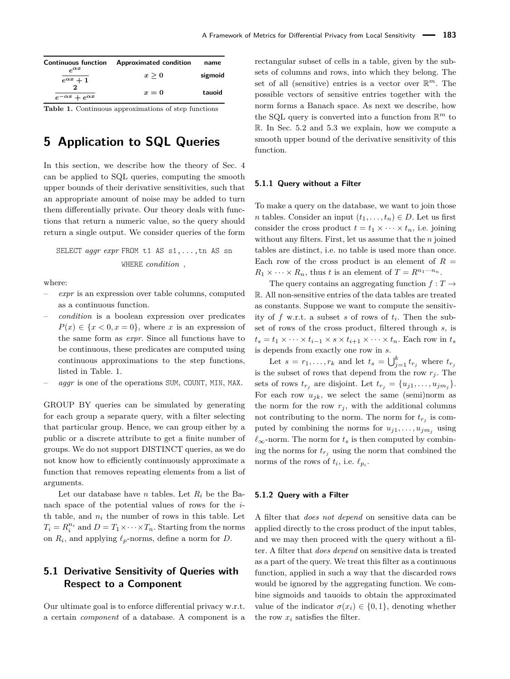<span id="page-8-1"></span>

| <b>Continuous function</b>     | Approximated condition | name    |
|--------------------------------|------------------------|---------|
| $\alpha x$<br>$e^{\alpha x}+1$ | x > 0                  | sigmoid |
| $e^{-\alpha x} + e^{\alpha x}$ | $x=0$                  | tauoid  |

**Table 1.** Continuous approximations of step functions

# <span id="page-8-0"></span>**5 Application to SQL Queries**

In this section, we describe how the theory of Sec. [4](#page-4-3) can be applied to SQL queries, computing the smooth upper bounds of their derivative sensitivities, such that an appropriate amount of noise may be added to turn them differentially private. Our theory deals with functions that return a numeric value, so the query should return a single output. We consider queries of the form

# SELECT *aggr expr* FROM t1 AS s1,...,tn AS sn WHERE *condition ,*

where:

- *expr* is an expression over table columns, computed as a continuous function.
- *condition* is a boolean expression over predicates  $P(x) \in \{x < 0, x = 0\}$ , where *x* is an expression of the same form as *expr*. Since all functions have to be continuous, these predicates are computed using continuous approximations to the step functions, listed in Table. [1.](#page-8-1)
- *aggr* is one of the operations SUM, COUNT, MIN, MAX.

GROUP BY queries can be simulated by generating for each group a separate query, with a filter selecting that particular group. Hence, we can group either by a public or a discrete attribute to get a finite number of groups. We do not support DISTINCT queries, as we do not know how to efficiently continuously approximate a function that removes repeating elements from a list of arguments.

Let our database have *n* tables. Let  $R_i$  be the Banach space of the potential values of rows for the *i*th table, and  $n_i$  the number of rows in this table. Let  $T_i = R_i^{n_i}$  and  $D = T_1 \times \cdots \times T_n$ . Starting from the norms on  $R_i$ , and applying  $\ell_p$ -norms, define a norm for *D*.

# **5.1 Derivative Sensitivity of Queries with Respect to a Component**

Our ultimate goal is to enforce differential privacy w.r.t. a certain *component* of a database. A component is a rectangular subset of cells in a table, given by the subsets of columns and rows, into which they belong. The set of all (sensitive) entries is a vector over  $\mathbb{R}^m$ . The possible vectors of sensitive entries together with the norm forms a Banach space. As next we describe, how the SQL query is converted into a function from  $\mathbb{R}^m$  to R. In Sec. [5.2](#page-9-1) and [5.3](#page-9-0) we explain, how we compute a smooth upper bound of the derivative sensitivity of this function.

#### **5.1.1 Query without a Filter**

To make a query on the database, we want to join those *n* tables. Consider an input  $(t_1, \ldots, t_n) \in D$ . Let us first consider the cross product  $t = t_1 \times \cdots \times t_n$ , i.e. joining without any filters. First, let us assume that the *n* joined tables are distinct, i.e. no table is used more than once. Each row of the cross product is an element of  $R =$  $R_1 \times \cdots \times R_n$ , thus *t* is an element of  $T = R^{n_1 \cdots n_n}$ .

The query contains an aggregating function  $f: T \rightarrow$ R. All non-sensitive entries of the data tables are treated as constants. Suppose we want to compute the sensitivity of *f* w.r.t. a subset *s* of rows of *t<sup>i</sup>* . Then the subset of rows of the cross product, filtered through *s*, is  $t_s = t_1 \times \cdots \times t_{i-1} \times s \times t_{i+1} \times \cdots \times t_n$ . Each row in  $t_s$ is depends from exactly one row in *s*.

Let  $s = r_1, \ldots, r_k$  and let  $t_s = \bigcup_{j=1}^k t_{r_j}$  where  $t_{r_j}$ is the subset of rows that depend from the row  $r_j$ . The sets of rows  $t_{r_j}$  are disjoint. Let  $t_{r_j} = \{u_{j1}, \ldots, u_{j m_j}\}.$ For each row  $u_{jk}$ , we select the same (semi)norm as the norm for the row  $r_j$ , with the additional columns not contributing to the norm. The norm for  $t_{r_j}$  is computed by combining the norms for  $u_{j1}, \ldots, u_{jm_j}$  using  $\ell_{\infty}$ -norm. The norm for  $t_s$  is then computed by combining the norms for  $t_{r_i}$  using the norm that combined the norms of the rows of  $t_i$ , i.e.  $\ell_{p_i}$ .

#### <span id="page-8-2"></span>**5.1.2 Query with a Filter**

A filter that *does not depend* on sensitive data can be applied directly to the cross product of the input tables, and we may then proceed with the query without a filter. A filter that *does depend* on sensitive data is treated as a part of the query. We treat this filter as a continuous function, applied in such a way that the discarded rows would be ignored by the aggregating function. We combine sigmoids and tauoids to obtain the approximated value of the indicator  $\sigma(x_i) \in \{0,1\}$ , denoting whether the row  $x_i$  satisfies the filter.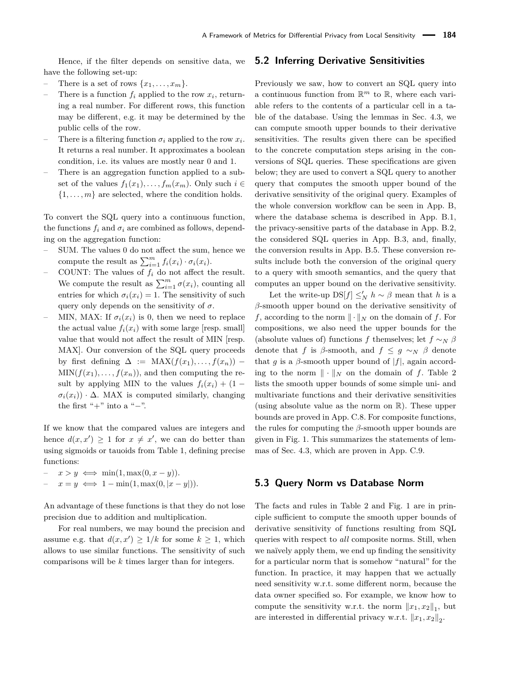Hence, if the filter depends on sensitive data, we have the following set-up:

- There is a set of rows  $\{x_1, \ldots, x_m\}$ .
- There is a function  $f_i$  applied to the row  $x_i$ , returning a real number. For different rows, this function may be different, e.g. it may be determined by the public cells of the row.
- There is a filtering function  $\sigma_i$  applied to the row  $x_i$ . It returns a real number. It approximates a boolean condition, i.e. its values are mostly near 0 and 1.
- There is an aggregation function applied to a subset of the values  $f_1(x_1), \ldots, f_m(x_m)$ . Only such  $i \in$  $\{1, \ldots, m\}$  are selected, where the condition holds.

To convert the SQL query into a continuous function, the functions  $f_i$  and  $\sigma_i$  are combined as follows, depending on the aggregation function:

- SUM. The values 0 do not affect the sum, hence we compute the result as  $\sum_{i=1}^{m} f_i(x_i) \cdot \sigma_i(x_i)$ .
- COUNT: The values of  $f_i$  do not affect the result. We compute the result as  $\sum_{i=1}^{m} \sigma(x_i)$ , counting all entries for which  $\sigma_i(x_i) = 1$ . The sensitivity of such query only depends on the sensitivity of  $\sigma$ .
- MIN, MAX: If  $\sigma_i(x_i)$  is 0, then we need to replace the actual value  $f_i(x_i)$  with some large [resp. small] value that would not affect the result of MIN [resp. MAX]. Our conversion of the SQL query proceeds by first defining  $\Delta := \text{MAX}(f(x_1), \ldots, f(x_n))$  –  $MIN(f(x_1), \ldots, f(x_n))$ , and then computing the result by applying MIN to the values  $f_i(x_i) + (1 \sigma_i(x_i)$ ) ·  $\Delta$ . MAX is computed similarly, changing the first " $+$ " into a " $-$ ".

If we know that the compared values are integers and hence  $d(x, x') \geq 1$  for  $x \neq x'$ , we can do better than using sigmoids or tauoids from Table [1,](#page-8-1) defining precise functions:

- $x > y \iff \min(1, \max(0, x y)).$
- $x = y \iff 1 \min(1, \max(0, |x y|)).$

An advantage of these functions is that they do not lose precision due to addition and multiplication.

For real numbers, we may bound the precision and assume e.g. that  $d(x, x') \geq 1/k$  for some  $k \geq 1$ , which allows to use similar functions. The sensitivity of such comparisons will be *k* times larger than for integers.

#### <span id="page-9-1"></span>**5.2 Inferring Derivative Sensitivities**

Previously we saw, how to convert an SQL query into a continuous function from  $\mathbb{R}^m$  to  $\mathbb{R}$ , where each variable refers to the contents of a particular cell in a table of the database. Using the lemmas in Sec. [4.3,](#page-5-3) we can compute smooth upper bounds to their derivative sensitivities. The results given there can be specified to the concrete computation steps arising in the conversions of SQL queries. These specifications are given below; they are used to convert a SQL query to another query that computes the smooth upper bound of the derivative sensitivity of the original query. Examples of the whole conversion workflow can be seen in App. [B,](#page-17-4) where the database schema is described in App. [B.1,](#page-17-5) the privacy-sensitive parts of the database in App. [B.2,](#page-18-0) the considered SQL queries in App. [B.3,](#page-18-1) and, finally, the conversion results in App. [B.5.](#page-21-0) These conversion results include both the conversion of the original query to a query with smooth semantics, and the query that computes an upper bound on the derivative sensitivity.

Let the write-up  $DS[f] \leq_N h \sim \beta$  mean that *h* is a *β*-smooth upper bound on the derivative sensitivity of *f*, according to the norm  $\|\cdot\|_N$  on the domain of *f*. For compositions, we also need the upper bounds for the (absolute values of) functions *f* themselves; let  $f \sim_N \beta$ denote that *f* is *β*-smooth, and  $f \leq g \sim_N \beta$  denote that *g* is a *β*-smooth upper bound of  $|f|$ , again according to the norm  $\|\cdot\|_N$  on the domain of *f*. Table [2](#page-10-0) lists the smooth upper bounds of some simple uni- and multivariate functions and their derivative sensitivities (using absolute value as the norm on R). These upper bounds are proved in App. [C.8.](#page-31-0) For composite functions, the rules for computing the *β*-smooth upper bounds are given in Fig. [1.](#page-10-1) This summarizes the statements of lemmas of Sec. [4.3,](#page-5-3) which are proven in App. [C.9.](#page-32-0)

### <span id="page-9-0"></span>**5.3 Query Norm vs Database Norm**

The facts and rules in Table [2](#page-10-0) and Fig. [1](#page-10-1) are in principle sufficient to compute the smooth upper bounds of derivative sensitivity of functions resulting from SQL queries with respect to *all* composite norms. Still, when we naïvely apply them, we end up finding the sensitivity for a particular norm that is somehow "natural" for the function. In practice, it may happen that we actually need sensitivity w.r.t. some different norm, because the data owner specified so. For example, we know how to compute the sensitivity w.r.t. the norm  $||x_1, x_2||_1$ , but are interested in differential privacy w.r.t.  $||x_1, x_2||_2$ .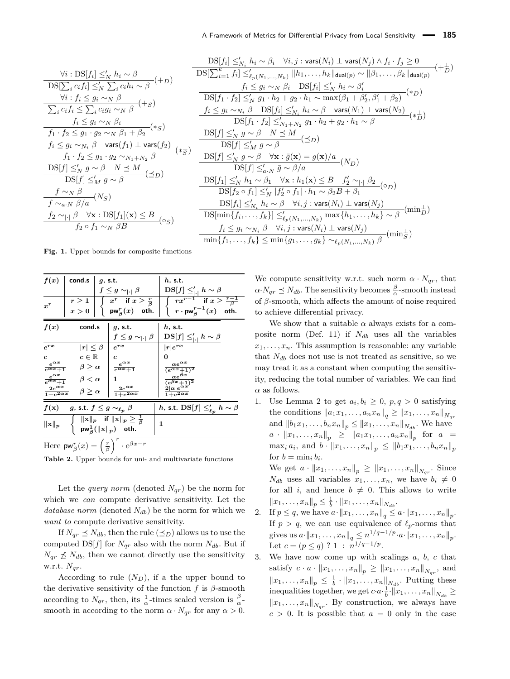<span id="page-10-1"></span>
$$
\frac{\forall i: DS[f_i] \leq'_N h_i \sim \beta}{DS[\sum_i c_i f_i] \leq'_N \sum_i c_i h_i \sim \beta} (+D)
$$
  
\n
$$
\frac{\forall i: f_i \leq g_i \sim_N \beta}{\sum_i c_i f_i \leq \sum_i c_i g_i \sim_N \beta} (+S)
$$
  
\n
$$
\frac{f_i \leq g_i \sim_N \beta_i}{f_1 \cdot f_2 \leq g_1 \cdot g_2 \sim_N \beta_1 + \beta_2} (*)
$$
  
\n
$$
\frac{f_i \leq g_i \sim_{N_i} \beta \quad \text{vars}(f_1) \perp \text{vars}(f_2)}{f_1 \cdot f_2 \leq g_1 \cdot g_2 \sim_{N_1 + N_2} \beta} (*)
$$
  
\n
$$
\frac{DS[f] \leq'_N g \sim \beta \quad N \leq M}{DS[f] \leq'_M g \sim \beta} (\leq D)
$$
  
\n
$$
\frac{f \sim_N \beta}{f \sim_{a \cdot N} \beta/a} (N_S)
$$
  
\n
$$
\frac{f_2 \sim_{|\cdot|} \beta \quad \forall \mathbf{x}: DS[f_1](\mathbf{x}) \leq B}{f_2 \circ f_1 \sim_N \beta B} (0_S)
$$

$$
\frac{\text{DS}[f_i] \leq'_{N_i} h_i \sim \beta_i \quad \forall i, j : \text{vars}(N_i) \perp \text{vars}(N_j) \land f_i \cdot f_j \geq 0}{\text{DS}[\sum_{i=1}^k f_i] \leq'_{\ell_P(N_1, \ldots, N_k)} ||h_1, \ldots, h_k||_{\text{dual}(p)} \sim ||\beta_1, \ldots, \beta_k||_{\text{dual}(p)}} \quad (+\frac{1}{D})
$$
\n
$$
\frac{f_i \leq g_i \sim_N \beta_i \quad \text{DS}[f_i] \leq'_N h_i \sim \beta'_i}{\text{DS}[f_1 \cdot f_2] \leq'_N g_1 \cdot h_2 + g_2 \cdot h_1 \sim \max(\beta_1 + \beta'_2, \beta'_1 + \beta_2)} \quad (*)}
$$
\n
$$
\frac{f_i \leq g_i \sim_{N_i} \beta \quad \text{DS}[f_i] \leq'_{N_i} h_i \sim \beta \quad \text{vars}(N_1) \perp \text{vars}(N_2)}{\text{DS}[f_1 \cdot f_2] \leq'_{N_1 + N_2} g_1 \cdot h_2 + g_2 \cdot h_1 \sim \beta} \quad (*)
$$
\n
$$
\frac{\text{DS}[f] \leq'_N g \sim \beta \quad N \leq M}{\text{DS}[f] \leq'_M g \sim \beta} \quad (\preceq D)
$$
\n
$$
\frac{\text{DS}[f] \leq'_N g \sim \beta \quad \forall x : \bar{g}(x) = g(x)/a}{\text{DS}[f_1] \leq'_N h_1 \sim \beta_1 \quad \forall x : h_1(x) \leq B \quad f'_2 \sim_{|\cdot|} \beta_2} \quad (0_D)
$$
\n
$$
\frac{\text{DS}[f_1] \leq'_N h_1 \sim \beta_1 \quad \forall x : h_1(x) \leq B \quad f'_2 \sim_{|\cdot|} \beta_2}{} \quad (0_D)
$$
\n
$$
\frac{\text{DS}[f_1] \leq'_{N_1} h_i \sim \beta \quad \forall i, j : \text{vars}(N_i) \perp \text{vars}(N_j)}{\text{DS}[\min\{f_i, \ldots, f_k\}] \leq'_{\ell_P(N_1, \ldots, N_k)} \max\{h_1, \ldots, h_k\} \sim \beta} \quad
$$

**Fig. 1.** Upper bounds for composite functions

<span id="page-10-0"></span>

| $x^r$                                                                                                                                                        | $r\geq 1$<br>x > 0                                                                                     |                   | $f\leq g\sim_{ \cdot }\beta$<br>$x^r$ if $x \geq \frac{r}{\beta}$<br>$\int$ pw $_{\beta}^{r}(x)$ oth. | $\mathrm{DS}[f] \leq'_{ \cdot } h \sim \beta$<br>$r x^{r-1}$ if $x \geq \frac{r-1}{\beta}$<br>$\int r \cdot \mathsf{pw}_\beta^{r-1}(x)$ oth.                            |
|--------------------------------------------------------------------------------------------------------------------------------------------------------------|--------------------------------------------------------------------------------------------------------|-------------------|-------------------------------------------------------------------------------------------------------|-------------------------------------------------------------------------------------------------------------------------------------------------------------------------|
| f(x)                                                                                                                                                         | cond.s                                                                                                 |                   | $q$ , s.t.<br>$f\leq g\sim_{ \cdot }\beta$                                                            | $h$ , s.t.<br>$\mathrm{DS}[f] \leq'_{ \cdot } h \sim \beta$                                                                                                             |
| $e^{r\bar{x}}$<br>$\mathbf{c}$<br>$e^{\alpha x}$<br>$\sqrt{e^{\alpha x}+1}$<br>$\frac{e^{\alpha x}}{e^{\alpha x}+1}$<br>$2e^{\alpha x}$<br>$1+e^{2\alpha x}$ | $ r  \leq \beta$<br>$c\in\mathbb{R}$<br>$\beta \geq \alpha$<br>$\beta < \alpha$<br>$\beta \geq \alpha$ | $\mathbf{c}$<br>1 | $e^{r\bar{x}}$<br>$e^{\alpha x}$<br>$\sqrt{e^{\alpha x}+1}$<br>$2e^{\alpha x}$<br>$1 + e^{2\alpha x}$ | $ r e^{rx}$<br>0<br>$\alpha e^{\alpha x}$<br>$\frac{\frac{\alpha e}{(e^{\alpha x}+1)^2}}{\frac{\alpha e^{\beta x}}{(e^{\beta x}+1)^2}}$<br>$\overline{1+e^{2\alpha x}}$ |
| $f(\mathbf{x})$<br>$\ \mathbf{x}\ _{p}$                                                                                                                      | g, s.t. $f \leq g \sim_{\ell_p} \beta$<br>$r \left( \begin{array}{cc} r \end{array} \right)$           |                   | $  x  _p$ if $  x  _p \geq \frac{1}{\beta}$<br>$\mathsf{pw}_\beta^1(\ \mathrm{x}\ _p)$ oth.           | h, s.t. $DS[f] \leq_{\ell_n} h \sim \beta$<br>1                                                                                                                         |

Here  $\mathsf{pw}_{\beta}^r(x) = \left(\frac{r}{\beta}\right)^r \cdot e^{\beta x - r}$ 

**Table 2.** Upper bounds for uni- and multivariate functions

Let the *query norm* (denoted  $N_{qr}$ ) be the norm for which we *can* compute derivative sensitivity. Let the *database norm* (denoted *Ndb*) be the norm for which we *want to* compute derivative sensitivity.

If  $N_{qr} \leq N_{db}$ , then the rule  $(\leq_D)$  allows us to use the computed  $DS[f]$  for  $N_{qr}$  also with the norm  $N_{db}$ . But if  $N_{qr} \nleq N_{db}$ , then we cannot directly use the sensitivity w.r.t. *Nqr*.

According to rule  $(N_D)$ , if a the upper bound to the derivative sensitivity of the function  $f$  is  $\beta$ -smooth according to  $N_{qr}$ , then, its  $\frac{1}{\alpha}$ -times scaled version is  $\frac{\beta}{\alpha}$ smooth in according to the norm  $\alpha \cdot N_{qr}$  for any  $\alpha > 0$ .

We compute sensitivity w.r.t. such norm  $\alpha \cdot N_{qr}$ , that  $\alpha \cdot N_{qr} \preceq N_{db}$ . The sensitivity becomes  $\frac{\beta}{\alpha}$ -smooth instead of *β*-smooth, which affects the amount of noise required to achieve differential privacy.

We show that a suitable  $\alpha$  always exists for a composite norm (Def. [11\)](#page-4-2) if *Ndb* uses all the variables  $x_1, \ldots, x_n$ . This assumption is reasonable: any variable that  $N_{db}$  does not use is not treated as sensitive, so we may treat it as a constant when computing the sensitivity, reducing the total number of variables. We can find  $\alpha$  as follows.

1. Use Lemma [2](#page-5-4) to get  $a_i, b_i \geq 0$ ,  $p, q > 0$  satisfying the conditions  $||a_1x_1, \ldots, a_nx_n||_q \ge ||x_1, \ldots, x_n||_{N_{ar}}$ and  $||b_1x_1, \ldots, b_nx_n||_p \le ||x_1, \ldots, x_n||_{N_{db}}$ . We have  $a \cdot \|x_1, \ldots, x_n\|_p \geq \|a_1x_1, \ldots, a_nx_n\|_p$  for  $a =$  $\max_i a_i$ , and  $b \cdot ||x_1, \ldots, x_n||_p \leq ||b_1x_1, \ldots, b_nx_n||_p$ for  $b = \min_i b_i$ .

We get  $a \cdot ||x_1, \ldots, x_n||_p \ge ||x_1, \ldots, x_n||_{N_{qr}}$ . Since  $N_{db}$  uses all variables  $x_1, \ldots, x_n$ , we have  $b_i \neq 0$ for all *i*, and hence  $b \neq 0$ . This allows to write  $||x_1, \ldots, x_n||_p \leq \frac{1}{b} \cdot ||x_1, \ldots, x_n||_{N_{db}}.$ 

- 2. If  $p \leq q$ , we have  $a \cdot ||x_1, \ldots, x_n||_q \leq a \cdot ||x_1, \ldots, x_n||_p$ . If  $p > q$ , we can use equivalence of  $\ell_p$ -norms that gives us  $a \cdot ||x_1, \ldots, x_n||_q \leq n^{1/q-1/p} \cdot a \cdot ||x_1, \ldots, x_n||_p$ . Let  $c = (p \le q)$  ? 1 :  $n^{1/q-1/p}$ .
- 3. We have now come up with scalings *a*, *b*, *c* that satisfy  $c \cdot a \cdot ||x_1, \ldots, x_n||_p \ge ||x_1, \ldots, x_n||_{N_{qr}}$ , and  $||x_1, \ldots, x_n||_p \leq \frac{1}{b} \cdot ||x_1, \ldots, x_n||_{N_{db}}$ . Putting these inequalities together, we get  $c \cdot a \cdot \frac{1}{b} \cdot ||x_1, \ldots, x_n||_{N_{db}} \geq$  $||x_1, \ldots, x_n||_{N_{qr}}$ . By construction, we always have  $c > 0$ . It is possible that  $a = 0$  only in the case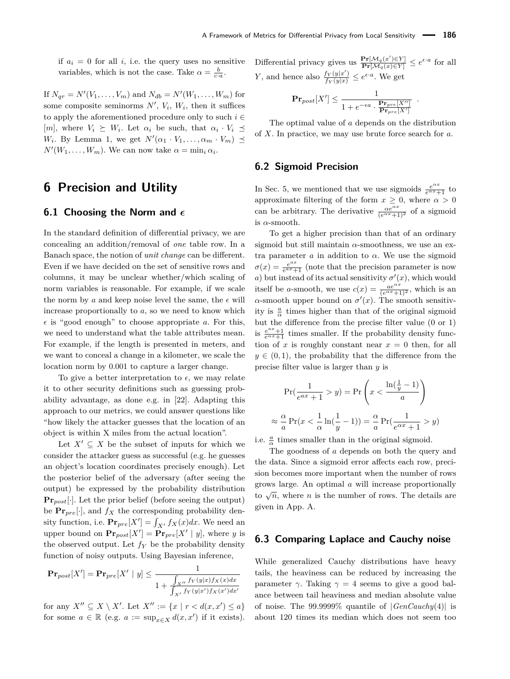if  $a_i = 0$  for all *i*, i.e. the query uses no sensitive variables, which is not the case. Take  $\alpha = \frac{b}{c \cdot a}$ .

If  $N_{qr} = N'(V_1, \ldots, V_m)$  and  $N_{db} = N'(W_1, \ldots, W_m)$  for some composite seminorms  $N'$ ,  $V_i$ ,  $W_i$ , then it suffices to apply the aforementioned procedure only to such  $i \in$  $[m]$ , where  $V_i \succeq W_i$ . Let  $\alpha_i$  be such, that  $\alpha_i \cdot V_i \preceq$ *W*<sub>*i*</sub>. By Lemma [1,](#page-5-5) we get  $N'(\alpha_1 \cdot V_1, \ldots, \alpha_m \cdot V_m) \preceq$  $N'(W_1, \ldots, W_m)$ . We can now take  $\alpha = \min_i \alpha_i$ .

# **6 Precision and Utility**

### **6.1 Choosing the Norm and**

In the standard definition of differential privacy, we are concealing an addition/removal of *one* table row. In a Banach space, the notion of *unit change* can be different. Even if we have decided on the set of sensitive rows and columns, it may be unclear whether/which scaling of norm variables is reasonable. For example, if we scale the norm by *a* and keep noise level the same, the  $\epsilon$  will increase proportionally to *a*, so we need to know which  $\epsilon$  is "good enough" to choose appropriate *a*. For this, we need to understand what the table attributes mean. For example, if the length is presented in meters, and we want to conceal a change in a kilometer, we scale the location norm by 0*.*001 to capture a larger change.

To give a better interpretation to  $\epsilon$ , we may relate it to other security definitions such as guessing probability advantage, as done e.g. in [\[22\]](#page-16-19). Adapting this approach to our metrics, we could answer questions like "how likely the attacker guesses that the location of an object is within X miles from the actual location".

Let  $X' \subseteq X$  be the subset of inputs for which we consider the attacker guess as successful (e.g. he guesses an object's location coordinates precisely enough). Let the posterior belief of the adversary (after seeing the output) be expressed by the probability distribution **Pr***post*[·]. Let the prior belief (before seeing the output) be  $\Pr_{\text{pre}}[\cdot]$ , and  $f_X$  the corresponding probability density function, i.e.  $\mathbf{Pr}_{pre}[X'] = \int_{X'} f_X(x) dx$ . We need an upper bound on  $\mathbf{Pr}_{post}[X'] = \mathbf{Pr}_{pre}[X' | y]$ , where *y* is the observed output. Let  $f_Y$  be the probability density function of noisy outputs. Using Bayesian inference,

$$
\mathbf{Pr}_{post}[X'] = \mathbf{Pr}_{pre}[X' \mid y] \le \frac{1}{1 + \frac{\int_{X'} f_Y(y|x) f_X(x) dx}{\int_{X'} f_Y(y|x') f_X(x') dx'}}
$$

for any  $X'' \subseteq X \setminus X'$ . Let  $X'' := \{x \mid r < d(x, x') \leq a\}$ for some  $a \in \mathbb{R}$  (e.g.  $a := \sup_{x \in X} d(x, x')$  if it exists). Differential privacy gives us  $\frac{\Pr[\mathcal{M}_q(x') \in Y]}{\Pr[\mathcal{M}_q(x) \in Y]} \le e^{\epsilon \cdot a}$  for all *Y*, and hence also  $\frac{f_Y(y|x')}{f_Y(y|x)} \leq e^{\epsilon \cdot a}$ . We get

$$
\mathbf{Pr}_{post}[X'] \le \frac{1}{1 + e^{-\epsilon a} \cdot \frac{\mathbf{Pr}_{pre}[X'']}{\mathbf{Pr}_{pre}[X']}}
$$

*.*

The optimal value of *a* depends on the distribution of *X*. In practice, we may use brute force search for *a*.

#### **6.2 Sigmoid Precision**

In Sec. [5,](#page-8-0) we mentioned that we use sigmoids  $\frac{e^{\alpha x}}{e^{\alpha x}+1}$  to approximate filtering of the form  $x \geq 0$ , where  $\alpha > 0$ can be arbitrary. The derivative  $\frac{\alpha e^{\alpha x}}{(e^{\alpha x}+1)^2}$  of a sigmoid is *α*-smooth.

To get a higher precision than that of an ordinary sigmoid but still maintain *α*-smoothness, we use an extra parameter  $\alpha$  in addition to  $\alpha$ . We use the sigmoid  $\sigma(x) = \frac{e^{ax}}{e^{ax}}$  $\frac{e^{ax}}{e^{ax}+1}$  (note that the precision parameter is now *a*) but instead of its actual sensitivity  $\sigma'(x)$ , which would itself be *a*-smooth, we use  $c(x) = \frac{ae^{\alpha x}}{(e^{\alpha x}+1)^2}$ , which is an  $\alpha$ -smooth upper bound on  $\sigma'(x)$ . The smooth sensitivity is  $\frac{a}{\alpha}$  times higher than that of the original sigmoid but the difference from the precise filter value (0 or 1) is  $\frac{e^{ax}+1}{e^{ax}+1}$  times smaller. If the probability density function of  $x$  is roughly constant near  $x = 0$  then, for all  $y \in (0,1)$ , the probability that the difference from the precise filter value is larger than *y* is

$$
\Pr\left(\frac{1}{e^{ax} + 1} > y\right) = \Pr\left(x < \frac{\ln\left(\frac{1}{y} - 1\right)}{a}\right)
$$
\n
$$
\frac{\alpha}{a} \Pr\left(x < \frac{1}{\alpha} \ln\left(\frac{1}{y} - 1\right)\right) = \frac{\alpha}{a} \Pr\left(\frac{1}{e^{\alpha x} + 1} > y\right)
$$

i.e.  $\frac{a}{\alpha}$  times smaller than in the original sigmoid.

≈

The goodness of *a* depends on both the query and the data. Since a sigmoid error affects each row, precision becomes more important when the number of rows grows large. An optimal *a* will increase proportionally to  $\sqrt{n}$ , where *n* is the number of rows. The details are given in App. [A.](#page-17-6)

### <span id="page-11-0"></span>**6.3 Comparing Laplace and Cauchy noise**

While generalized Cauchy distributions have heavy tails, the heaviness can be reduced by increasing the parameter  $\gamma$ . Taking  $\gamma = 4$  seems to give a good balance between tail heaviness and median absolute value of noise. The 99*.*9999% quantile of |*GenCauchy*(4)| is about 120 times its median which does not seem too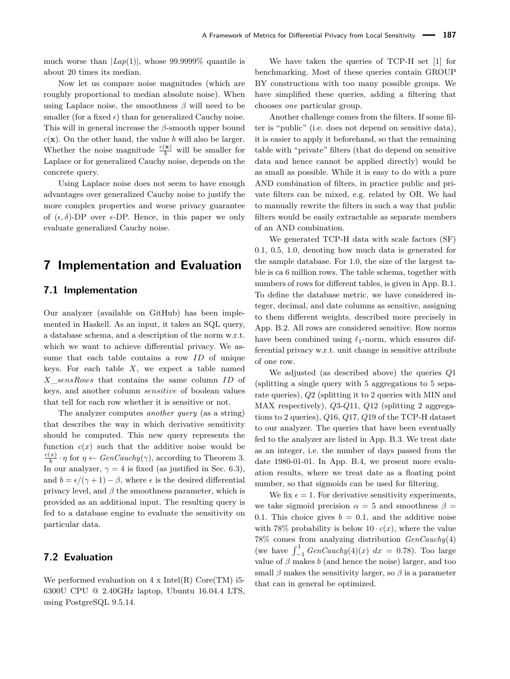much worse than  $|Lap(1)|$ , whose 99.9999% quantile is about 20 times its median.

Now let us compare noise magnitudes (which are roughly proportional to median absolute noise). When using Laplace noise, the smoothness  $\beta$  will need to be smaller (for a fixed  $\epsilon$ ) than for generalized Cauchy noise. This will in general increase the *β*-smooth upper bound  $c(\mathbf{x})$ . On the other hand, the value *b* will also be larger. Whether the noise magnitude  $\frac{c(\mathbf{x})}{b}$  will be smaller for Laplace or for generalized Cauchy noise, depends on the concrete query.

Using Laplace noise does not seem to have enough advantages over generalized Cauchy noise to justify the more complex properties and worse privacy guarantee of  $(\epsilon, \delta)$ -DP over  $\epsilon$ -DP. Hence, in this paper we only evaluate generalized Cauchy noise.

# <span id="page-12-0"></span>**7 Implementation and Evaluation**

## **7.1 Implementation**

Our analyzer (available on GitHub) has been implemented in Haskell. As an input, it takes an SQL query, a database schema, and a description of the norm w.r.t. which we want to achieve differential privacy. We assume that each table contains a row *ID* of unique keys. For each table *X*, we expect a table named *X*\_*sensRows* that contains the same column *ID* of keys, and another column *sensitive* of boolean values that tell for each row whether it is sensitive or not.

The analyzer computes *another query* (as a string) that describes the way in which derivative sensitivity should be computed. This new query represents the function  $c(x)$  such that the additive noise would be  $\frac{c(x)}{b} \cdot \eta$  for  $\eta \leftarrow GenCauchy(\gamma)$ , according to Theorem [3.](#page-5-0) In our analyzer,  $\gamma = 4$  is fixed (as justified in Sec. [6.3\)](#page-11-0), and  $b = \epsilon/(\gamma + 1) - \beta$ , where  $\epsilon$  is the desired differential privacy level, and *β* the smoothness parameter, which is provided as an additional input. The resulting query is fed to a database engine to evaluate the sensitivity on particular data.

# **7.2 Evaluation**

We performed evaluation on  $4 \times \text{Intel(R)}$  Core $(\text{TM})$  i5-6300U CPU @ 2.40GHz laptop, Ubuntu 16.04.4 LTS, using PostgreSQL 9.5.14.

We have taken the queries of TCP-H set [\[1\]](#page-16-20) for benchmarking. Most of these queries contain GROUP BY constructions with too many possible groups. We have simplified these queries, adding a filtering that chooses *one* particular group.

Another challenge comes from the filters. If some filter is "public" (i.e. does not depend on sensitive data), it is easier to apply it beforehand, so that the remaining table with "private" filters (that do depend on sensitive data and hence cannot be applied directly) would be as small as possible. While it is easy to do with a pure AND combination of filters, in practice public and private filters can be mixed, e.g. related by OR. We had to manually rewrite the filters in such a way that public filters would be easily extractable as separate members of an AND combination.

We generated TCP-H data with scale factors (SF) 0*.*1, 0*.*5, 1*.*0, denoting how much data is generated for the sample database. For 1*.*0, the size of the largest table is ca 6 million rows. The table schema, together with numbers of rows for different tables, is given in App. [B.1.](#page-17-5) To define the database metric, we have considered integer, decimal, and date columns as sensitive, assigning to them different weights, described more precisely in App. [B.2.](#page-18-0) All rows are considered sensitive. Row norms have been combined using  $\ell_1$ -norm, which ensures differential privacy w.r.t. unit change in sensitive attribute of one row.

We adjusted (as described above) the queries *Q*1 (splitting a single query with 5 aggregations to 5 separate queries), *Q*2 (splitting it to 2 queries with MIN and MAX respectively), *Q*3-*Q*11, *Q*12 (splitting 2 aggregations to 2 queries), *Q*16, *Q*17, *Q*19 of the TCP-H dataset to our analyzer. The queries that have been eventually fed to the analyzer are listed in App. [B.3.](#page-18-1) We treat date as an integer, i.e. the number of days passed from the date 1980-01-01. In App. [B.4,](#page-21-1) we present more evaluation results, where we treat date as a floating point number, so that sigmoids can be used for filtering.

We fix  $\epsilon = 1$ . For derivative sensitivity experiments, we take sigmoid precision  $\alpha = 5$  and smoothness  $\beta =$ 0.1. This choice gives  $b = 0.1$ , and the additive noise with 78% probability is below  $10 \cdot c(x)$ , where the value 78% comes from analyzing distribution *GenCauchy*(4) (we have  $\int_{-1}^{1} GenCauchy(4)(x) dx = 0.78$ ). Too large value of  $\beta$  makes  $b$  (and hence the noise) larger, and too small  $\beta$  makes the sensitivity larger, so  $\beta$  is a parameter that can in general be optimized.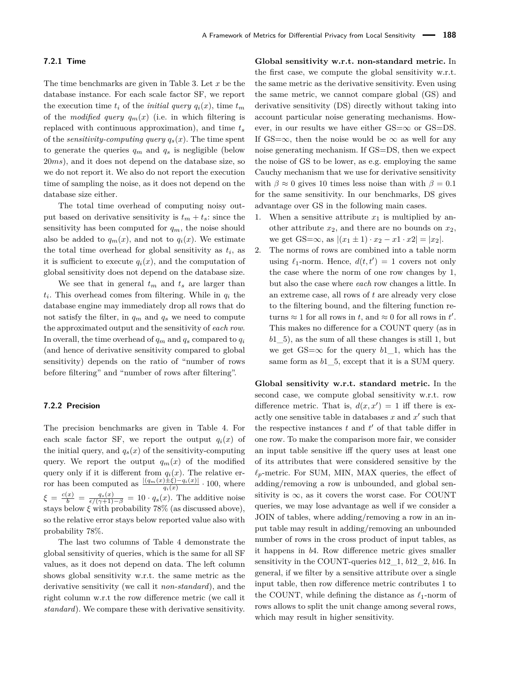#### **7.2.1 Time**

The time benchmarks are given in Table [3.](#page-14-0) Let *x* be the database instance. For each scale factor SF, we report the execution time  $t_i$  of the *initial query*  $q_i(x)$ , time  $t_m$ of the *modified query*  $q_m(x)$  (i.e. in which filtering is replaced with continuous approximation), and time *t<sup>s</sup>* of the *sensitivity-computing query*  $q_s(x)$ . The time spent to generate the queries  $q_m$  and  $q_s$  is negligible (below 20*ms*), and it does not depend on the database size, so we do not report it. We also do not report the execution time of sampling the noise, as it does not depend on the database size either.

The total time overhead of computing noisy output based on derivative sensitivity is  $t_m + t_s$ : since the sensitivity has been computed for  $q_m$ , the noise should also be added to  $q_m(x)$ , and not to  $q_i(x)$ . We estimate the total time overhead for global sensitivity as  $t_i$ , as it is sufficient to execute  $q_i(x)$ , and the computation of global sensitivity does not depend on the database size.

We see that in general  $t_m$  and  $t_s$  are larger than *ti* . This overhead comes from filtering. While in *q<sup>i</sup>* the database engine may immediately drop all rows that do not satisfy the filter, in  $q_m$  and  $q_s$  we need to compute the approximated output and the sensitivity of *each row*. In overall, the time overhead of  $q_m$  and  $q_s$  compared to  $q_i$ (and hence of derivative sensitivity compared to global sensitivity) depends on the ratio of "number of rows before filtering" and "number of rows after filtering".

#### **7.2.2 Precision**

The precision benchmarks are given in Table [4.](#page-14-1) For each scale factor SF, we report the output  $q_i(x)$  of the initial query, and  $q_s(x)$  of the sensitivity-computing query. We report the output  $q_m(x)$  of the modified query only if it is different from  $q_i(x)$ . The relative error has been computed as  $\frac{|(q_m(x)\pm\xi)-q_i(x)|}{q_i(x)} \cdot 100$ , where  $\xi = \frac{c(x)}{b} = \frac{q_s(x)}{\epsilon/(\gamma+1)-\beta} = 10 \cdot q_s(x)$ . The additive noise stays below  $\xi$  with probability 78% (as discussed above), so the relative error stays below reported value also with probability 78%.

The last two columns of Table [4](#page-14-1) demonstrate the global sensitivity of queries, which is the same for all SF values, as it does not depend on data. The left column shows global sensitivity w.r.t. the same metric as the derivative sensitivity (we call it *non-standard*), and the right column w.r.t the row difference metric (we call it *standard*). We compare these with derivative sensitivity.

**Global sensitivity w.r.t. non-standard metric.** In the first case, we compute the global sensitivity w.r.t. the same metric as the derivative sensitivity. Even using the same metric, we cannot compare global (GS) and derivative sensitivity (DS) directly without taking into account particular noise generating mechanisms. However, in our results we have either  $GS=\infty$  or  $GS=DSS$ . If GS= $\infty$ , then the noise would be  $\infty$  as well for any noise generating mechanism. If GS=DS, then we expect the noise of GS to be lower, as e.g. employing the same Cauchy mechanism that we use for derivative sensitivity with  $\beta \approx 0$  gives 10 times less noise than with  $\beta = 0.1$ for the same sensitivity. In our benchmarks, DS gives advantage over GS in the following main cases.

- 1. When a sensitive attribute  $x_1$  is multiplied by another attribute  $x_2$ , and there are no bounds on  $x_2$ , we get  $GS=\infty$ , as  $|(x_1 \pm 1) \cdot x_2 - x1 \cdot x2| = |x_2|$ .
- 2. The norms of rows are combined into a table norm using  $\ell_1$ -norm. Hence,  $d(t, t') = 1$  covers not only the case where the norm of one row changes by 1, but also the case where *each* row changes a little. In an extreme case, all rows of *t* are already very close to the filtering bound, and the filtering function returns  $\approx 1$  for all rows in *t*, and  $\approx 0$  for all rows in *t'*. This makes no difference for a COUNT query (as in  $b1\quad 5$ , as the sum of all these changes is still 1, but we get  $GS=\infty$  for the query *b*1 1, which has the same form as *b*1\_5, except that it is a SUM query.

**Global sensitivity w.r.t. standard metric.** In the second case, we compute global sensitivity w.r.t. row difference metric. That is,  $d(x, x') = 1$  iff there is exactly one sensitive table in databases  $x$  and  $x'$  such that the respective instances  $t$  and  $t'$  of that table differ in one row. To make the comparison more fair, we consider an input table sensitive iff the query uses at least one of its attributes that were considered sensitive by the  $\ell_p$ -metric. For SUM, MIN, MAX queries, the effect of adding/removing a row is unbounded, and global sensitivity is  $\infty$ , as it covers the worst case. For COUNT queries, we may lose advantage as well if we consider a JOIN of tables, where adding/removing a row in an input table may result in adding/removing an unbounded number of rows in the cross product of input tables, as it happens in *b*4. Row difference metric gives smaller sensitivity in the COUNT-queries *b*12\_1, *b*12\_2, *b*16. In general, if we filter by a sensitive attribute over a single input table, then row difference metric contributes 1 to the COUNT, while defining the distance as  $\ell_1$ -norm of rows allows to split the unit change among several rows, which may result in higher sensitivity.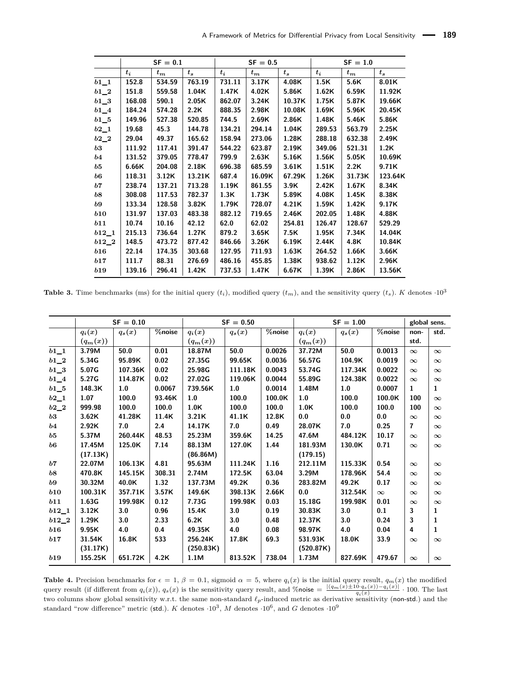<span id="page-14-0"></span>

|            |        | $SF = 0.1$  |         |        | $SF = 0.5$  |         | $SF = 1.0$ |             |         |
|------------|--------|-------------|---------|--------|-------------|---------|------------|-------------|---------|
|            | $t_i$  | $t_{\bm m}$ | $t_{s}$ | $t_i$  | $t_{\bm m}$ | $t_{s}$ | $t_i$      | $t_{\bm m}$ | $t_{s}$ |
| $b1_1$     | 152.8  | 534.59      | 763.19  | 731.11 | 3.17K       | 4.08K   | 1.5K       | 5.6K        | 8.01K   |
| $b1_2$     | 151.8  | 559.58      | 1.04K   | 1.47K  | 4.02K       | 5.86K   | 1.62K      | 6.59K       | 11.92K  |
| $b1\_3$    | 168.08 | 590.1       | 2.05K   | 862.07 | 3.24K       | 10.37K  | 1.75K      | 5.87K       | 19.66K  |
| $b1_4$     | 184.24 | 574.28      | 2.2K    | 888.35 | 2.98K       | 10.08K  | 1.69K      | 5.96K       | 20.45K  |
| $b1\_5$    | 149.96 | 527.38      | 520.85  | 744.5  | 2.69K       | 2.86K   | 1.48K      | 5.46K       | 5.86K   |
| $b2_1$     | 19.68  | 45.3        | 144.78  | 134.21 | 294.14      | 1.04K   | 289.53     | 563.79      | 2.25K   |
| $b2_2$     | 29.04  | 49.37       | 165.62  | 158.94 | 273.06      | 1.28K   | 288.18     | 632.38      | 2.49K   |
| b3         | 111.92 | 117.41      | 391.47  | 544.22 | 623.87      | 2.19K   | 349.06     | 521.31      | 1.2K    |
| $^{b4}$    | 131.52 | 379.05      | 778.47  | 799.9  | 2.63K       | 5.16K   | 1.56K      | 5.05K       | 10.69K  |
| b5         | 6.66K  | 204.08      | 2.18K   | 696.38 | 685.59      | 3.61K   | 1.51K      | 2.2K        | 9.71K   |
| b6         | 118.31 | 3.12K       | 13.21K  | 687.4  | 16.09K      | 67.29K  | 1.26K      | 31.73K      | 123.64K |
| b7         | 238.74 | 137.21      | 713.28  | 1.19K  | 861.55      | 3.9K    | 2.42K      | 1.67K       | 8.34K   |
| b8         | 308.08 | 117.53      | 782.37  | 1.3K   | 1.73K       | 5.89K   | 4.08K      | 1.45K       | 8.38K   |
| b9         | 133.34 | 128.58      | 3.82K   | 1.79K  | 728.07      | 4.21K   | 1.59K      | 1.42K       | 9.17K   |
| b10        | 131.97 | 137.03      | 483.38  | 882.12 | 719.65      | 2.46K   | 202.05     | 1.48K       | 4.88K   |
| b11        | 10.74  | 10.16       | 42.12   | 62.0   | 62.02       | 254.81  | 126.47     | 128.67      | 529.29  |
| $b12\_1$   | 215.13 | 736.64      | 1.27K   | 879.2  | 3.65K       | 7.5K    | 1.95K      | 7.34K       | 14.04K  |
| $b12\_2$   | 148.5  | 473.72      | 877.42  | 846.66 | 3.26K       | 6.19K   | 2.44K      | 4.8K        | 10.84K  |
| b16        | 22.14  | 174.35      | 303.68  | 127.95 | 711.93      | 1.63K   | 264.52     | 1.66K       | 3.66K   |
| b17        | 111.7  | 88.31       | 276.69  | 486.16 | 455.85      | 1.38K   | 938.62     | 1.12K       | 2.96K   |
| <b>b19</b> | 139.16 | 296.41      | 1.42K   | 737.53 | 1.47K       | 6.67K   | 1.39K      | 2.86K       | 13.56K  |

**Table 3.** Time benchmarks (ms) for the initial query  $(t_i)$ , modified query  $(t_m)$ , and the sensitivity query  $(t_s)$ . *K* denotes  $\cdot 10^3$ 

<span id="page-14-1"></span>

|                   |            | $SF = 0.10$<br>$SF = 0.50$ |        | $SF = 1.00$ | global sens. |        |            |          |          |                |          |
|-------------------|------------|----------------------------|--------|-------------|--------------|--------|------------|----------|----------|----------------|----------|
|                   | $q_i(x)$   | $q_s(x)$                   | %noise | $q_i(x)$    | $q_s(x)$     | %noise | $q_i(x)$   | $q_s(x)$ | %noise   | non-           | std.     |
|                   | $(q_m(x))$ |                            |        | $(q_m(x))$  |              |        | $(q_m(x))$ |          |          | std.           |          |
| $b1_1$            | 3.79M      | 50.0                       | 0.01   | 18.87M      | 50.0         | 0.0026 | 37.72M     | 50.0     | 0.0013   | $\infty$       | $\infty$ |
| $b1_2$            | 5.34G      | 95.89K                     | 0.02   | 27.35G      | 99.65K       | 0.0036 | 56.57G     | 104.9K   | 0.0019   | $\infty$       | $\infty$ |
| $b1_3$            | 5.07G      | 107.36K                    | 0.02   | 25.98G      | 111.18K      | 0.0043 | 53.74G     | 117.34K  | 0.0022   | $\infty$       | $\infty$ |
| $b1_4$            | 5.27G      | 114.87K                    | 0.02   | 27.02G      | 119.06K      | 0.0044 | 55.89G     | 124.38K  | 0.0022   | $\infty$       | $\infty$ |
| $b1\_5$           | 148.3K     | 1.0                        | 0.0067 | 739.56K     | 1.0          | 0.0014 | 1.48M      | 1.0      | 0.0007   | 1              | 1        |
| $b2_1$            | 1.07       | 100.0                      | 93.46K | 1.0         | 100.0        | 100.0K | 1.0        | 100.0    | 100.0K   | 100            | $\infty$ |
| $b2_2$            | 999.98     | 100.0                      | 100.0  | 1.0K        | 100.0        | 100.0  | 1.0K       | 100.0    | 100.0    | 100            | $\infty$ |
| $\bm{b3}$         | 3.62K      | 41.28K                     | 11.4K  | 3.21K       | 41.1K        | 12.8K  | 0.0        | 0.0      | 0.0      | $\infty$       | $\infty$ |
| b4                | 2.92K      | 7.0                        | 2.4    | 14.17K      | 7.0          | 0.49   | 28.07K     | 7.0      | 0.25     | $\overline{7}$ | $\infty$ |
| b5                | 5.37M      | 260.44K                    | 48.53  | 25.23M      | 359.6K       | 14.25  | 47.6M      | 484.12K  | 10.17    | $\infty$       | $\infty$ |
| $\boldsymbol{b6}$ | 17.45M     | 125.0K                     | 7.14   | 88.13M      | 127.0K       | 1.44   | 181.93M    | 130.0K   | 0.71     | $\infty$       | $\infty$ |
|                   | (17.13K)   |                            |        | (86.86M)    |              |        | (179.15)   |          |          |                |          |
| b7                | 22.07M     | 106.13K                    | 4.81   | 95.63M      | 111.24K      | 1.16   | 212.11M    | 115.33K  | 0.54     | $\infty$       | $\infty$ |
| b8                | 470.8K     | 145.15K                    | 308.31 | 2.74M       | 172.5K       | 63.04  | 3.29M      | 178.96K  | 54.4     | $\infty$       | $\infty$ |
| b9                | 30.32M     | 40.0K                      | 1.32   | 137.73M     | 49.2K        | 0.36   | 283.82M    | 49.2K    | 0.17     | $\infty$       | $\infty$ |
| b10               | 100.31K    | 357.71K                    | 3.57K  | 149.6K      | 398.13K      | 2.66K  | 0.0        | 312.54K  | $\infty$ | $\infty$       | $\infty$ |
| b11               | 1.63G      | 199.98K                    | 0.12   | 7.73G       | 199.98K      | 0.03   | 15.18G     | 199.98K  | 0.01     | $\infty$       | $\infty$ |
| $b12\_1$          | 3.12K      | 3.0                        | 0.96   | 15.4K       | 3.0          | 0.19   | 30.83K     | 3.0      | 0.1      | 3              | 1        |
| $b12\_2$          | 1.29K      | 3.0                        | 2.33   | 6.2K        | 3.0          | 0.48   | 12.37K     | 3.0      | 0.24     | 3              | 1        |
| b16               | 9.95K      | 4.0                        | 0.4    | 49.35K      | 4.0          | 0.08   | 98.97K     | 4.0      | 0.04     | 4              | 1        |
| b17               | 31.54K     | 16.8K                      | 533    | 256.24K     | 17.8K        | 69.3   | 531.93K    | 18.0K    | 33.9     | $\infty$       | $\infty$ |
|                   | (31.17K)   |                            |        | (250.83K)   |              |        | (520.87K)  |          |          |                |          |
| b19               | 155.25K    | 651.72K                    | 4.2K   | 1.1M        | 813.52K      | 738.04 | 1.73M      | 827.69K  | 479.67   | $\infty$       | $\infty$ |

**Table 4.** Precision benchmarks for  $\epsilon = 1$ ,  $\beta = 0.1$ , sigmoid  $\alpha = 5$ , where  $q_i(x)$  is the initial query result,  $q_m(x)$  the modified query result (if different from  $q_i(x)$ ),  $q_s(x)$  is the sensitivity query result, and %noise  $=\frac{|(q_m(x)\pm 10 \cdot q_s(x)) - q_i(x)|}{q_i(x)} \cdot 100$ . The last two columns show global sensitivity w.r.t. the same non-standard  $\ell_p$ -induced metric as derivative sensitivity (non-std.) and the standard "row difference" metric (std.). *K* denotes  $\cdot 10^3$ , *M* denotes  $\cdot 10^6$ , and *G* denotes  $\cdot 10^9$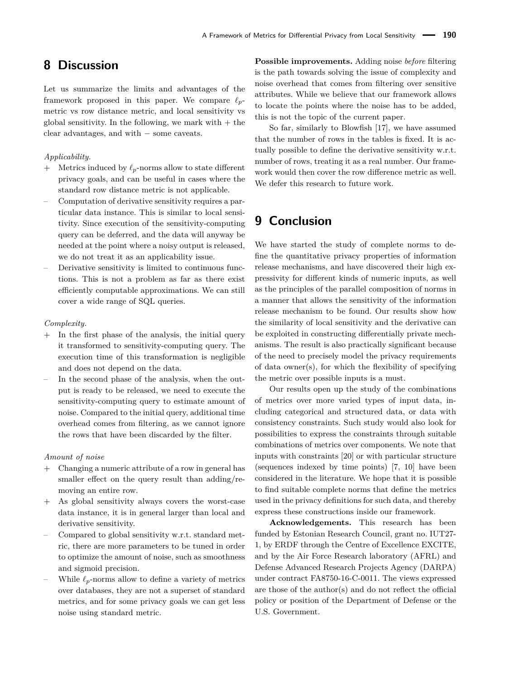# **8 Discussion**

Let us summarize the limits and advantages of the framework proposed in this paper. We compare  $\ell_p$ metric vs row distance metric, and local sensitivity vs global sensitivity. In the following, we mark with  $+$  the clear advantages, and with − some caveats.

#### *Applicability.*

- $+$  Metrics induced by  $\ell_p$ -norms allow to state different privacy goals, and can be useful in cases where the standard row distance metric is not applicable.
- Computation of derivative sensitivity requires a particular data instance. This is similar to local sensitivity. Since execution of the sensitivity-computing query can be deferred, and the data will anyway be needed at the point where a noisy output is released, we do not treat it as an applicability issue.
- Derivative sensitivity is limited to continuous functions. This is not a problem as far as there exist efficiently computable approximations. We can still cover a wide range of SQL queries.

#### *Complexity.*

- + In the first phase of the analysis, the initial query it transformed to sensitivity-computing query. The execution time of this transformation is negligible and does not depend on the data.
- In the second phase of the analysis, when the output is ready to be released, we need to execute the sensitivity-computing query to estimate amount of noise. Compared to the initial query, additional time overhead comes from filtering, as we cannot ignore the rows that have been discarded by the filter.

#### *Amount of noise*

- + Changing a numeric attribute of a row in general has smaller effect on the query result than adding/removing an entire row.
- + As global sensitivity always covers the worst-case data instance, it is in general larger than local and derivative sensitivity.
- Compared to global sensitivity w.r.t. standard metric, there are more parameters to be tuned in order to optimize the amount of noise, such as smoothness and sigmoid precision.
- While  $\ell_p$ -norms allow to define a variety of metrics over databases, they are not a superset of standard metrics, and for some privacy goals we can get less noise using standard metric.

**Possible improvements.** Adding noise *before* filtering is the path towards solving the issue of complexity and noise overhead that comes from filtering over sensitive attributes. While we believe that our framework allows to locate the points where the noise has to be added, this is not the topic of the current paper.

So far, similarly to Blowfish [\[17\]](#page-16-7), we have assumed that the number of rows in the tables is fixed. It is actually possible to define the derivative sensitivity w.r.t. number of rows, treating it as a real number. Our framework would then cover the row difference metric as well. We defer this research to future work.

# **9 Conclusion**

We have started the study of complete norms to define the quantitative privacy properties of information release mechanisms, and have discovered their high expressivity for different kinds of numeric inputs, as well as the principles of the parallel composition of norms in a manner that allows the sensitivity of the information release mechanism to be found. Our results show how the similarity of local sensitivity and the derivative can be exploited in constructing differentially private mechanisms. The result is also practically significant because of the need to precisely model the privacy requirements of data owner(s), for which the flexibility of specifying the metric over possible inputs is a must.

Our results open up the study of the combinations of metrics over more varied types of input data, including categorical and structured data, or data with consistency constraints. Such study would also look for possibilities to express the constraints through suitable combinations of metrics over components. We note that inputs with constraints [\[20\]](#page-16-8) or with particular structure (sequences indexed by time points) [\[7,](#page-16-21) [10\]](#page-16-22) have been considered in the literature. We hope that it is possible to find suitable complete norms that define the metrics used in the privacy definitions for such data, and thereby express these constructions inside our framework.

**Acknowledgements.** This research has been funded by Estonian Research Council, grant no. IUT27- 1, by ERDF through the Centre of Excellence EXCITE, and by the Air Force Research laboratory (AFRL) and Defense Advanced Research Projects Agency (DARPA) under contract FA8750-16-C-0011. The views expressed are those of the author(s) and do not reflect the official policy or position of the Department of Defense or the U.S. Government.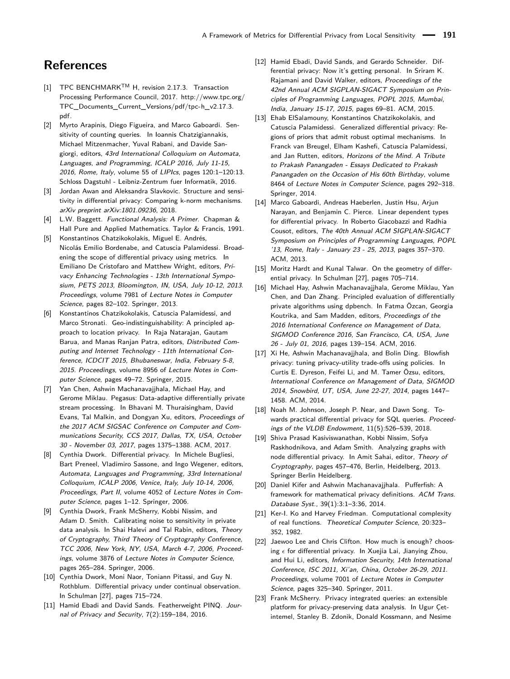# **References**

- <span id="page-16-20"></span>[1] TPC BENCHMARK<sup>™</sup> H, revision 2.17.3. Transaction Processing Performance Council, 2017. [http://www.tpc.org/](http://www.tpc.org/TPC_Documents_Current_Versions/pdf/tpc-h_v2.17.3.pdf) [TPC\\_Documents\\_Current\\_Versions/pdf/tpc-h\\_v2.17.3.](http://www.tpc.org/TPC_Documents_Current_Versions/pdf/tpc-h_v2.17.3.pdf) [pdf.](http://www.tpc.org/TPC_Documents_Current_Versions/pdf/tpc-h_v2.17.3.pdf)
- <span id="page-16-14"></span>[2] Myrto Arapinis, Diego Figueira, and Marco Gaboardi. Sensitivity of counting queries. In Ioannis Chatzigiannakis, Michael Mitzenmacher, Yuval Rabani, and Davide Sangiorgi, editors, 43rd International Colloquium on Automata, Languages, and Programming, ICALP 2016, July 11-15, 2016, Rome, Italy, volume 55 of LIPIcs, pages 120:1–120:13. Schloss Dagstuhl - Leibniz-Zentrum fuer Informatik, 2016.
- <span id="page-16-9"></span>[3] Jordan Awan and Aleksandra Slavkovic. Structure and sensitivity in differential privacy: Comparing k-norm mechanisms. arXiv preprint arXiv:1801.09236, 2018.
- <span id="page-16-17"></span>[4] L.W. Baggett. Functional Analysis: A Primer. Chapman & Hall Pure and Applied Mathematics. Taylor & Francis, 1991.
- <span id="page-16-2"></span>[5] Konstantinos Chatzikokolakis, Miguel E. Andrés, Nicolás Emilio Bordenabe, and Catuscia Palamidessi. Broadening the scope of differential privacy using metrics. In Emiliano De Cristofaro and Matthew Wright, editors, Privacy Enhancing Technologies - 13th International Symposium, PETS 2013, Bloomington, IN, USA, July 10-12, 2013. Proceedings, volume 7981 of Lecture Notes in Computer Science, pages 82–102. Springer, 2013.
- <span id="page-16-5"></span>[6] Konstantinos Chatzikokolakis, Catuscia Palamidessi, and Marco Stronati. Geo-indistinguishability: A principled approach to location privacy. In Raja Natarajan, Gautam Barua, and Manas Ranjan Patra, editors, Distributed Computing and Internet Technology - 11th International Conference, ICDCIT 2015, Bhubaneswar, India, February 5-8, 2015. Proceedings, volume 8956 of Lecture Notes in Computer Science, pages 49–72. Springer, 2015.
- <span id="page-16-21"></span>[7] Yan Chen, Ashwin Machanavajjhala, Michael Hay, and Gerome Miklau. Pegasus: Data-adaptive differentially private stream processing. In Bhavani M. Thuraisingham, David Evans, Tal Malkin, and Dongyan Xu, editors, Proceedings of the 2017 ACM SIGSAC Conference on Computer and Communications Security, CCS 2017, Dallas, TX, USA, October 30 - November 03, 2017, pages 1375–1388. ACM, 2017.
- <span id="page-16-0"></span>[8] Cynthia Dwork. Differential privacy. In Michele Bugliesi, Bart Preneel, Vladimiro Sassone, and Ingo Wegener, editors, Automata, Languages and Programming, 33rd International Colloquium, ICALP 2006, Venice, Italy, July 10-14, 2006, Proceedings, Part II, volume 4052 of Lecture Notes in Computer Science, pages 1–12. Springer, 2006.
- <span id="page-16-16"></span>[9] Cynthia Dwork, Frank McSherry, Kobbi Nissim, and Adam D. Smith. Calibrating noise to sensitivity in private data analysis. In Shai Halevi and Tal Rabin, editors, Theory of Cryptography, Third Theory of Cryptography Conference, TCC 2006, New York, NY, USA, March 4-7, 2006, Proceedings, volume 3876 of Lecture Notes in Computer Science, pages 265–284. Springer, 2006.
- <span id="page-16-22"></span>[10] Cynthia Dwork, Moni Naor, Toniann Pitassi, and Guy N. Rothblum. Differential privacy under continual observation. In Schulman [\[27\]](#page-17-7), pages 715–724.
- <span id="page-16-12"></span>[11] Hamid Ebadi and David Sands. Featherweight PINQ. Journal of Privacy and Security, 7(2):159–184, 2016.
- <span id="page-16-6"></span>[12] Hamid Ebadi, David Sands, and Gerardo Schneider. Differential privacy: Now it's getting personal. In Sriram K. Rajamani and David Walker, editors, Proceedings of the 42nd Annual ACM SIGPLAN-SIGACT Symposium on Principles of Programming Languages, POPL 2015, Mumbai, India, January 15-17, 2015, pages 69–81. ACM, 2015.
- <span id="page-16-4"></span>[13] Ehab ElSalamouny, Konstantinos Chatzikokolakis, and Catuscia Palamidessi. Generalized differential privacy: Regions of priors that admit robust optimal mechanisms. In Franck van Breugel, Elham Kashefi, Catuscia Palamidessi, and Jan Rutten, editors, Horizons of the Mind. A Tribute to Prakash Panangaden - Essays Dedicated to Prakash Panangaden on the Occasion of His 60th Birthday, volume 8464 of Lecture Notes in Computer Science, pages 292–318. Springer, 2014.
- <span id="page-16-13"></span>[14] Marco Gaboardi, Andreas Haeberlen, Justin Hsu, Arjun Narayan, and Benjamin C. Pierce. Linear dependent types for differential privacy. In Roberto Giacobazzi and Radhia Cousot, editors, The 40th Annual ACM SIGPLAN-SIGACT Symposium on Principles of Programming Languages, POPL '13, Rome, Italy - January 23 - 25, 2013, pages 357–370. ACM, 2013.
- <span id="page-16-10"></span>[15] Moritz Hardt and Kunal Talwar. On the geometry of differential privacy. In Schulman [\[27\]](#page-17-7), pages 705–714.
- <span id="page-16-1"></span>[16] Michael Hay, Ashwin Machanavajjhala, Gerome Miklau, Yan Chen, and Dan Zhang. Principled evaluation of differentially private algorithms using dpbench. In Fatma Özcan, Georgia Koutrika, and Sam Madden, editors, Proceedings of the 2016 International Conference on Management of Data, SIGMOD Conference 2016, San Francisco, CA, USA, June 26 - July 01, 2016, pages 139–154. ACM, 2016.
- <span id="page-16-7"></span>[17] Xi He, Ashwin Machanavajihala, and Bolin Ding. Blowfish privacy: tuning privacy-utility trade-offs using policies. In Curtis E. Dyreson, Feifei Li, and M. Tamer Özsu, editors, International Conference on Management of Data, SIGMOD 2014, Snowbird, UT, USA, June 22-27, 2014, pages 1447– 1458. ACM, 2014.
- <span id="page-16-15"></span>[18] Noah M. Johnson, Joseph P. Near, and Dawn Song. Towards practical differential privacy for SQL queries. Proceedings of the VLDB Endowment, 11(5):526–539, 2018.
- <span id="page-16-11"></span>[19] Shiva Prasad Kasiviswanathan, Kobbi Nissim, Sofya Raskhodnikova, and Adam Smith. Analyzing graphs with node differential privacy. In Amit Sahai, editor, Theory of Cryptography, pages 457–476, Berlin, Heidelberg, 2013. Springer Berlin Heidelberg.
- <span id="page-16-8"></span>[20] Daniel Kifer and Ashwin Machanavajjhala. Pufferfish: A framework for mathematical privacy definitions. ACM Trans. Database Syst., 39(1):3:1–3:36, 2014.
- <span id="page-16-18"></span>[21] Ker-I. Ko and Harvey Friedman. Computational complexity of real functions. Theoretical Computer Science, 20:323– 352, 1982.
- <span id="page-16-19"></span>[22] Jaewoo Lee and Chris Clifton. How much is enough? choosing  $\epsilon$  for differential privacy. In Xuejia Lai, Jianying Zhou, and Hui Li, editors, Information Security, 14th International Conference, ISC 2011, Xi'an, China, October 26-29, 2011. Proceedings, volume 7001 of Lecture Notes in Computer Science, pages 325–340. Springer, 2011.
- <span id="page-16-3"></span>[23] Frank McSherry. Privacy integrated queries: an extensible platform for privacy-preserving data analysis. In Ugur Çetintemel, Stanley B. Zdonik, Donald Kossmann, and Nesime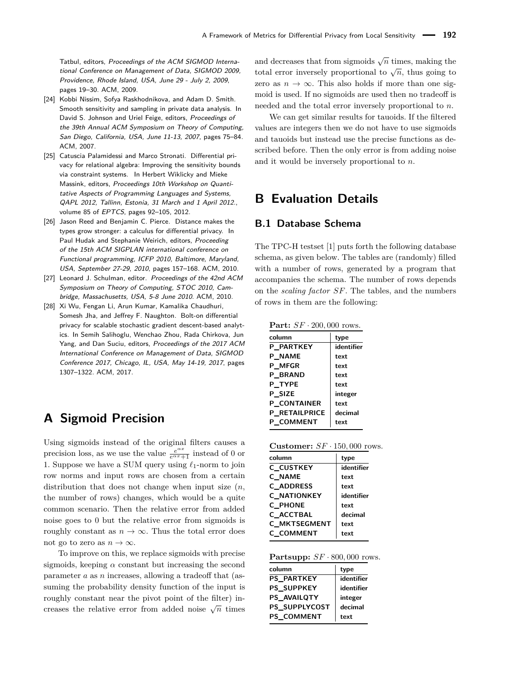Tatbul, editors, Proceedings of the ACM SIGMOD International Conference on Management of Data, SIGMOD 2009, Providence, Rhode Island, USA, June 29 - July 2, 2009, pages 19–30. ACM, 2009.

- <span id="page-17-0"></span>[24] Kobbi Nissim, Sofya Raskhodnikova, and Adam D. Smith. Smooth sensitivity and sampling in private data analysis. In David S. Johnson and Uriel Feige, editors, Proceedings of the 39th Annual ACM Symposium on Theory of Computing, San Diego, California, USA, June 11-13, 2007, pages 75–84. ACM, 2007.
- <span id="page-17-2"></span>[25] Catuscia Palamidessi and Marco Stronati. Differential privacy for relational algebra: Improving the sensitivity bounds via constraint systems. In Herbert Wiklicky and Mieke Massink, editors, Proceedings 10th Workshop on Quantitative Aspects of Programming Languages and Systems, QAPL 2012, Tallinn, Estonia, 31 March and 1 April 2012., volume 85 of EPTCS, pages 92–105, 2012.
- <span id="page-17-3"></span>[26] Jason Reed and Benjamin C. Pierce. Distance makes the types grow stronger: a calculus for differential privacy. In Paul Hudak and Stephanie Weirich, editors, Proceeding of the 15th ACM SIGPLAN international conference on Functional programming, ICFP 2010, Baltimore, Maryland, USA, September 27-29, 2010, pages 157–168. ACM, 2010.
- <span id="page-17-7"></span>[27] Leonard J. Schulman, editor. Proceedings of the 42nd ACM Symposium on Theory of Computing, STOC 2010, Cambridge, Massachusetts, USA, 5-8 June 2010. ACM, 2010.
- <span id="page-17-1"></span>[28] Xi Wu, Fengan Li, Arun Kumar, Kamalika Chaudhuri, Somesh Jha, and Jeffrey F. Naughton. Bolt-on differential privacy for scalable stochastic gradient descent-based analytics. In Semih Salihoglu, Wenchao Zhou, Rada Chirkova, Jun Yang, and Dan Suciu, editors, Proceedings of the 2017 ACM International Conference on Management of Data, SIGMOD Conference 2017, Chicago, IL, USA, May 14-19, 2017, pages 1307–1322. ACM, 2017.

# <span id="page-17-6"></span>**A Sigmoid Precision**

Using sigmoids instead of the original filters causes a precision loss, as we use the value  $\frac{e^{\alpha x}}{e^{\alpha x}+1}$  instead of 0 or 1. Suppose we have a SUM query using  $\ell_1$ -norm to join row norms and input rows are chosen from a certain distribution that does not change when input size (*n*, the number of rows) changes, which would be a quite common scenario. Then the relative error from added noise goes to 0 but the relative error from sigmoids is roughly constant as  $n \to \infty$ . Thus the total error does not go to zero as  $n \to \infty$ .

To improve on this, we replace sigmoids with precise sigmoids, keeping  $\alpha$  constant but increasing the second parameter *a* as *n* increases, allowing a tradeoff that (assuming the probability density function of the input is roughly constant near the pivot point of the filter) increases the relative error from added noise  $\sqrt{n}$  times

and decreases that from sigmoids  $\sqrt{n}$  times, making the total error inversely proportional to  $\sqrt{n}$ , thus going to zero as  $n \to \infty$ . This also holds if more than one sigmoid is used. If no sigmoids are used then no tradeoff is needed and the total error inversely proportional to *n*.

We can get similar results for tauoids. If the filtered values are integers then we do not have to use sigmoids and tauoids but instead use the precise functions as described before. Then the only error is from adding noise and it would be inversely proportional to *n*.

# <span id="page-17-4"></span>**B Evaluation Details**

# <span id="page-17-5"></span>**B.1 Database Schema**

The TPC-H testset [\[1\]](#page-16-20) puts forth the following database schema, as given below. The tables are (randomly) filled with a number of rows, generated by a program that accompanies the schema. The number of rows depends on the *scaling factor SF*. The tables, and the numbers of rows in them are the following:

**Part:** *SF* · 200*,* 000 rows.

| column               | type       |
|----------------------|------------|
| <b>P PARTKEY</b>     | identifier |
| <b>P NAME</b>        | text       |
| <b>P MFGR</b>        | text       |
| <b>P BRAND</b>       | text       |
| P TYPE               | text       |
| <b>P SIZE</b>        | integer    |
| <b>P CONTAINER</b>   | text       |
| <b>P RETAILPRICE</b> | decimal    |
| <b>P COMMENT</b>     | text       |

| <b>Customer:</b> $SF \cdot 150,000$ rows. |  |  |  |  |
|-------------------------------------------|--|--|--|--|
|-------------------------------------------|--|--|--|--|

| column           | type       |
|------------------|------------|
| C CUSTKEY        | identifier |
| C NAME           | text       |
| <b>C ADDRESS</b> | text       |
| C NATIONKEY      | identifier |
| <b>C PHONE</b>   | text       |
| C ACCTBAL        | decimal    |
| C MKTSEGMENT     | text       |
| <b>C COMMENT</b> | text       |

**Partsupp:** *SF* · 800*,* 000 rows.

| column               | type       |
|----------------------|------------|
| <b>PS PARTKEY</b>    | identifier |
| PS SUPPKEY           | identifier |
| <b>PS AVAILOTY</b>   | integer    |
| <b>PS SUPPLYCOST</b> | decimal    |
| PS COMMENT           | text       |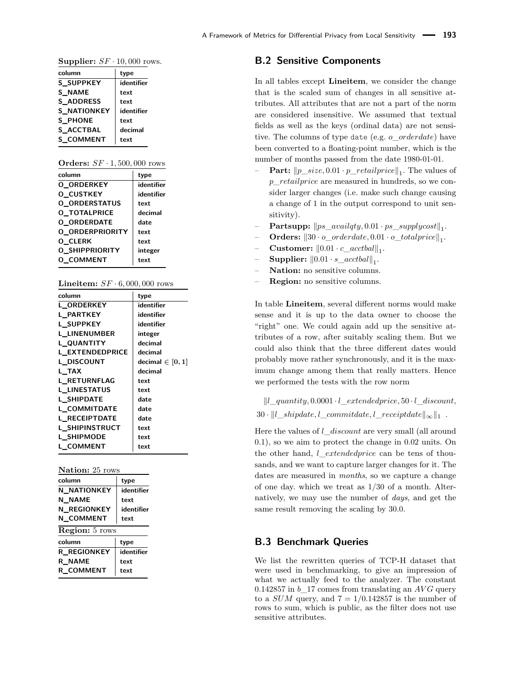| <b>Supplier:</b> $SF \cdot 10,000$ rows. |            |  |  |  |  |
|------------------------------------------|------------|--|--|--|--|
| column                                   | type       |  |  |  |  |
| <b>S SUPPKEY</b>                         | identifier |  |  |  |  |
| <b>S_NAME</b>                            | text       |  |  |  |  |
| S ADDRESS                                | text       |  |  |  |  |
| S NATIONKEY                              | identifier |  |  |  |  |
| <b>S PHONE</b>                           | text       |  |  |  |  |

**S\_ACCTBAL decimal S\_COMMENT text**

| <b>Orders:</b> $SF \cdot 1,500,000$ rows |  |  |  |  |  |
|------------------------------------------|--|--|--|--|--|
|------------------------------------------|--|--|--|--|--|

| column               | type       |
|----------------------|------------|
| <b>O ORDERKEY</b>    | identifier |
| <b>O CUSTKEY</b>     | identifier |
| <b>O ORDERSTATUS</b> | text       |
| O TOTALPRICE         | decimal    |
| <b>O ORDERDATE</b>   | date       |
| O ORDERPRIORITY      | text       |
| <b>O CLERK</b>       | text       |
| O SHIPPRIORITY       | integer    |
| <b>O COMMENT</b>     | text       |
|                      |            |

| <b>Lineitem:</b> $SF \cdot 6,000,000$ rows |  |  |  |  |  |
|--------------------------------------------|--|--|--|--|--|
|--------------------------------------------|--|--|--|--|--|

| column                 | type                 |
|------------------------|----------------------|
| <b>L ORDERKEY</b>      | identifier           |
| L PARTKEY              | identifier           |
| L SUPPKEY              | identifier           |
| <b>L LINENUMBER</b>    | integer              |
| L QUANTITY             | decimal              |
| <b>L EXTENDEDPRICE</b> | decimal              |
| L DISCOUNT             | decimal $\in$ [0, 1] |
| L TAX                  | decimal              |
| <b>L RETURNFLAG</b>    | text                 |
| <b>L LINESTATUS</b>    | text                 |
| L SHIPDATE             | date                 |
| L COMMITDATE           | date                 |
| <b>L RECEIPTDATE</b>   | date                 |
| L SHIPINSTRUCT         | text                 |
| L SHIPMODE             | text                 |
| L COMMENT              | text                 |

**Nation:** 25 rows

| column                | type       |  |  |  |  |
|-----------------------|------------|--|--|--|--|
| <b>N_NATIONKEY</b>    | identifier |  |  |  |  |
| N NAME                | text       |  |  |  |  |
| N REGIONKEY           | identifier |  |  |  |  |
| N COMMENT             | text       |  |  |  |  |
| <b>Region:</b> 5 rows |            |  |  |  |  |
|                       |            |  |  |  |  |
| column                | type       |  |  |  |  |
| R REGIONKEY           | identifier |  |  |  |  |
| <b>R NAME</b>         | text       |  |  |  |  |

### <span id="page-18-0"></span>**B.2 Sensitive Components**

In all tables except **Lineitem**, we consider the change that is the scaled sum of changes in all sensitive attributes. All attributes that are not a part of the norm are considered insensitive. We assumed that textual fields as well as the keys (ordinal data) are not sensitive. The columns of type date (e.g. *o*\_*orderdate*) have been converted to a floating-point number, which is the number of months passed from the date 1980-01-01.

- $-$  **Part:**  $\|p\_size, 0.01 \cdot p\_retailprice\|_1$ . The values of *p*\_*retailprice* are measured in hundreds, so we consider larger changes (i.e. make such change causing a change of 1 in the output correspond to unit sensitivity).
- $-$  **Partsupp:**  $\|ps\_availqty, 0.01 \cdot ps\_supplycost\|_1$ .
- $-$  **Orders:**  $\|30 \cdot o\_orderdate, 0.01 \cdot o\_totalprice\|_1$ .
- $-$  **Customer:**  $\|0.01 \cdot c\_acctbal\|_1$ .
- $-$  **Supplier:**  $\|0.01 \cdot s\_accbbal\|_1$ .
- **Nation:** no sensitive columns.
- **Region:** no sensitive columns.

In table **Lineitem**, several different norms would make sense and it is up to the data owner to choose the "right" one. We could again add up the sensitive attributes of a row, after suitably scaling them. But we could also think that the three different dates would probably move rather synchronously, and it is the maximum change among them that really matters. Hence we performed the tests with the row norm

 $\Vert l \Vert$  quantity, 0.0001 · *l* extendedprice, 50 · *l* discount,  $30 \cdot ||l\_shipdate, l\_commitdate, l\_receivedate||_{\infty}||_1$ .

Here the values of *l*\_*discount* are very small (all around 0*.*1), so we aim to protect the change in 0*.*02 units. On the other hand, *l*\_*extendedprice* can be tens of thousands, and we want to capture larger changes for it. The dates are measured in *months*, so we capture a change of one day. which we treat as 1*/*30 of a month. Alternatively, we may use the number of *days*, and get the same result removing the scaling by 30*.*0.

## <span id="page-18-1"></span>**B.3 Benchmark Queries**

We list the rewritten queries of TCP-H dataset that were used in benchmarking, to give an impression of what we actually feed to the analyzer. The constant 0.142857 in  $b$ <sup>17</sup> comes from translating an  $AVG$  query to a *SUM* query, and  $7 = 1/0.142857$  is the number of rows to sum, which is public, as the filter does not use sensitive attributes.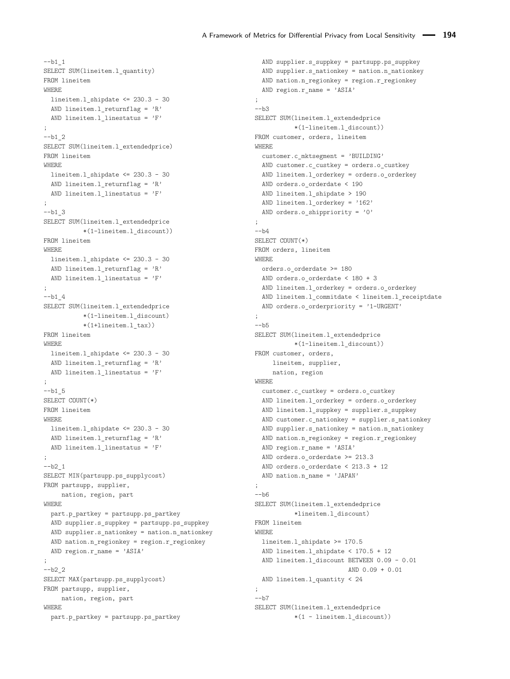```
--b1 1
SELECT SUM(lineitem.l_quantity)
FROM lineitem
WHERE
 lineitem.l shipdate \leq 230.3 - 30AND lineitem.l returnflag = 'R'AND lineitem.1 linestatus = 'F';
- b1_2SELECT SUM(lineitem.1 extendedprice)
FROM lineitem
WHERE
 lineitem.1 shipdate <= 230.3 - 30
 AND lineitem.1 returnflag = 'R'AND lineitem.l_linestatus = 'F'
;
--b1 3
SELECT SUM(lineitem.l_extendedprice
           *(1-lineitem.l_discount))
FROM lineitem
WHERE
 lineitem.l_shipdate <= 230.3 - 30
 AND lineitem.l_returnflag = 'R'
 AND lineitem.l_linestatus = 'F'
;
--b14SELECT SUM(lineitem.l_extendedprice
          *(1-lineitem.l_discount)
           *(1+lineitem.l_tax))
FROM lineitem
WHERE
 lineitem.1 shipdate <= 230.3 - 30
 AND lineitem.l returnflag = 'R'AND lineitem.1 linestatus = 'F';
-b1_5
SELECT COUNT(*)
FROM lineitem
WHERE
 lineitem.l_shipdate <= 230.3 - 30
 AND lineitem.l_returnflag = 'R'
 AND lineitem.l_linestatus = 'F'
;
-<i>b</i>2<sub>1</sub>SELECT MIN(partsupp.ps supplycost)
FROM partsupp, supplier,
    nation, region, part
WHERE
 part.p_partkey = partsupp.ps_partkey
 AND supplier.s_suppkey = partsupp.ps_suppkey
 AND supplier.s_nationkey = nation.n_nationkey
 AND nation.n_regionkey = region.r_regionkey
 AND region.r_name = 'ASIA'
;
- b2_2SELECT MAX(partsupp.ps_supplycost)
FROM partsupp, supplier,
    nation, region, part
WHERE
 part.p_partkey = partsupp.ps_partkey
```

```
AND supplier.s_suppkey = partsupp.ps_suppkey
  AND supplier.s_nationkey = nation.n_nationkey
  AND nation.n_regionkey = region.r_regionkey
  AND region.r name = 'ASIA'
;
--b3SELECT SUM(lineitem.l_extendedprice
           *(1-lineitem.l_discount))
FROM customer, orders, lineitem
WHERE
 customer.c_mktsegment = 'BUILDING'
 AND customer.c custkey = orders.o custkey
 AND lineitem.1 orderkey = orders.o orderkey
 AND orders.o orderdate < 190
 AND lineitem.1_shipdate > 190
 AND lineitem.l_orderkey = '162'
  AND orders.o shippriority = '0';
--b4
SELECT COUNT(*)
FROM orders, lineitem
WHERE
 orders.o_orderdate >= 180
 AND orders.o_orderdate < 180 + 3
 AND lineitem.1 orderkey = orders.o orderkey
 AND lineitem.1 commitdate < lineitem.1 receiptdate
 AND orders.o orderpriority = '1-URGENT'
;
--<sub>b5</sub>SELECT SUM(lineitem.l_extendedprice
          *(1-lineitem.l_discount))
FROM customer, orders,
   lineitem, supplier,
     nation, region
WHERE
  customer.c_custkey = orders.o_custkey
  AND lineitem.l_orderkey = orders.o_orderkey
  AND lineitem.1 suppkey = supplier.s suppkey
  AND customer.c_nationkey = supplier.s_nationkey
  AND supplier.s_nationkey = nation.n_nationkey
  AND nation.n_regionkey = region.r_regionkey
  AND region.r_name = 'ASIA'
  AND orders.o_orderdate >= 213.3
  AND orders.o orderdate < 213.3 + 12
 AND nation.n name = 'JAPAN'
;
-\hbarSELECT SUM(lineitem.l_extendedprice
           *lineitem.l_discount)
FROM lineitem
WHERE
 lineitem.l_shipdate >= 170.5
  AND lineitem.l_shipdate < 170.5 + 12
  AND lineitem.l_discount BETWEEN 0.09 - 0.01
                         AND 0.09 + 0.01
 AND lineitem.1 quantity < 24
;
-<sub>b7</sub>SELECT SUM(lineitem.l_extendedprice
           *(1 - lineitem.l_discount))
```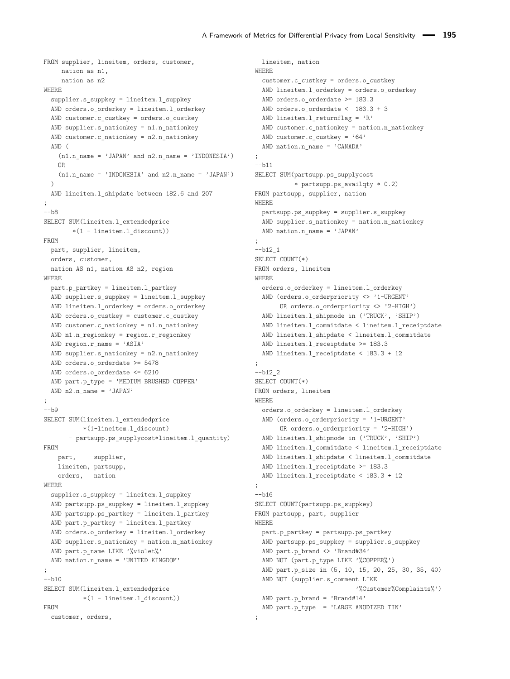```
FROM supplier, lineitem, orders, customer,
    nation as n1,
     nation as n2
WHERE
  supplier.s_suppkey = lineitem.l_suppkey
 AND orders.o_orderkey = lineitem.l_orderkey
 AND customer.c custkey = orders.o custkey
 AND supplier.s_nationkey = n1.n_nationkey
 AND customer.c_nationkey = n2.n_nationkey
 AND (
   (n1.n name = 'JAPAN' and n2.n name = 'INDONESIA')
   OR
    (n1.n name = 'INDONESIA' and n2.n name = 'JAPAN')\DeltaAND lineitem.l_shipdate between 182.6 and 207
;
-\hbar8
SELECT SUM(lineitem.l_extendedprice
        *(1 - lineitem.1 discount))FROM
 part, supplier, lineitem,
 orders, customer,
 nation AS n1, nation AS n2, region
WHERE
 part.p_partkey = lineitem.l_partkey
 AND supplier.s_suppkey = lineitem.l_suppkey
 AND lineitem.1 orderkey = orders.o orderkey
 AND orders.o_custkey = customer.c_custkey
 AND customer.c nationkey = n1.n nationkey
 AND n1.n_regionkey = region.r_regionkey
 AND region.r name = 'ASIA'
 AND supplier.s nationkey = n2.n nationkey
 AND orders.o orderdate >= 5478
 AND orders.o orderdate <= 6210
 AND part.p type = 'MEDIUM BRUSHED COPPER'
 AND n2.n_name = 'JAPAN';
-\hbar9SELECT SUM(lineitem.l_extendedprice
          *(1-lineitem.l_discount)
       - partsupp.ps_supplycost*lineitem.l_quantity)
FROM
   part, supplier,
   lineitem, partsupp,
   orders, nation
WHERE
  supplier.s_suppkey = lineitem.l_suppkey
 AND partsupp.ps_suppkey = lineitem.l_suppkey
 AND partsupp.ps_partkey = lineitem.l_partkey
 AND part.p_partkey = lineitem.l_partkey
 AND orders.o_orderkey = lineitem.l_orderkey
 AND supplier.s_nationkey = nation.n_nationkey
 AND part.p_name LIKE '%violet%'
 AND nation.n_name = 'UNITED KINGDOM'
;
-<sub>b10</sub>SELECT SUM(lineitem.l_extendedprice
          *(1 - lineitem.1 discount))FROM
 customer, orders,
```

```
lineitem, nation
WHERE
  customer.c_custkey = orders.o_custkey
 AND lineitem.l_orderkey = orders.o_orderkey
 AND orders.o orderdate >= 183.3
 AND orders.o orderdate < 183.3 + 3
 AND lineitem.l returnflag = 'R'AND customer.c nationkey = nation.n_nationkey
 AND customer.c custkey = '64'AND nation.n name = 'CANADA'
;
--b11
SELECT SUM(partsupp.ps supplycost
           * partsupp.ps_availqty * 0.2)
FROM partsupp, supplier, nation
WHERE
 partsupp.ps_suppkey = supplier.s_suppkey
 AND supplier.s_nationkey = nation.n_nationkey
 AND nation.n name = 'JAPAN'
;
- b12 1SELECT COUNT(*)
FROM orders, lineitem
WHERE
 orders.o_orderkey = lineitem.l_orderkey
 AND (orders.o orderpriority <> '1-URGENT'
       OR orders.o_orderpriority <> '2-HIGH')
 AND lineitem.l_shipmode in ('TRUCK', 'SHIP')
  AND lineitem.l_commitdate < lineitem.l_receiptdate
  AND lineitem.l_shipdate < lineitem.l_commitdate
  AND lineitem.1 receiptdate >= 183.3
  AND lineitem.l receiptdate < 183.3 + 12
;
-b12<sub>2</sub>SELECT COUNT(*)
FROM orders, lineitem
WHERE
 orders.o_orderkey = lineitem.l_orderkey
 AND (orders.o orderpriority = '1-URGENT'
       OR orders.o_orderpriority = '2-HIGH')
  AND lineitem.l_shipmode in ('TRUCK', 'SHIP')
  AND lineitem.l_commitdate < lineitem.l_receiptdate
  AND lineitem.l_shipdate < lineitem.l_commitdate
  AND lineitem.1 receiptdate >= 183.3
  AND lineitem.1 receiptdate < 183.3 + 12
;
-h16SELECT COUNT(partsupp.ps_suppkey)
FROM partsupp, part, supplier
WHERE
 part.p_partkey = partsupp.ps_partkey
 AND partsupp.ps_suppkey = supplier.s_suppkey
 AND part.p_brand <> 'Brand#34'
  AND NOT (part.p_type LIKE '%COPPER%')
  AND part.p_size in (5, 10, 15, 20, 25, 30, 35, 40)
  AND NOT (supplier.s comment LIKE
                            '%Customer%Complaints%')
 AND part.p_brand = 'Brand#14'
  AND part.p_type = 'LARGE ANODIZED TIN'
;
```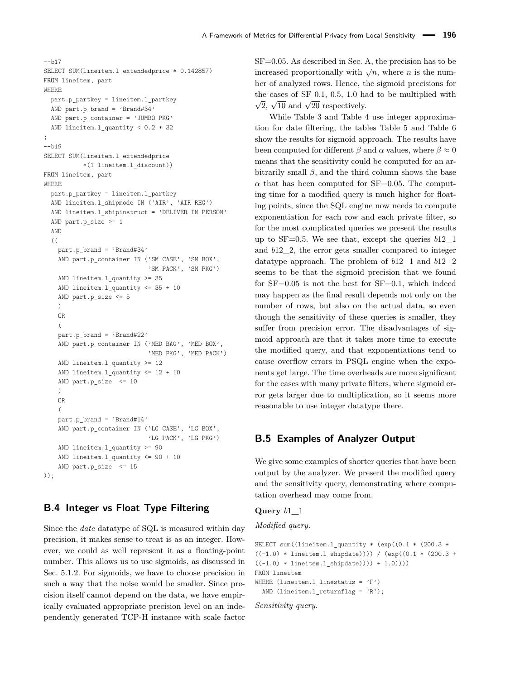```
--h17SELECT SUM(lineitem.l_extendedprice * 0.142857)
FROM lineitem, part
WHERE
  part.p_partkey = lineitem.l_partkey
  AND part.p brand = 'Brand#34'AND part.p container = ' JUMBO PKG'
  AND lineitem.1 quantity < 0.2 * 32;
--b19
SELECT SUM(lineitem.l_extendedprice
           *(1-lineitem.l_discount))
FROM lineitem, part
WHERE
  part.p_partkey = lineitem.l_partkey
  AND lineitem.l_shipmode IN ('AIR', 'AIR REG')
  AND lineitem.1 shipinstruct = 'DELIVER IN PERSON'
  AND part.p_size >= 1
  AND
  ((
    part.p_brand = 'Brand#34'
    AND part.p_container IN ('SM CASE', 'SM BOX',
                              'SM PACK', 'SM PKG')
    AND lineitem.l_quantity >= 35
    AND lineitem.l quantity \leq 35 + 10
    AND part.p_size <= 5
    \lambdaOR
    (
    part.p_brand = 'Brand#22'
    AND part.p_container IN ('MED BAG', 'MED BOX',
                             'MED PKG', 'MED PACK')
    AND lineitem.l quantity >= 12
    AND lineitem.l_quantity <= 12 + 10
    AND part.p_size <= 10
    \lambdaOR
    (
    part.p_brand = 'Brand#14'
    AND part.p_container IN ('LG CASE', 'LG BOX',
                              'LG PACK', 'LG PKG')
    AND lineitem.l_quantity >= 90
    AND lineitem.l_quantity <= 90 + 10
    AND part.p_size <= 15
));
```
# <span id="page-21-1"></span>**B.4 Integer vs Float Type Filtering**

Since the *date* datatype of SQL is measured within day precision, it makes sense to treat is as an integer. However, we could as well represent it as a floating-point number. This allows us to use sigmoids, as discussed in Sec. [5.1.2.](#page-8-2) For sigmoids, we have to choose precision in such a way that the noise would be smaller. Since precision itself cannot depend on the data, we have empirically evaluated appropriate precision level on an independently generated TCP-H instance with scale factor

SF=0.05. As described in Sec. [A,](#page-17-6) the precision has to be increased proportionally with  $\sqrt{n}$ , where *n* is the number of analyzed rows. Hence, the sigmoid precisions for the cases of SF 0*.*1, 0*.*5, 1*.*0 had to be multiplied with  $\sqrt{2}$ ,  $\sqrt{10}$  and  $\sqrt{20}$  respectively.

While Table [3](#page-14-0) and Table [4](#page-14-1) use integer approximation for date filtering, the tables Table [5](#page-22-0) and Table [6](#page-23-0) show the results for sigmoid approach. The results have been computed for different  $\beta$  and  $\alpha$  values, where  $\beta \approx 0$ means that the sensitivity could be computed for an arbitrarily small  $\beta$ , and the third column shows the base  $\alpha$  that has been computed for SF=0.05. The computing time for a modified query is much higher for floating points, since the SQL engine now needs to compute exponentiation for each row and each private filter, so for the most complicated queries we present the results up to SF=0.5. We see that, except the queries *b*12\_1 and *b*12\_2, the error gets smaller compared to integer datatype approach. The problem of *b*12\_1 and *b*12\_2 seems to be that the sigmoid precision that we found for  $SF=0.05$  is not the best for  $SF=0.1$ , which indeed may happen as the final result depends not only on the number of rows, but also on the actual data, so even though the sensitivity of these queries is smaller, they suffer from precision error. The disadvantages of sigmoid approach are that it takes more time to execute the modified query, and that exponentiations tend to cause overflow errors in PSQL engine when the exponents get large. The time overheads are more significant for the cases with many private filters, where sigmoid error gets larger due to multiplication, so it seems more reasonable to use integer datatype there.

### <span id="page-21-0"></span>**B.5 Examples of Analyzer Output**

We give some examples of shorter queries that have been output by the analyzer. We present the modified query and the sensitivity query, demonstrating where computation overhead may come from.

#### **Query** *b*1**\_**1

*Modified query.*

```
SELECT sum((lineitem.l_quantity * (exp((0.1 * (200.3 +
((-1.0) * lineitem.1_shipdate)))) / (exp((0.1 * (200.3 +((-1.0) * lineitem.l\_shipdate)))) + 1.0))))FROM lineitem
WHERE (lineitem.1 linestatus = 'F')
 AND (lineitem.l_returnflag = 'R');
```
*Sensitivity query.*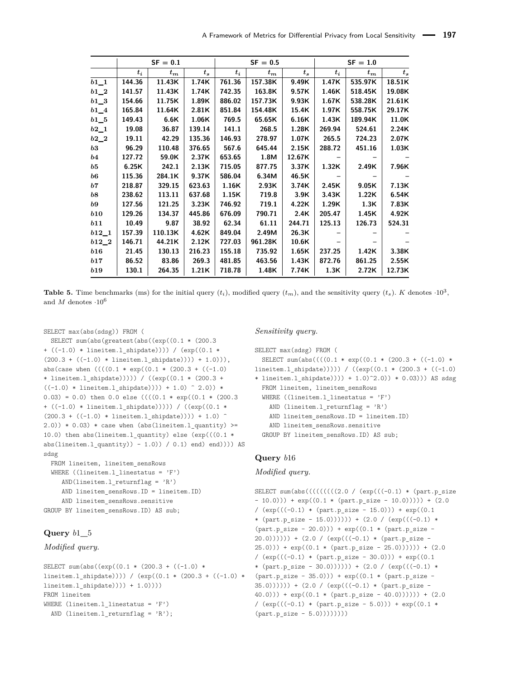<span id="page-22-0"></span>

|                   | $SF = 0.1$ |         |        |        | $SF = 0.5$ |        | $SF = 1.0$ |         |         |  |
|-------------------|------------|---------|--------|--------|------------|--------|------------|---------|---------|--|
|                   | $t_i$      | $t_{m}$ | $t_s$  | $t_i$  | $t_{m}$    | $t_s$  | $t_i$      | $t_{m}$ | $t_{s}$ |  |
| $b1_1$            | 144.36     | 11.43K  | 1.74K  | 761.36 | 157.38K    | 9.49K  | 1.47K      | 535.97K | 18.51K  |  |
| $b1_2$            | 141.57     | 11.43K  | 1.74K  | 742.35 | 163.8K     | 9.57K  | 1.46K      | 518.45K | 19.08K  |  |
| $b1_3$            | 154.66     | 11.75K  | 1.89K  | 886.02 | 157.73K    | 9.93K  | 1.67K      | 538.28K | 21.61K  |  |
| $b1\_4$           | 165.84     | 11.64K  | 2.81K  | 851.84 | 154.48K    | 15.4K  | 1.97K      | 558.75K | 29.17K  |  |
| $b1\_5$           | 149.43     | 6.6K    | 1.06K  | 769.5  | 65.65K     | 6.16K  | 1.43K      | 189.94K | 11.0K   |  |
| $b2_1$            | 19.08      | 36.87   | 139.14 | 141.1  | 268.5      | 1.28K  | 269.94     | 524.61  | 2.24K   |  |
| $b2_2$            | 19.11      | 42.29   | 135.36 | 146.93 | 278.97     | 1.07K  | 265.5      | 724.23  | 2.07K   |  |
| b3                | 96.29      | 110.48  | 376.65 | 567.6  | 645.44     | 2.15K  | 288.72     | 451.16  | 1.03K   |  |
| $^{b4}$           | 127.72     | 59.0K   | 2.37K  | 653.65 | 1.8M       | 12.67K |            |         |         |  |
| b5                | 6.25K      | 242.1   | 2.13K  | 715.05 | 877.75     | 3.37K  | 1.32K      | 2.49K   | 7.96K   |  |
| $\boldsymbol{b6}$ | 115.36     | 284.1K  | 9.37K  | 586.04 | 6.34M      | 46.5K  |            |         |         |  |
| b7                | 218.87     | 329.15  | 623.63 | 1.16K  | 2.93K      | 3.74K  | 2.45K      | 9.05K   | 7.13K   |  |
| b8                | 238.62     | 113.11  | 637.68 | 1.15K  | 719.8      | 3.9K   | 3.43K      | 1.22K   | 6.54K   |  |
| b9                | 127.56     | 121.25  | 3.23K  | 746.92 | 719.1      | 4.22K  | 1.29K      | 1.3K    | 7.83K   |  |
| b10               | 129.26     | 134.37  | 445.86 | 676.09 | 790.71     | 2.4K   | 205.47     | 1.45K   | 4.92K   |  |
| b11               | 10.49      | 9.87    | 38.92  | 62.34  | 61.11      | 244.71 | 125.13     | 126.73  | 524.31  |  |
| $b12\_1$          | 157.39     | 110.13K | 4.62K  | 849.04 | 2.49M      | 26.3K  |            |         |         |  |
| $b12\_2$          | 146.71     | 44.21K  | 2.12K  | 727.03 | 961.28K    | 10.6K  |            |         |         |  |
| b16               | 21.45      | 130.13  | 216.23 | 155.18 | 735.92     | 1.65K  | 237.25     | 1.42K   | 3.38K   |  |
| b17               | 86.52      | 83.86   | 269.3  | 481.85 | 463.56     | 1.43K  | 872.76     | 861.25  | 2.55K   |  |
| b19               | 130.1      | 264.35  | 1.21K  | 718.78 | 1.48K      | 7.74K  | 1.3K       | 2.72K   | 12.73K  |  |

**Table 5.** Time benchmarks (ms) for the initial query  $(t_i)$ , modified query  $(t_m)$ , and the sensitivity query  $(t_s)$ . *K* denotes  $\cdot 10^3$ , and *M* denotes ·10<sup>6</sup>

```
SELECT max(abs(sdsg)) FROM (
 SELECT sum(abs(greatest(abs((exp((0.1 * (200.3
+ ((-1.0) * lineitem.l_shipdate)))) / (exp((0.1 *
(200.3 + ((-1.0) * linear function.1\_shipdate)))) + 1.0)))),
abs(case when (((0.1 * exp((0.1 * (200.3 + ((-1.0)* lineitem.l shipdate))))) / ((exp((0.1 * (200.3 +((-1.0) * lineitem.1_shipdate)))) + 1.0^ 2.0) *0.03) = 0.0) then 0.0 else (((0.1 * exp((0.1 * (200.3+ ((-1.0) * lineitem.l_shipdate))))) / ((exp((0.1 *
(200.3 + ((-1.0) * lineitem.1_shipdate)))) + 1.0)2.0)) * 0.03) * case when (abs(lineitem.l_quantity) >=
10.0) then abs(lineitem.l quantity) else (exp(((0.1 *abs(lineitem.l_quantity)) - 1.0)) / 0.1) end) end)))) AS
sdsg
 FROM lineitem, lineitem_sensRows
 WHERE ((line.1_1_1_1_2_2...)_F')AND(lineitem.l_returnflag = 'R')
```

```
AND lineitem sensRows.ID = lineitem.ID)
    AND lineitem_sensRows.sensitive
GROUP BY lineitem_sensRows.ID) AS sub;
```
### **Query** *b*1**\_**5

```
Modified query.
```

```
SELECT sum(abs((exp((0.1 * (200.3 + ((-1.0) *
lineitem.l_shipdate)))) / (exp((0.1 * (200.3 + ((-1.0) *
lineitem.l_shipdate)))) + 1.0))))
FROM lineitem
WHERE (lineitem.l linestatus = 'F')
  AND (lineitem.l returnflag = 'R);
```
#### *Sensitivity query.*

```
SELECT max(sdsg) FROM (
 SELECT sum(abs((((0.1 * exp((0.1 * (200.3 + ((-1.0) *
lineitem.l shipdate))))) / ((exp((0.1 * (200.3 + ((-1.0))
* lineitem.l shipdate)))) + 1.0)^2.0)) * 0.03))) AS sdsg
 FROM lineitem, lineitem_sensRows
  WHERE ((line.1) inestatus = 'F')
    AND (lineitem.l_returnflag = 'R')
    AND lineitem sensRows.ID = lineitem.ID)
    AND lineitem sensRows.sensitive
  GROUP BY lineitem_sensRows.ID) AS sub;
```
### **Query** *b*16

#### *Modified query.*

```
SELECT sum(abs(((((((((2.0 / (exp(((-0.1) * (part.p\_size- 10.0))) + exp((0.1 * (part.p_size - 10.0))))) + (2.0)
/ (exp(((-0.1) * (part.p\_size - 15.0))) + exp((0.1* (part.p_size - 15.0)))))) + (2.0 / (exp(((-0.1) *
(part.p\_size - 20.0)) + exp((0.1 * (part.p\_size -(20.0))))) + (2.0 / (exp(((-0.1) * (part.p\_size -(25.0)) + exp((0.1 * (part.p\_size - 25.0))))) + (2.0)/ (exp(((-0.1) * (part.p\_size - 30.0))) + exp((0.1* (part.p_size - 30.0)))))) + (2.0 / (exp(((-0.1) *
(part.p\_size - 35.0)) + exp((0.1 * (part.p\_size -(35.0)))) + (2.0 / (exp(((-0.1) * (part.p_size -(40.0)) + exp((0.1 * (part.p\_size - 40.0))))) + (2.0)/ (exp(((-0.1) * (part.p size - 5.0))) + exp((0.1 *(part.p_size - 5.0)))))))
```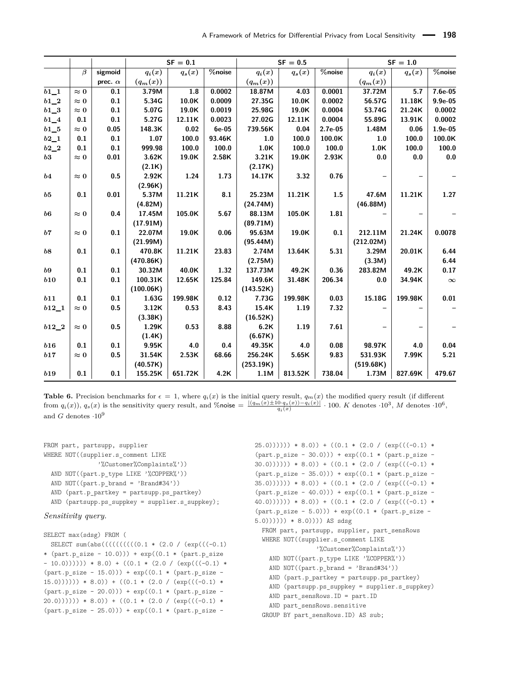<span id="page-23-0"></span>

|                   |             |                | $SF = 0.1$ |          |                       | $SF = 0.5$ |          |                       | $SF = 1.0$ |                |           |
|-------------------|-------------|----------------|------------|----------|-----------------------|------------|----------|-----------------------|------------|----------------|-----------|
|                   | $\beta$     | sigmoid        | $q_i(x)$   | $q_s(x)$ | $\overline{\%}$ noise | $q_i(x)$   | $q_s(x)$ | $\overline{\%}$ noise | $q_i(x)$   | $q_s(x)$       | %noise    |
|                   |             | prec. $\alpha$ | $(q_m(x))$ |          |                       | $(q_m(x))$ |          |                       | $(q_m(x))$ |                |           |
| $b1_1$            | $\approx 0$ | 0.1            | 3.79M      | 1.8      | 0.0002                | 18.87M     | 4.03     | 0.0001                | 37.72M     | 5.7            | 7.6e-05   |
| $b1_2$            | $\approx 0$ | 0.1            | 5.34G      | 10.0K    | 0.0009                | 27.35G     | 10.0K    | 0.0002                | 56.57G     | 11.18K         | $9.9e-05$ |
| $b1_3$            | $\approx 0$ | 0.1            | 5.07G      | 19.0K    | 0.0019                | 25.98G     | 19.0K    | 0.0004                | 53.74G     | 21.24K         | 0.0002    |
| $b1_4$            | 0.1         | 0.1            | 5.27G      | 12.11K   | 0.0023                | 27.02G     | 12.11K   | 0.0004                | 55.89G     | 13.91K         | 0.0002    |
| $b1_{-5}$         | $\approx 0$ | 0.05           | 148.3K     | 0.02     | $6e-05$               | 739.56K    | 0.04     | $2.7e-05$             | 1.48M      | 0.06           | $1.9e-05$ |
| $b2\_1$           | 0.1         | 0.1            | 1.07       | 100.0    | 93.46K                | 1.0        | 100.0    | 100.0K                | 1.0        | 100.0          | 100.0K    |
| $b2_2$            | 0.1         | 0.1            | 999.98     | 100.0    | 100.0                 | 1.0K       | 100.0    | 100.0                 | 1.0K       | 100.0          | 100.0     |
| b3                | $\approx 0$ | 0.01           | 3.62K      | 19.0K    | 2.58K                 | 3.21K      | 19.0K    | 2.93K                 | 0.0        | $\mathbf{0.0}$ | 0.0       |
|                   |             |                | (2.1K)     |          |                       | (2.17K)    |          |                       |            |                |           |
| b4                | $\approx 0$ | 0.5            | 2.92K      | 1.24     | 1.73                  | 14.17K     | 3.32     | 0.76                  |            |                |           |
|                   |             |                | (2.96K)    |          |                       |            |          |                       |            |                |           |
| b5                | 0.1         | 0.01           | 5.37M      | 11.21K   | 8.1                   | 25.23M     | 11.21K   | 1.5                   | 47.6M      | 11.21K         | 1.27      |
|                   |             |                | (4.82M)    |          |                       | (24.74M)   |          |                       | (46.88M)   |                |           |
| $\boldsymbol{b6}$ | $\approx 0$ | 0.4            | 17.45M     | 105.0K   | 5.67                  | 88.13M     | 105.0K   | 1.81                  |            |                |           |
|                   |             |                | (17.91M)   |          |                       | (89.71M)   |          |                       |            |                |           |
| b7                | $\approx 0$ | 0.1            | 22.07M     | 19.0K    | 0.06                  | 95.63M     | 19.0K    | 0.1                   | 212.11M    | 21.24K         | 0.0078    |
|                   |             |                | (21.99M)   |          |                       | (95.44M)   |          |                       | (212.02M)  |                |           |
| b8                | 0.1         | 0.1            | 470.8K     | 11.21K   | 23.83                 | 2.74M      | 13.64K   | 5.31                  | 3.29M      | 20.01K         | 6.44      |
|                   |             |                | (470.86K)  |          |                       | (2.75M)    |          |                       | (3.3M)     |                | 6.44      |
| b9                | 0.1         | 0.1            | 30.32M     | 40.0K    | 1.32                  | 137.73M    | 49.2K    | 0.36                  | 283.82M    | 49.2K          | 0.17      |
| b10               | 0.1         | 0.1            | 100.31K    | 12.65K   | 125.84                | 149.6K     | 31.48K   | 206.34                | 0.0        | 34.94K         | $\infty$  |
|                   |             |                | (100.06K)  |          |                       | (143.52K)  |          |                       |            |                |           |
| b11               | 0.1         | 0.1            | 1.63G      | 199.98K  | 0.12                  | 7.73G      | 199.98K  | 0.03                  | 15.18G     | 199.98K        | 0.01      |
| $b12\_1$          | $\approx 0$ | 0.5            | 3.12K      | 0.53     | 8.43                  | 15.4K      | 1.19     | 7.32                  |            |                |           |
|                   |             |                | (3.38K)    |          |                       | (16.52K)   |          |                       |            |                |           |
| $b12\_2$          | $\approx 0$ | 0.5            | 1.29K      | 0.53     | 8.88                  | 6.2K       | 1.19     | 7.61                  |            |                |           |
|                   |             |                | (1.4K)     |          |                       | (6.67K)    |          |                       |            |                |           |
| b16               | 0.1         | 0.1            | 9.95K      | 4.0      | 0.4                   | 49.35K     | 4.0      | 0.08                  | 98.97K     | 4.0            | 0.04      |
| b17               | $\approx 0$ | 0.5            | 31.54K     | 2.53K    | 68.66                 | 256.24K    | 5.65K    | 9.83                  | 531.93K    | 7.99K          | 5.21      |
|                   |             |                | (40.57K)   |          |                       | (253.19K)  |          |                       | (519.68K)  |                |           |
| b19               | 0.1         | 0.1            | 155.25K    | 651.72K  | 4.2K                  | 1.1M       | 813.52K  | 738.04                | 1.73M      | 827.69K        | 479.67    |

**Table 6.** Precision benchmarks for  $\epsilon = 1$ , where  $q_i(x)$  is the initial query result,  $q_m(x)$  the modified query result (if different from  $q_i(x)$ ,  $q_s(x)$  is the sensitivity query result, and %noise  $=\frac{|(q_m(x)\pm 10 \cdot q_s(x)) - q_i(x)|}{q_i(x)} \cdot 100$ . K denotes  $\cdot 10^3$ , M denotes  $\cdot 10^6$ , and *G* denotes ·10<sup>9</sup>

FROM part, partsupp, supplier WHERE NOT((supplier.s comment LIKE '%Customer%Complaints%')) AND NOT((part.p\_type LIKE '%COPPER%')) AND NOT((part.p\_brand = 'Brand#34')) AND (part.p\_partkey = partsupp.ps\_partkey) AND (partsupp.ps\_suppkey = supplier.s\_suppkey); *Sensitivity query.*

#### SELECT max(sdsg) FROM ( SELECT sum(abs((((((((((0.1 \* (2.0 / (exp(((-0.1) \* (part.p\_size - 10.0))) + exp((0.1 \* (part.p\_size  $- 10.0))))$ )) \* 8.0) + ((0.1 \* (2.0 / (exp(((-0.1) \*  $(part.p_size - 15.0)) + exp((0.1 * (part.p_size (15.0)))))$  \* 8.0)) +  $((0.1 * (2.0 / (exp(((-0.1) *$  $(part.p\_size - 20.0)) + exp((0.1 * (part.p\_size (20.0)))))$  \* 8.0)) + ((0.1 \* (2.0 / (exp(((-0.1) \*  $(part.p\_size - 25.0)) + exp((0.1 * (part.p\_size -$

 $(25.0))))$ )) \* 8.0)) + ((0.1 \* (2.0 / (exp(((-0.1) \*  $(part.p size - 30.0)) + exp((0.1 * (part.p size (30.0))))$ )) \* 8.0)) + ((0.1 \* (2.0 / (exp(((-0.1) \*  $(part.p_size - 35.0)) + exp((0.1 * (part.p_size - 35.0)))$  $(35.0))))$ )) \* 8.0)) + ((0.1 \* (2.0 / (exp(((-0.1) \*  $(part.p\_size - 40.0)) + exp((0.1 * (part.p\_size (40.0)))))$  \* 8.0)) + ((0.1 \* (2.0 / (exp(((-0.1) \*  $(part.p\_size - 5.0)) + exp((0.1 * (part.p\_size (5.0))))$ )) \*  $(8.0))$ )) AS sdsg FROM part, partsupp, supplier, part\_sensRows WHERE NOT((supplier.s\_comment LIKE '%Customer%Complaints%')) AND NOT((part.p\_type LIKE '%COPPER%')) AND NOT((part.p\_brand = 'Brand#34')) AND (part.p\_partkey = partsupp.ps\_partkey) AND (partsupp.ps\_suppkey = supplier.s\_suppkey) AND part\_sensRows.ID = part.ID AND part\_sensRows.sensitive GROUP BY part\_sensRows.ID) AS sub;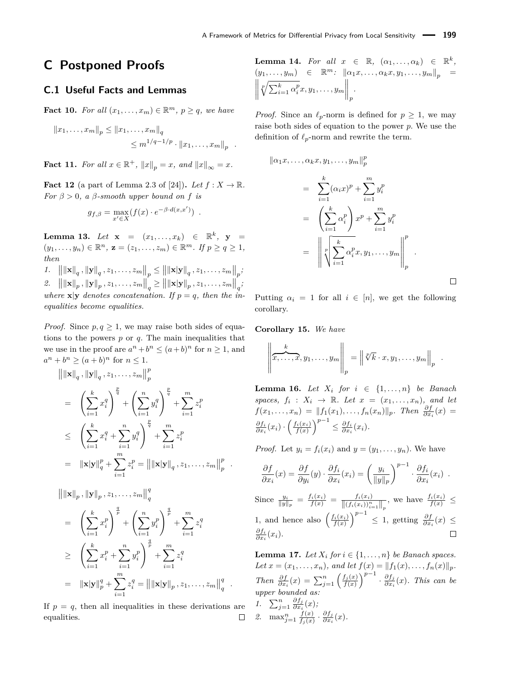# **C Postponed Proofs**

### **C.1 Useful Facts and Lemmas**

**Fact 10.** For all  $(x_1, \ldots, x_m) \in \mathbb{R}^m$ ,  $p \ge q$ , we have

$$
||x_1, ..., x_m||_p \le ||x_1, ..., x_m||_q
$$
  
\n
$$
\le m^{1/q-1/p} \cdot ||x_1, ..., x_m||_p
$$

*.*

*.*

*.*

**Fact 11.** For all  $x \in \mathbb{R}^+$ ,  $||x||_p = x$ , and  $||x||_{\infty} = x$ .

<span id="page-24-4"></span>**Fact 12** (a part of Lemma 2.3 of [\[24\]](#page-17-0)). Let  $f: X \to \mathbb{R}$ . *For*  $\beta > 0$ , a  $\beta$ -smooth upper bound on f is

$$
g_{f,\beta} = \max_{x' \in X} (f(x) \cdot e^{-\beta \cdot d(x,x')}) \enspace .
$$

<span id="page-24-1"></span> $\textbf{Lemma 13.} \ \ \textit{Let} \ \ \mathbf{x} \ \ = \ \ (x_1, \ldots, x_k) \ \ \in \ \ \mathbb{R}^k, \ \ \mathbf{y} \ \ =$  $(y_1, \ldots, y_n) \in \mathbb{R}^n$ ,  $\mathbf{z} = (z_1, \ldots, z_m) \in \mathbb{R}^m$ . If  $p \ge q \ge 1$ , *then*

*1.*  $\left\| \left\| \mathbf{x} \right\|_q, \left\| \mathbf{y} \right\|_q, z_1, \ldots, z_m \right\|_p \le \left\| \left\| \mathbf{x} | \mathbf{y} \right\|_q, z_1, \ldots, z_m \right\|_p;$ 2.  $\left\| \|\mathbf{x}\|_p, \|\mathbf{y}\|_p, z_1, \ldots, z_m\right\|_q \ge \left\| \|\mathbf{x}|\mathbf{y}\|_p, z_1, \ldots, z_m\right\|_q;$ where  $\mathbf{x}$   $\vert \mathbf{y} \vert$  *denotes concatenation.* If  $p = q$ *, then the inequalities become equalities.*

*Proof.* Since  $p, q \geq 1$ , we may raise both sides of equations to the powers  $p$  or  $q$ . The main inequalities that we use in the proof are  $a^n + b^n \leq (a+b)^n$  for  $n \geq 1$ , and  $a^n + b^n \ge (a+b)^n$  for  $n \le 1$ .

$$
\|\|\mathbf{x}\|_{q}, \|\mathbf{y}\|_{q}, z_{1}, \dots, z_{m}\|_{p}^{p}
$$
\n
$$
= \left(\sum_{i=1}^{k} x_{i}^{q}\right)^{\frac{p}{q}} + \left(\sum_{i=1}^{n} y_{i}^{q}\right)^{\frac{p}{q}} + \sum_{i=1}^{m} z_{i}^{p}
$$
\n
$$
\leq \left(\sum_{i=1}^{k} x_{i}^{q} + \sum_{i=1}^{n} y_{i}^{q}\right)^{\frac{p}{q}} + \sum_{i=1}^{m} z_{i}^{p}
$$
\n
$$
= \|\mathbf{x}\|\mathbf{y}\|_{q}^{p} + \sum_{i=1}^{m} z_{i}^{p} = \|\|\mathbf{x}\|\mathbf{y}\|_{q}, z_{1}, \dots, z_{m}\|_{p}^{p}
$$
\n
$$
\|\|\mathbf{x}\|_{p}, \|\mathbf{y}\|_{p}, z_{1}, \dots, z_{m}\|_{q}^{q}
$$

$$
= \left(\sum_{i=1}^{k} x_i^p\right)^{\frac{q}{p}} + \left(\sum_{i=1}^{n} y_i^p\right)^{\frac{q}{p}} + \sum_{i=1}^{m} z_i^q
$$
  
\n
$$
\geq \left(\sum_{i=1}^{k} x_i^p + \sum_{i=1}^{n} y_i^p\right)^{\frac{q}{p}} + \sum_{i=1}^{m} z_i^q
$$
  
\n
$$
= ||\mathbf{x}|\mathbf{y}||_p^q + \sum_{i=1}^{m} z_i^q = ||\mathbf{x}|\mathbf{y}||_p, z_1, \dots, z_m||_q^q
$$

If  $p = q$ , then all inequalities in these derivations are equalities.  $\Box$ 

<span id="page-24-2"></span>Lemma 14. *For all*  $x \in \mathbb{R}$ ,  $(\alpha_1, \ldots, \alpha_k) \in \mathbb{R}^k$ ,  $(y_1, \ldots, y_m) \in \mathbb{R}^m$ :  $\|\alpha_1 x, \ldots, \alpha_k x, y_1, \ldots, y_m\|_p =$   $\sqrt[p]{\sum_{i=1}^{k} \alpha_i^p} x, y_1, \ldots, y_m$ *.*

*Proof.* Since an  $\ell_p$ -norm is defined for  $p \geq 1$ , we may raise both sides of equation to the power *p*. We use the definition of  $\ell_p$ -norm and rewrite the term.

$$
\begin{aligned}\n\|\alpha_1 x, \dots, \alpha_k x, y_1, \dots, y_m\|_p^p \\
&= \sum_{i=1}^k (\alpha_i x)^p + \sum_{i=1}^m y_i^p \\
&= \left(\sum_{i=1}^k \alpha_i^p\right) x^p + \sum_{i=1}^m y_i^p \\
&= \left\|\sum_{i=1}^k \alpha_i^p x, y_1, \dots, y_m\right\|_p^p.\n\end{aligned}
$$

Putting  $\alpha_i = 1$  for all  $i \in [n]$ , we get the following corollary.

**Corollary 15.** *We have*

$$
\left\|\overrightarrow{x,\ldots,x},y_1,\ldots,y_m\right\|_p=\left\|\sqrt[p]{k}\cdot x,y_1,\ldots,y_m\right\|_p
$$

*.*

 $\Box$ 

<span id="page-24-0"></span>**Lemma 16.** *Let*  $X_i$  *for*  $i \in \{1, \ldots, n\}$  *be Banach spaces,*  $f_i: X_i \rightarrow \mathbb{R}$ *. Let*  $x = (x_1, \ldots, x_n)$ *, and let*  $f(x_1, \ldots, x_n) = ||f_1(x_1), \ldots, f_n(x_n)||_p$ *. Then*  $\frac{\partial f}{\partial x_i}(x) =$  $\frac{\partial f_i}{\partial x_i}(x_i) \cdot \left(\frac{f_i(x_i)}{f(x)}\right)^{p-1} \leq \frac{\partial f_i}{\partial x_i}(x_i).$ 

*Proof.* Let  $y_i = f_i(x_i)$  and  $y = (y_1, \ldots, y_n)$ . We have

$$
\frac{\partial f}{\partial x_i}(x) = \frac{\partial f}{\partial y_i}(y) \cdot \frac{\partial f_i}{\partial x_i}(x_i) = \left(\frac{y_i}{\|y\|_p}\right)^{p-1} \cdot \frac{\partial f_i}{\partial x_i}(x_i) .
$$

Since  $\frac{y_i}{\|y\|_p} = \frac{f_i(x_i)}{f(x)} = \frac{f_i(x_i)}{\|(f_i(x_i))_{i=1}^n\|_p}$ , we have  $\frac{f_i(x_i)}{f(x)} \le$ 1, and hence also  $\left(\frac{f_i(x_i)}{f(x)}\right)^{p-1} \leq 1$ , getting  $\frac{\partial f}{\partial x_i}(x) \leq$ *∂f<sup>i</sup> ∂x<sup>i</sup>* (*xi*).

<span id="page-24-3"></span>**Lemma 17.** *Let*  $X_i$  *for*  $i \in \{1, \ldots, n\}$  *be Banach spaces. Let*  $x = (x_1, \ldots, x_n)$ *, and let*  $f(x) = ||f_1(x), \ldots, f_n(x)||_p$ *. Then*  $\frac{\partial f}{\partial x_i}(x) = \sum_{j=1}^n \left(\frac{f_j(x)}{f(x)}\right)^{p-1} \cdot \frac{\partial f_j}{\partial x_i}$ *∂x<sup>i</sup>* (*x*)*. This can be upper bounded as: 1*.  $\sum_{j=1}^{n} \frac{\partial f_j}{\partial x_j}$  $\frac{\partial f_j}{\partial x_i}(x)$ ; 2. max $\sum_{j=1}^{n} \frac{f(x)}{f_i(x)}$  $\frac{f(x)}{f_j(x)} \cdot \frac{\partial f_j}{\partial x_i}$  $\frac{\partial f_j}{\partial x_i}(x)$ .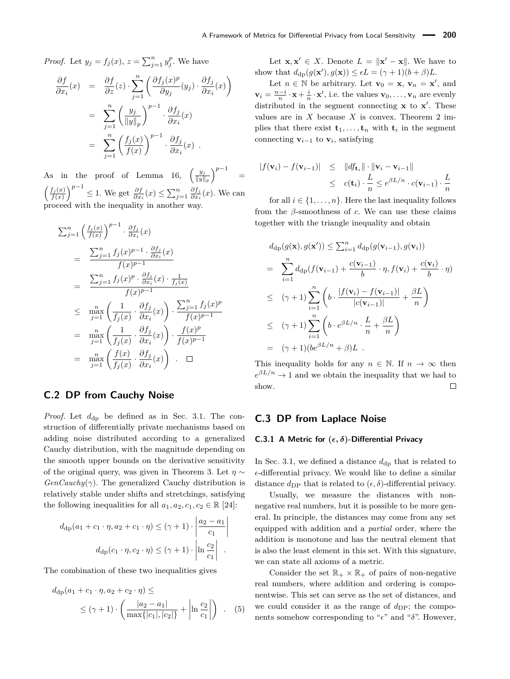*Proof.* Let  $y_j = f_j(x)$ ,  $z = \sum_{j=1}^n y_j^p$ . We have

$$
\frac{\partial f}{\partial x_i}(x) = \frac{\partial f}{\partial z}(z) \cdot \sum_{j=1}^n \left( \frac{\partial f_j(x)^p}{\partial y_j}(y_j) \cdot \frac{\partial f_j}{\partial x_i}(x) \right)
$$

$$
= \sum_{j=1}^n \left( \frac{y_j}{\|y\|_p} \right)^{p-1} \cdot \frac{\partial f_j}{\partial x_i}(x)
$$

$$
= \sum_{j=1}^n \left( \frac{f_j(x)}{f(x)} \right)^{p-1} \cdot \frac{\partial f_j}{\partial x_i}(x) .
$$

As in the proof of Lemma [16,](#page-24-0)  $\left(\frac{y_j}{|y_j|}\right)$  $\frac{y_j}{\|y\|_p}$  $\Big)^{p-1}$  =  $\left(\frac{f_j(x)}{f(x)}\right)^{p-1} \leq 1$ . We get  $\frac{\partial f}{\partial x_i}(x) \leq \sum_{j=1}^n \frac{\partial f_j}{\partial x_i}$  $\frac{\partial f_j}{\partial x_i}(x)$ . We can proceed with the inequality in another way.

$$
\sum_{j=1}^{n} \left(\frac{f_j(x)}{f(x)}\right)^{p-1} \cdot \frac{\partial f_j}{\partial x_i}(x)
$$
\n
$$
= \frac{\sum_{j=1}^{n} f_j(x)^{p-1} \cdot \frac{\partial f_j}{\partial x_i}(x)}{f(x)^{p-1}}
$$
\n
$$
= \frac{\sum_{j=1}^{n} f_j(x)^p \cdot \frac{\partial f_j}{\partial x_i}(x) \cdot \frac{1}{f_j(x)}}{f(x)^{p-1}}
$$
\n
$$
\leq \max_{j=1}^{n} \left(\frac{1}{f_j(x)} \cdot \frac{\partial f_j}{\partial x_i}(x)\right) \cdot \frac{\sum_{j=1}^{n} f_j(x)^p}{f(x)^{p-1}}
$$
\n
$$
= \max_{j=1}^{n} \left(\frac{1}{f_j(x)} \cdot \frac{\partial f_j}{\partial x_i}(x)\right) \cdot \frac{f(x)^p}{f(x)^{p-1}}
$$
\n
$$
= \max_{j=1}^{n} \left(\frac{f(x)}{f_j(x)} \cdot \frac{\partial f_j}{\partial x_i}(x)\right) \quad \Box
$$

# <span id="page-25-0"></span>**C.2 DP from Cauchy Noise**

*Proof.* Let  $d_{dp}$  be defined as in Sec. [3.1.](#page-2-0) The construction of differentially private mechanisms based on adding noise distributed according to a generalized Cauchy distribution, with the magnitude depending on the smooth upper bounds on the derivative sensitivity of the original query, was given in Theorem [3.](#page-5-0) Let *η* ∼  $GenCauchy(\gamma)$ . The generalized Cauchy distribution is relatively stable under shifts and stretchings, satisfying the following inequalities for all  $a_1, a_2, c_1, c_2 \in \mathbb{R}$  [\[24\]](#page-17-0):

$$
d_{\mathrm{dp}}(a_1 + c_1 \cdot \eta, a_2 + c_1 \cdot \eta) \leq (\gamma + 1) \cdot \left| \frac{a_2 - a_1}{c_1} \right|
$$

$$
d_{\mathrm{dp}}(c_1 \cdot \eta, c_2 \cdot \eta) \leq (\gamma + 1) \cdot \left| \ln \frac{c_2}{c_1} \right| .
$$

The combination of these two inequalities gives

$$
d_{\rm dp}(a_1 + c_1 \cdot \eta, a_2 + c_2 \cdot \eta) \le
$$
  
 
$$
\leq (\gamma + 1) \cdot \left( \frac{|a_2 - a_1|}{\max\{|c_1|, |c_2|\}} + \left| \ln \frac{c_2}{c_1} \right| \right) . \quad (5)
$$

Let  $\mathbf{x}, \mathbf{x}' \in X$ . Denote  $L = ||\mathbf{x}' - \mathbf{x}||$ . We have to show that  $d_{dp}(g(\mathbf{x}'), g(\mathbf{x})) \le \epsilon L = (\gamma + 1)(b + \beta)L$ .

Let  $n \in \mathbb{N}$  be arbitrary. Let  $\mathbf{v}_0 = \mathbf{x}, \mathbf{v}_n = \mathbf{x}'$ , and  $\mathbf{v}_i = \frac{n-i}{n} \cdot \mathbf{x} + \frac{i}{n} \cdot \mathbf{x}'$ , i.e. the values  $\mathbf{v}_0, \dots, \mathbf{v}_n$  are evenly distributed in the segment connecting **x** to **x**<sup>'</sup>. These values are in  $X$  because  $X$  is convex. Theorem [2](#page-4-4) implies that there exist  $\mathbf{t}_1, \ldots, \mathbf{t}_n$  with  $\mathbf{t}_i$  in the segment connecting  $\mathbf{v}_{i-1}$  to  $\mathbf{v}_i$ , satisfying

$$
|f(\mathbf{v}_i) - f(\mathbf{v}_{i-1})| \leq ||df_{\mathbf{t}_i}|| \cdot ||\mathbf{v}_i - \mathbf{v}_{i-1}||
$$
  

$$
\leq c(\mathbf{t}_i) \cdot \frac{L}{n} \leq e^{\beta L/n} \cdot c(\mathbf{v}_{i-1}) \cdot \frac{L}{n}
$$

for all  $i \in \{1, \ldots, n\}$ . Here the last inequality follows from the  $\beta$ -smoothness of *c*. We can use these claims together with the triangle inequality and obtain

$$
d_{dp}(g(\mathbf{x}), g(\mathbf{x}')) \leq \sum_{i=1}^{n} d_{dp}(g(\mathbf{v}_{i-1}), g(\mathbf{v}_{i}))
$$
  
\n
$$
= \sum_{i=1}^{n} d_{dp}(f(\mathbf{v}_{i-1}) + \frac{c(\mathbf{v}_{i-1})}{b} \cdot \eta, f(\mathbf{v}_{i}) + \frac{c(\mathbf{v}_{i})}{b} \cdot \eta)
$$
  
\n
$$
\leq (\gamma + 1) \sum_{i=1}^{n} \left( b \cdot \frac{|f(\mathbf{v}_{i}) - f(\mathbf{v}_{i-1})|}{|c(\mathbf{v}_{i-1})|} + \frac{\beta L}{n} \right)
$$
  
\n
$$
\leq (\gamma + 1) \sum_{i=1}^{n} \left( b \cdot e^{\beta L/n} \cdot \frac{L}{n} + \frac{\beta L}{n} \right)
$$
  
\n
$$
= (\gamma + 1)(be^{\beta L/n} + \beta)L .
$$

This inequality holds for any  $n \in \mathbb{N}$ . If  $n \to \infty$  then  $e^{\beta L/n} \to 1$  and we obtain the inequality that we had to show.  $\Box$ 

### <span id="page-25-1"></span>**C.3 DP from Laplace Noise**

#### **C.3.1 A Metric for (***, δ***)-Differential Privacy**

In Sec. [3.1,](#page-2-0) we defined a distance  $d_{dp}$  that is related to  $\epsilon$ -differential privacy. We would like to define a similar distance  $d_{\text{DP}}$  that is related to  $(\epsilon, \delta)$ -differential privacy.

Usually, we measure the distances with nonnegative real numbers, but it is possible to be more general. In principle, the distances may come from any set equipped with addition and a *partial* order, where the addition is monotone and has the neutral element that is also the least element in this set. With this signature, we can state all axioms of a metric.

Consider the set  $\mathbb{R}_+ \times \mathbb{R}_+$  of pairs of non-negative real numbers, where addition and ordering is componentwise. This set can serve as the set of distances, and we could consider it as the range of  $d_{\text{DP}}$ ; the components somehow corresponding to " $\epsilon$ " and " $\delta$ ". However,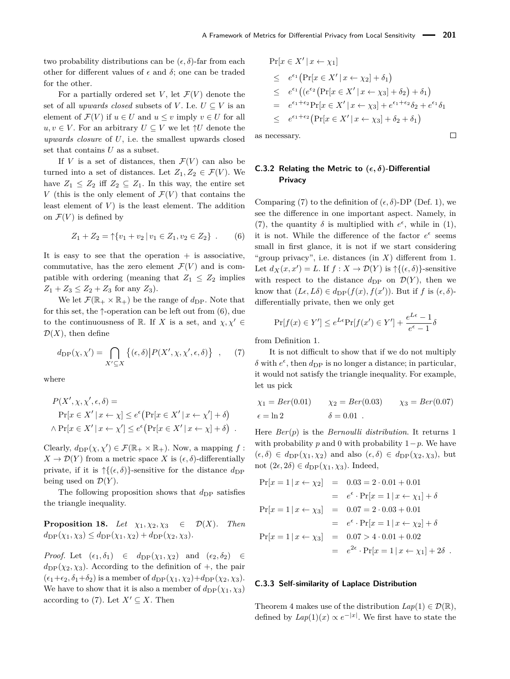two probability distributions can be  $(\epsilon, \delta)$ -far from each other for different values of  $\epsilon$  and  $\delta$ ; one can be traded for the other.

For a partially ordered set *V*, let  $\mathcal{F}(V)$  denote the set of all *upwards closed* subsets of *V*. I.e.  $U \subseteq V$  is an element of  $\mathcal{F}(V)$  if  $u \in U$  and  $u \leq v$  imply  $v \in U$  for all  $u, v \in V$ . For an arbitrary  $U \subseteq V$  we let  $\uparrow U$  denote the *upwards closure* of *U*, i.e. the smallest upwards closed set that contains *U* as a subset.

If *V* is a set of distances, then  $\mathcal{F}(V)$  can also be turned into a set of distances. Let  $Z_1, Z_2 \in \mathcal{F}(V)$ . We have  $Z_1 \leq Z_2$  iff  $Z_2 \subseteq Z_1$ . In this way, the entire set *V* (this is the only element of  $\mathcal{F}(V)$  that contains the least element of  $V$ ) is the least element. The addition on  $\mathcal{F}(V)$  is defined by

<span id="page-26-0"></span>
$$
Z_1 + Z_2 = \uparrow \{v_1 + v_2 \mid v_1 \in Z_1, v_2 \in Z_2\} \ . \tag{6}
$$

It is easy to see that the operation  $+$  is associative, commutative, has the zero element  $\mathcal{F}(V)$  and is compatible with ordering (meaning that  $Z_1 \leq Z_2$  implies  $Z_1 + Z_3 \leq Z_2 + Z_3$  for any  $Z_3$ ).

We let  $\mathcal{F}(\mathbb{R}_+ \times \mathbb{R}_+)$  be the range of  $d_{\text{DP}}$ . Note that for this set, the  $\uparrow$ -operation can be left out from [\(6\)](#page-26-0), due to the continuousness of R. If *X* is a set, and  $\chi, \chi' \in$  $\mathcal{D}(X)$ , then define

<span id="page-26-1"></span>
$$
d_{\mathrm{DP}}(\chi, \chi') = \bigcap_{X' \subseteq X} \left\{ (\epsilon, \delta) \middle| P(X', \chi, \chi', \epsilon, \delta) \right\} ,\tag{7}
$$

where

$$
P(X', \chi, \chi', \epsilon, \delta) =
$$
  
Pr[x \in X' | x \leftarrow \chi] \le e^{\epsilon} (Pr[x \in X' | x \leftarrow \chi'] + \delta)  
 \land Pr[x \in X' | x \leftarrow \chi'] \le e^{\epsilon} (Pr[x \in X' | x \leftarrow \chi] + \delta).

Clearly,  $d_{\text{DP}}(\chi, \chi') \in \mathcal{F}(\mathbb{R}_+ \times \mathbb{R}_+)$ . Now, a mapping  $f$ :  $X \to \mathcal{D}(Y)$  from a metric space *X* is  $(\epsilon, \delta)$ -differentially private, if it is  $\uparrow$ { $(\epsilon, \delta)$ }-sensitive for the distance  $d_{\text{DP}}$ being used on  $\mathcal{D}(Y)$ .

The following proposition shows that  $d_{\text{DP}}$  satisfies the triangle inequality.

**Proposition 18.** *Let*  $\chi_1, \chi_2, \chi_3 \in \mathcal{D}(X)$ *. Then*  $d_{\text{DP}}(\chi_1, \chi_3) \leq d_{\text{DP}}(\chi_1, \chi_2) + d_{\text{DP}}(\chi_2, \chi_3).$ 

*Proof.* Let  $(\epsilon_1, \delta_1) \in d_{DP}(\chi_1, \chi_2)$  and  $(\epsilon_2, \delta_2) \in$  $d_{\text{DP}}(\chi_2, \chi_3)$ . According to the definition of +, the pair  $(\epsilon_1+\epsilon_2, \delta_1+\delta_2)$  is a member of  $d_{\text{DP}}(\chi_1, \chi_2)+d_{\text{DP}}(\chi_2, \chi_3)$ . We have to show that it is also a member of  $d_{\text{DP}}(\chi_1, \chi_3)$ according to [\(7\)](#page-26-1). Let  $X' \subseteq X$ . Then

$$
Pr[x \in X' | x \leftarrow \chi_1]
$$
  
\n
$$
\leq e^{\epsilon_1} (Pr[x \in X' | x \leftarrow \chi_2] + \delta_1)
$$
  
\n
$$
\leq e^{\epsilon_1} ((e^{\epsilon_2} (Pr[x \in X' | x \leftarrow \chi_3] + \delta_2) + \delta_1)
$$
  
\n
$$
= e^{\epsilon_1 + \epsilon_2} Pr[x \in X' | x \leftarrow \chi_3] + e^{\epsilon_1 + \epsilon_2} \delta_2 + e^{\epsilon_1} \delta_1
$$
  
\n
$$
\leq e^{\epsilon_1 + \epsilon_2} (Pr[x \in X' | x \leftarrow \chi_3] + \delta_2 + \delta_1)
$$

 $\Box$ 

as necessary.

## **C.3.2 Relating the Metric to**  $(\epsilon, \delta)$ -Differential **Privacy**

Comparing [\(7\)](#page-26-1) to the definition of  $(\epsilon, \delta)$ -DP (Def. [1\)](#page-2-1), we see the difference in one important aspect. Namely, in [\(7\)](#page-26-1), the quantity  $\delta$  is multiplied with  $e^{\epsilon}$ , while in [\(1\)](#page-2-2), it is not. While the difference of the factor  $e^{\epsilon}$  seems small in first glance, it is not if we start considering "group privacy", i.e. distances (in *X*) different from 1. Let  $d_X(x, x') = L$ . If  $f: X \to \mathcal{D}(Y)$  is  $\uparrow \{(\epsilon, \delta)\}$ -sensitive with respect to the distance  $d_{\text{DP}}$  on  $\mathcal{D}(Y)$ , then we know that  $(L\epsilon, L\delta) \in d_{\text{DP}}(f(x), f(x'))$ . But if *f* is  $(\epsilon, \delta)$ differentially private, then we only get

$$
\Pr[f(x) \in Y'] \le e^{L\epsilon} \Pr[f(x') \in Y'] + \frac{e^{L\epsilon} - 1}{e^{\epsilon} - 1}\delta
$$

from Definition [1.](#page-2-1)

It is not difficult to show that if we do not multiply  $\delta$  with  $e^{\epsilon}$ , then  $d_{\text{DP}}$  is no longer a distance; in particular, it would not satisfy the triangle inequality. For example, let us pick

$$
\chi_1 = Ber(0.01)
$$
  $\chi_2 = Ber(0.03)$   $\chi_3 = Ber(0.07)$   
\n $\epsilon = \ln 2$   $\delta = 0.01$ .

Here *Ber*(*p*) is the *Bernoulli distribution*. It returns 1 with probability *p* and 0 with probability  $1-p$ . We have  $(\epsilon, \delta) \in d_{\text{DP}}(\chi_1, \chi_2)$  and also  $(\epsilon, \delta) \in d_{\text{DP}}(\chi_2, \chi_3)$ , but not  $(2\epsilon, 2\delta) \in d_{\text{DP}}(\chi_1, \chi_3)$ . Indeed,

$$
Pr[x = 1 | x \leftarrow \chi_2] = 0.03 = 2 \cdot 0.01 + 0.01
$$
  
\n
$$
= e^{\epsilon} \cdot Pr[x = 1 | x \leftarrow \chi_1] + \delta
$$
  
\n
$$
Pr[x = 1 | x \leftarrow \chi_3] = 0.07 = 2 \cdot 0.03 + 0.01
$$
  
\n
$$
= e^{\epsilon} \cdot Pr[x = 1 | x \leftarrow \chi_2] + \delta
$$
  
\n
$$
Pr[x = 1 | x \leftarrow \chi_3] = 0.07 > 4 \cdot 0.01 + 0.02
$$
  
\n
$$
= e^{2\epsilon} \cdot Pr[x = 1 | x \leftarrow \chi_1] + 2\delta.
$$

#### **C.3.3 Self-similarity of Laplace Distribution**

Theorem [4](#page-5-6) makes use of the distribution  $Lap(1) \in \mathcal{D}(\mathbb{R}),$ defined by  $Lap(1)(x) \propto e^{-|x|}$ . We first have to state the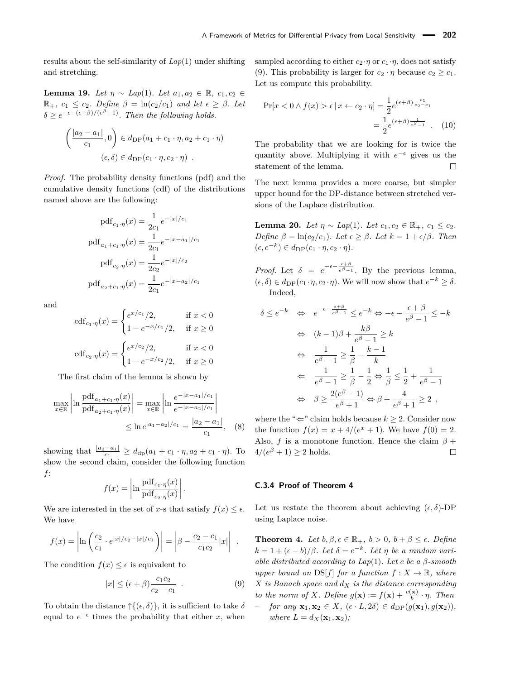results about the self-similarity of *Lap*(1) under shifting and stretching.

<span id="page-27-1"></span>**Lemma 19.** *Let*  $\eta$  ∼ *Lap*(1)*. Let*  $a_1, a_2 \in \mathbb{R}$ *, c*<sub>1</sub>*, c*<sub>2</sub> ∈  $\mathbb{R}_+$ *, c*<sub>1</sub>  $\leq$  *c*<sub>2</sub>*. Define*  $\beta = \ln(c_2/c_1)$  *and let*  $\epsilon \geq \beta$ *. Let*  $\delta \geq e^{-\epsilon - (\epsilon + \beta)/(e^{\beta} - 1)}$ . Then the following holds.

$$
\left(\frac{|a_2 - a_1|}{c_1}, 0\right) \in d_{\text{DP}}(a_1 + c_1 \cdot \eta, a_2 + c_1 \cdot \eta)
$$

$$
(\epsilon, \delta) \in d_{\text{DP}}(c_1 \cdot \eta, c_2 \cdot \eta) .
$$

*Proof.* The probability density functions (pdf) and the cumulative density functions (cdf) of the distributions named above are the following:

$$
pdf_{c_1 \cdot \eta}(x) = \frac{1}{2c_1} e^{-|x|/c_1}
$$

$$
pdf_{a_1+c_1 \cdot \eta}(x) = \frac{1}{2c_1} e^{-|x-a_1|/c_1}
$$

$$
pdf_{c_2 \cdot \eta}(x) = \frac{1}{2c_2} e^{-|x|/c_2}
$$

$$
pdf_{a_2+c_1 \cdot \eta}(x) = \frac{1}{2c_1} e^{-|x-a_2|/c_1}
$$

and

$$
cdf_{c_1 \cdot \eta}(x) = \begin{cases} e^{x/c_1}/2, & \text{if } x < 0\\ 1 - e^{-x/c_1}/2, & \text{if } x \ge 0 \end{cases}
$$

$$
cdf_{c_2 \cdot \eta}(x) = \begin{cases} e^{x/c_2}/2, & \text{if } x < 0\\ 1 - e^{-x/c_2}/2, & \text{if } x \ge 0 \end{cases}
$$

The first claim of the lemma is shown by

$$
\max_{x \in \mathbb{R}} \left| \ln \frac{\text{pdf}_{a_1+c_1 \cdot \eta}(x)}{\text{pdf}_{a_2+c_1 \cdot \eta}(x)} \right| = \max_{x \in \mathbb{R}} \left| \ln \frac{e^{-|x-a_1|/c_1}}{e^{-|x-a_2|/c_1}} \right|
$$
  

$$
\leq \ln e^{|a_1-a_2|/c_1} = \frac{|a_2-a_1|}{c_1}, \quad (8)
$$

showing that  $\frac{|a_2 - a_1|}{c_1} \ge d_{dp}(a_1 + c_1 \cdot \eta, a_2 + c_1 \cdot \eta)$ . To show the second claim, consider the following function *f*:

$$
f(x) = \left| \ln \frac{\text{pdf}_{c_1 \cdot \eta}(x)}{\text{pdf}_{c_2 \cdot \eta}(x)} \right|.
$$

We are interested in the set of *x*-s that satisfy  $f(x) \leq \epsilon$ . We have

$$
f(x) = \left| \ln \left( \frac{c_2}{c_1} \cdot e^{|x|/c_2 - |x|/c_1} \right) \right| = \left| \beta - \frac{c_2 - c_1}{c_1 c_2} |x| \right| .
$$

The condition  $f(x) \leq \epsilon$  is equivalent to

$$
|x| \le (\epsilon + \beta) \frac{c_1 c_2}{c_2 - c_1} \tag{9}
$$

To obtain the distance  $\uparrow \{(\epsilon, \delta)\}\,$ , it is sufficient to take  $\delta$ equal to  $e^{-\epsilon}$  times the probability that either *x*, when sampled according to either  $c_2 \cdot \eta$  or  $c_1 \cdot \eta$ , does not satisfy [\(9\)](#page-27-0). This probability is larger for  $c_2 \cdot \eta$  because  $c_2 \geq c_1$ . Let us compute this probability.

$$
\Pr[x < 0 \land f(x) > \epsilon \mid x \leftarrow c_2 \cdot \eta] = \frac{1}{2} e^{(\epsilon + \beta) \frac{c_1}{c_2 - c_1}} = \frac{1}{2} e^{(\epsilon + \beta) \frac{1}{\epsilon^{\beta} - 1}} \tag{10}
$$

The probability that we are looking for is twice the quantity above. Multiplying it with  $e^{-\epsilon}$  gives us the statement of the lemma.  $\Box$ 

The next lemma provides a more coarse, but simpler upper bound for the DP-distance between stretched versions of the Laplace distribution.

<span id="page-27-2"></span>**Lemma 20.** *Let*  $\eta \sim Lap(1)$ *. Let*  $c_1, c_2 \in \mathbb{R}_+$ *,*  $c_1 \leq c_2$ *. Define*  $\beta = \ln(c_2/c_1)$ *. Let*  $\epsilon \geq \beta$ *. Let*  $k = 1 + \epsilon/\beta$ *. Then*  $(\epsilon, e^{-k}) \in d_{\text{DP}}(c_1 \cdot \eta, c_2 \cdot \eta).$ 

*Proof.* Let  $\delta = e^{-\epsilon - \frac{\epsilon + \beta}{e^{\beta}-1}}$ . By the previous lemma,  $(\epsilon, \delta) \in d_{\text{DP}}(c_1 \cdot \eta, c_2 \cdot \eta)$ . We will now show that  $e^{-k} \geq \delta$ . Indeed,

$$
\delta \le e^{-k} \iff e^{-\epsilon - \frac{\epsilon + \beta}{\epsilon^{\beta} - 1}} \le e^{-k} \Leftrightarrow -\epsilon - \frac{\epsilon + \beta}{e^{\beta} - 1} \le -k
$$
  

$$
\iff (k - 1)\beta + \frac{k\beta}{e^{\beta} - 1} \ge k
$$
  

$$
\iff \frac{1}{e^{\beta} - 1} \ge \frac{1}{\beta} - \frac{k - 1}{k}
$$
  

$$
\iff \frac{1}{e^{\beta} - 1} \ge \frac{1}{\beta} - \frac{1}{2} \Leftrightarrow \frac{1}{\beta} \le \frac{1}{2} + \frac{1}{e^{\beta} - 1}
$$
  

$$
\iff \beta \ge \frac{2(e^{\beta} - 1)}{e^{\beta} + 1} \iff \beta + \frac{4}{e^{\beta} + 1} \ge 2
$$

where the " $\Leftarrow$ " claim holds because  $k > 2$ . Consider now the function  $f(x) = x + 4/(e^x + 1)$ . We have  $f(0) = 2$ . Also, *f* is a monotone function. Hence the claim  $\beta$  +  $4/(e^{\beta}+1) \geq 2$  holds.  $\Box$ 

#### **C.3.4 Proof of Theorem [4](#page-5-6)**

Let us restate the theorem about achieving  $(\epsilon, \delta)$ -DP using Laplace noise.

<span id="page-27-0"></span>**Theorem [4.](#page-5-6)** *Let*  $b, \beta, \epsilon \in \mathbb{R}_+$ ,  $b > 0$ ,  $b + \beta \leq \epsilon$ . Define  $k = 1 + (\epsilon - b)/\beta$ . Let  $\delta = e^{-k}$ . Let  $\eta$  be a random vari*able distributed according to Lap*(1)*. Let c be a β-smooth upper bound on*  $DS[f]$  *for a function*  $f: X \to \mathbb{R}$ *, where X is Banach space and d<sup>X</sup> is the distance corresponding to the norm of X. Define*  $g(\mathbf{x}) := f(\mathbf{x}) + \frac{c(\mathbf{x})}{b} \cdot \eta$ *. Then*  $for any \mathbf{x}_1, \mathbf{x}_2 \in X, (\epsilon \cdot L, 2\delta) \in d_{\text{DP}}(g(\mathbf{x}_1), g(\mathbf{x}_2)),$ *where*  $L = d_X(\mathbf{x}_1, \mathbf{x}_2)$ ;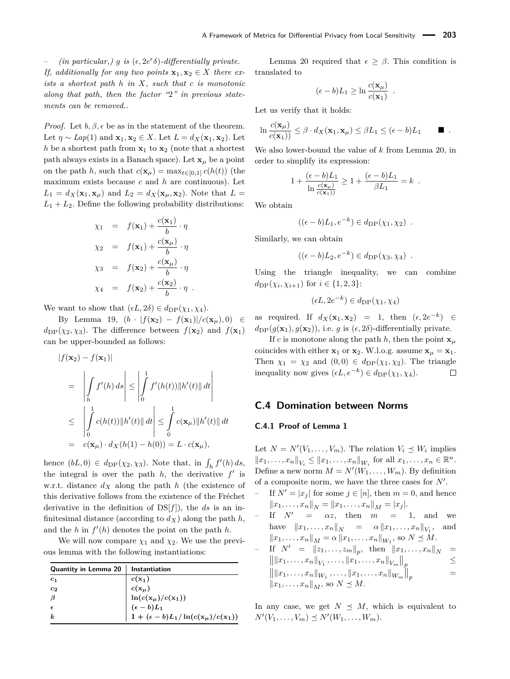$\qquad \qquad - \qquad$  *(in particular,) g is* ( $\epsilon$ , 2*e*<sup> $\epsilon$ </sup> $\delta$ )-differentially private. *If, additionally for any two points*  $\mathbf{x}_1, \mathbf{x}_2 \in X$  *there exists a shortest path h in X, such that c is monotonic along that path, then the factor "*2*" in previous statements can be removed..*

*Proof.* Let  $b, \beta, \epsilon$  be as in the statement of the theorem. Let  $\eta \sim Lap(1)$  and  $\mathbf{x}_1, \mathbf{x}_2 \in X$ . Let  $L = d_X(\mathbf{x}_1, \mathbf{x}_2)$ . Let *h* be a shortest path from  $x_1$  to  $x_2$  (note that a shortest path always exists in a Banach space). Let  $\mathbf{x}_\mu$  be a point on the path *h*, such that  $c(\mathbf{x}_\mu) = \max_{t \in [0,1]} c(h(t))$  (the maximum exists because *c* and *h* are continuous). Let  $L_1 = d_X(\mathbf{x}_1, \mathbf{x}_\mu)$  and  $L_2 = d_X(\mathbf{x}_\mu, \mathbf{x}_2)$ . Note that  $L =$  $L_1 + L_2$ . Define the following probability distributions:

$$
\chi_1 = f(\mathbf{x}_1) + \frac{c(\mathbf{x}_1)}{b} \cdot \eta
$$
  
\n
$$
\chi_2 = f(\mathbf{x}_1) + \frac{c(\mathbf{x}_\mu)}{b} \cdot \eta
$$
  
\n
$$
\chi_3 = f(\mathbf{x}_2) + \frac{c(\mathbf{x}_\mu)}{b} \cdot \eta
$$
  
\n
$$
\chi_4 = f(\mathbf{x}_2) + \frac{c(\mathbf{x}_2)}{b} \cdot \eta
$$

We want to show that  $(\epsilon L, 2\delta) \in d_{\text{DP}}(\chi_1, \chi_4)$ .

|*f*(**x**2) − *f*(**x**1)|

By Lemma [19,](#page-27-1)  $(b \cdot |f(\mathbf{x}_2) - f(\mathbf{x}_1)|/c(\mathbf{x}_\mu),0)$  ∈  $d_{\text{DP}}(\chi_2, \chi_3)$ . The difference between  $f(\mathbf{x}_2)$  and  $f(\mathbf{x}_1)$ can be upper-bounded as follows:

$$
|f(\mathbf{x}_2) - f(\mathbf{x}_1)|
$$
  
\n
$$
= \left| \int_h f'(h) ds \right| \le \left| \int_0^1 f'(h(t)) \|h'(t)\| dt \right|
$$
  
\n
$$
\le \left| \int_0^1 c(h(t)) \|h'(t)\| dt \right| \le \int_0^1 c(\mathbf{x}_\mu) \|h'(t)\| dt
$$
  
\n
$$
= c(\mathbf{x}_\mu) \cdot d_X(h(1) - h(0)) = L \cdot c(\mathbf{x}_\mu),
$$

hence  $(bL, 0) \in d_{\text{DP}}(\chi_2, \chi_3)$ . Note that, in  $\int_h f'(h) ds$ , the integral is over the path  $h$ , the derivative  $f'$  is w.r.t. distance *d<sup>X</sup>* along the path *h* (the existence of this derivative follows from the existence of the Fréchet derivative in the definition of DS[*f*]), the *ds* is an infinitesimal distance (according to  $d_X$ ) along the path  $h$ , and the *h* in  $f'(h)$  denotes the point on the path *h*.

We will now compare  $\chi_1$  and  $\chi_2$ . We use the previous lemma with the following instantiations:

| Quantity in Lemma 20 | Instantiation                                                                                                                                                                               |
|----------------------|---------------------------------------------------------------------------------------------------------------------------------------------------------------------------------------------|
| $c_{1}$              |                                                                                                                                                                                             |
| $c_{2}$              |                                                                                                                                                                                             |
|                      |                                                                                                                                                                                             |
|                      |                                                                                                                                                                                             |
| k.                   | $\begin{array}{l} c({\bf x}_1) \ c({\bf x}_\mu) \ {\rm ln}(c({\bf x}_\mu)/c({\bf x}_1)) \ (\epsilon - b) L_1 \ {\bf 1} + (\epsilon - b) L_1 / \ln(c({\bf x}_\mu)/c({\bf x}_1)) \end{array}$ |

Lemma [20](#page-27-2) required that  $\epsilon \geq \beta$ . This condition is translated to

$$
(\epsilon - b)L_1 \ge \ln \frac{c(\mathbf{x}_{\mu})}{c(\mathbf{x}_1)} .
$$

Let us verify that it holds:

$$
\ln \frac{c(\mathbf{x}_{\mu})}{c(\mathbf{x}_1))} \leq \beta \cdot d_X(\mathbf{x}_1, \mathbf{x}_{\mu}) \leq \beta L_1 \leq (\epsilon - b) L_1 \qquad \blacksquare.
$$

We also lower-bound the value of *k* from Lemma [20,](#page-27-2) in order to simplify its expression:

$$
1 + \frac{(\epsilon - b)L_1}{\ln \frac{c(\mathbf{x}_\mu)}{c(\mathbf{x}_1))}} \ge 1 + \frac{(\epsilon - b)L_1}{\beta L_1} = k.
$$

We obtain

$$
((\epsilon - b)L_1, e^{-k}) \in d_{\text{DP}}(\chi_1, \chi_2) .
$$

Similarly, we can obtain

$$
((\epsilon - b)L_2, e^{-k}) \in d_{\text{DP}}(\chi_3, \chi_4) .
$$

Using the triangle inequality, we can combine  $d_{\text{DP}}(\chi_i, \chi_{i+1})$  for  $i \in \{1, 2, 3\}$ :

$$
(\epsilon L, 2e^{-k}) \in d_{\text{DP}}(\chi_1, \chi_4)
$$

as required. If  $d_X(\mathbf{x}_1, \mathbf{x}_2) = 1$ , then  $(\epsilon, 2e^{-k}) \in$  $d_{\text{DP}}(g(\mathbf{x}_1), g(\mathbf{x}_2))$ , i.e. *g* is  $(\epsilon, 2\delta)$ -differentially private.

If *c* is monotone along the path *h*, then the point  $\mathbf{x}_{\mu}$ coincides with either  $\mathbf{x}_1$  or  $\mathbf{x}_2$ . W.l.o.g. assume  $\mathbf{x}_\mu = \mathbf{x}_1$ . Then  $\chi_1 = \chi_2$  and  $(0,0) \in d_{\text{DP}}(\chi_1, \chi_2)$ . The triangle inequality now gives  $(\epsilon L, e^{-k}) \in d_{\text{DP}}(\chi_1, \chi_4)$ . П

#### <span id="page-28-0"></span>**C.4 Domination between Norms**

#### **C.4.1 Proof of Lemma [1](#page-5-5)**

Let  $N = N'(V_1, \ldots, V_m)$ . The relation  $V_i \preceq W_i$  implies  $||x_1, \ldots, x_n||_{V_i} \le ||x_1, \ldots, x_n||_{W_i}$  for all  $x_1, \ldots, x_n \in \mathbb{R}^n$ . Define a new norm  $M = N'(W_1, \ldots, W_m)$ . By definition of a composite norm, we have the three cases for  $N'$ .

- If  $N' = |x_j|$  for some  $j \in [n]$ , then  $m = 0$ , and hence  $||x_1, \ldots, x_n||_N = ||x_1, \ldots, x_n||_M = |x_j|.$
- If  $N' = \alpha z$ , then  $m = 1$ , and we have  $||x_1, ..., x_n||_N = \alpha ||x_1, ..., x_n||_{V_1}$ , and  $||x_1, \ldots, x_n||_M = \alpha ||x_1, \ldots, x_n||_{W_1}, \text{ so } N \leq M.$
- $\begin{array}{lll}\n\text{If} & N' = \|z_1, \ldots, z_m\|_p, \text{ then } \|x_1, \ldots, x_n\|_N = \|x_1, \ldots, x_n\|_V, & \text{then } \|x_1, \ldots, x_n\|_N \leq 0\n\end{array}$  $\left\| \|x_1, \ldots, x_n\|_{V_1}, \ldots, \|x_1, \ldots, x_n\|_{V_m} \right\|_p$ ≤  $\left\| \|x_1, \ldots, x_n\|_{W_1}, \ldots, \|x_1, \ldots, x_n\|_{W_m} \right\|_p$ =  $||x_1, \ldots, x_n||_M$ , so  $N \leq M$ .

In any case, we get  $N \preceq M$ , which is equivalent to  $N'(V_1, \ldots, V_m) \preceq N'(W_1, \ldots, W_m).$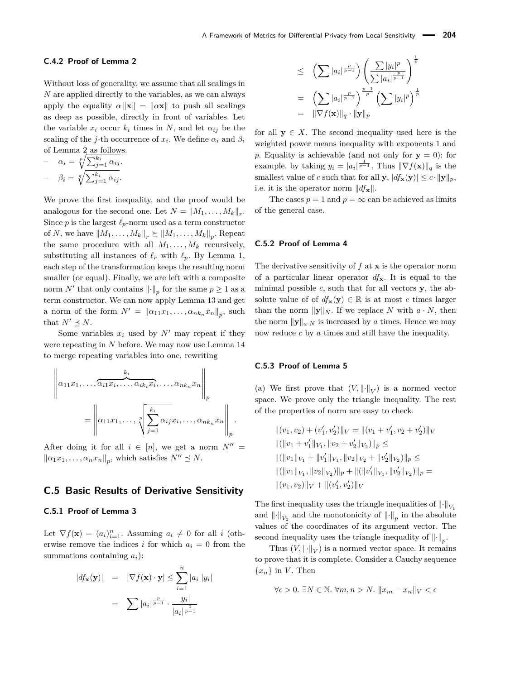#### **C.4.2 Proof of Lemma [2](#page-5-4)**

Without loss of generality, we assume that all scalings in *N* are applied directly to the variables, as we can always apply the equality  $\alpha ||\mathbf{x}|| = ||\alpha \mathbf{x}||$  to push all scalings as deep as possible, directly in front of variables. Let the variable  $x_i$  occur  $k_i$  times in  $N$ , and let  $\alpha_{ij}$  be the scaling of the *j*-th occurrence of  $x_i$ . We define  $\alpha_i$  and  $\beta_i$ of Lemma [2](#page-5-4) as follows.

$$
- \quad \alpha_i = \sqrt[p]{\sum_{j=1}^{k_i} \alpha_{ij}}.
$$

$$
- \quad \beta_i = \sqrt[q]{\sum_{j=1}^{k_i} \alpha_{ij}}.
$$

We prove the first inequality, and the proof would be analogous for the second one. Let  $N = ||M_1, \ldots, M_k||_r$ . Since *p* is the largest  $\ell_p$ -norm used as a term constructor of *N*, we have  $||M_1, \ldots, M_k||_r \succeq ||M_1, \ldots, M_k||_p$ . Repeat the same procedure with all  $M_1, \ldots, M_k$  recursively, substituting all instances of  $\ell_r$  with  $\ell_p$ . By Lemma [1,](#page-5-5) each step of the transformation keeps the resulting norm smaller (or equal). Finally, we are left with a composite norm  $N'$  that only contains  $\lVert \cdot \rVert_p$  for the same  $p \geq 1$  as a term constructor. We can now apply Lemma [13](#page-24-1) and get a norm of the form  $N' = ||a_{11}x_1, \ldots, a_{nk_n}x_n||_p$ , such that  $N' \preceq N$ .

Some variables  $x_i$  used by  $N'$  may repeat if they were repeating in *N* before. We may now use Lemma [14](#page-24-2) to merge repeating variables into one, rewriting

$$
\left\|\alpha_{11}x_1,\ldots,\overbrace{\alpha_{i1}x_i,\ldots,\alpha_{ik_i}x_i}^{k_i},\ldots,\alpha_{nk_n}x_n\right\|_p
$$

$$
=\left\|\alpha_{11}x_1,\ldots,\sqrt[p]{\sum_{j=1}^{k_i}\alpha_{ij}x_j,\ldots,\alpha_{nk_n}x_n}\right\|_p.
$$

After doing it for all  $i \in [n]$ , we get a norm  $N'' =$  $\left\|\alpha_1 x_1, \ldots, \alpha_n x_n\right\|_p$ , which satisfies  $N'' \leq N$ .

# <span id="page-29-0"></span>**C.5 Basic Results of Derivative Sensitivity**

#### **C.5.1 Proof of Lemma [3](#page-5-1)**

Let  $\nabla f(\mathbf{x}) = (a_i)_{i=1}^n$ . Assuming  $a_i \neq 0$  for all *i* (otherwise remove the indices *i* for which  $a_i = 0$  from the summations containing *ai*):

$$
|df_{\mathbf{x}}(\mathbf{y})| = |\nabla f(\mathbf{x}) \cdot \mathbf{y}| \le \sum_{i=1}^{n} |a_i| |y_i|
$$

$$
= \sum |a_i| \frac{p}{p-1} \cdot \frac{|y_i|}{|a_i| \frac{1}{p-1}}
$$

$$
\leq \left(\sum |a_i|^{\frac{p}{p-1}}\right) \left(\frac{\sum |y_i|^p}{\sum |a_i|^{\frac{p}{p-1}}}\right)^{\frac{1}{p}} \\
= \left(\sum |a_i|^{\frac{p}{p-1}}\right)^{\frac{p-1}{p}} \left(\sum |y_i|^p\right)^{\frac{1}{p}} \\
= \|\nabla f(\mathbf{x})\|_q \cdot \|\mathbf{y}\|_p
$$

for all  $y \in X$ . The second inequality used here is the weighted power means inequality with exponents 1 and *p*. Equality is achievable (and not only for  $y = 0$ ): for example, by taking  $y_i = |a_i|^{\frac{1}{p-1}}$ . Thus  $\|\nabla f(\mathbf{x})\|_q$  is the smallest value of *c* such that for all **y**,  $|df_{\mathbf{x}}(\mathbf{y})| \leq c \cdot ||\mathbf{y}||_p$ , i.e. it is the operator norm  $||df_{\mathbf{x}}||$ .

The cases  $p = 1$  and  $p = \infty$  can be achieved as limits of the general case.

#### **C.5.2 Proof of Lemma [4](#page-6-0)**

The derivative sensitivity of *f* at **x** is the operator norm of a particular linear operator *df***x**. It is equal to the minimal possible *c*, such that for all vectors **y**, the absolute value of of  $df_{\mathbf{x}}(\mathbf{y}) \in \mathbb{R}$  is at most *c* times larger than the norm  $\|\mathbf{y}\|_N$ . If we replace *N* with  $a \cdot N$ , then the norm  $\|\mathbf{y}\|_{a\cdot N}$  is increased by *a* times. Hence we may now reduce *c* by *a* times and still have the inequality.

#### **C.5.3 Proof of Lemma [5](#page-6-3)**

(a) We first prove that  $(V, \|\cdot\|_V)$  is a normed vector space. We prove only the triangle inequality. The rest of the properties of norm are easy to check.

$$
||(v_1, v_2) + (v'_1, v'_2)||_V = ||(v_1 + v'_1, v_2 + v'_2)||_V
$$
  

$$
||(||v_1 + v'_1||_{V_1}, ||v_2 + v'_2||_{V_2})||_p \le
$$
  

$$
||(||v_1||_{V_1} + ||v'_1||_{V_1}, ||v_2||_{V_2} + ||v'_2||_{V_2})||_p \le
$$
  

$$
||(||v_1||_{V_1}, ||v_2||_{V_2})||_p + ||(||v'_1||_{V_1}, ||v'_2||_{V_2})||_p =
$$
  

$$
||(v_1, v_2)||_V + ||(v'_1, v'_2)||_V
$$

The first inequality uses the triangle inequalities of  $\left\|\cdot\right\|_{V_1}$ and  $\left\| \cdot \right\|_{V_2}$  and the monotonicity of  $\left\| \cdot \right\|_p$  in the absolute values of the coordinates of its argument vector. The second inequality uses the triangle inequality of  $\left\|\cdot\right\|_p$ .

Thus  $(V, \|\cdot\|_V)$  is a normed vector space. It remains to prove that it is complete. Consider a Cauchy sequence  ${x_n}$  in *V*. Then

$$
\forall \epsilon > 0. \ \exists N \in \mathbb{N} . \ \forall m,n > N. \ \|x_m - x_n\|_V < \epsilon
$$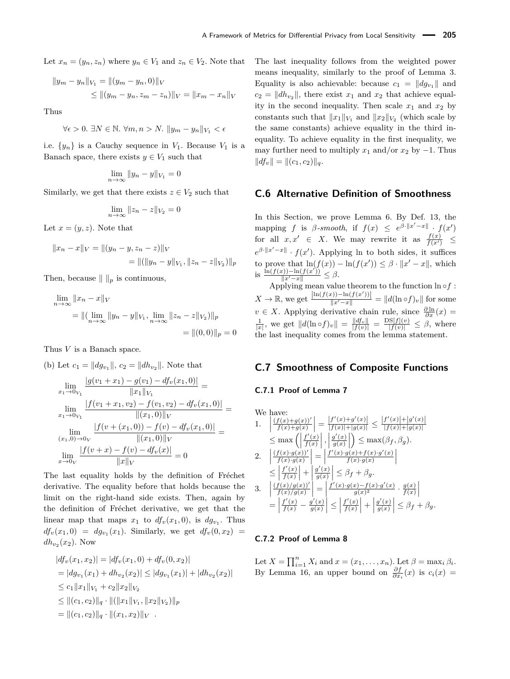Let  $x_n = (y_n, z_n)$  where  $y_n \in V_1$  and  $z_n \in V_2$ . Note that

$$
||y_m - y_n||_{V_1} = ||(y_m - y_n, 0)||_V
$$
  
 
$$
\le ||(y_m - y_n, z_m - z_n)||_V = ||x_m - x_n||_V
$$

Thus

$$
\forall \epsilon > 0. \ \exists N \in \mathbb{N} . \ \forall m,n > N. \ ||y_m - y_n||_{V_1} < \epsilon
$$

i.e.  $\{y_n\}$  is a Cauchy sequence in  $V_1$ . Because  $V_1$  is a Banach space, there exists  $y \in V_1$  such that

$$
\lim_{n \to \infty} \|y_n - y\|_{V_1} = 0
$$

Similarly, we get that there exists  $z \in V_2$  such that

$$
\lim_{n \to \infty} ||z_n - z||_{V_2} = 0
$$

Let  $x = (y, z)$ . Note that

$$
||x_n - x||_V = ||(y_n - y, z_n - z)||_V
$$
  
= 
$$
||(||y_n - y||_{V_1}, ||z_n - z||_{V_2})||_p
$$

Then, because  $\| \ \|_p$  is continuous,

$$
\lim_{n \to \infty} ||x_n - x||_V
$$
  
=  $||(\lim_{n \to \infty} ||y_n - y||_{V_1}, \lim_{n \to \infty} ||z_n - z||_{V_2})||_p$   
=  $||(0,0)||_p = 0$ 

Thus *V* is a Banach space.

(b) Let 
$$
c_1 = ||dg_{v_1}||
$$
,  $c_2 = ||dh_{v_2}||$ . Note that

$$
\lim_{x_1 \to 0_{V_1}} \frac{|g(v_1 + x_1) - g(v_1) - df_v(x_1, 0)|}{\|x_1\|_{V_1}} =
$$
\n
$$
\lim_{x_1 \to 0_{V_1}} \frac{|f(v_1 + x_1, v_2) - f(v_1, v_2) - df_v(x_1, 0)|}{\|(x_1, 0)\|_{V}}
$$
\n
$$
\lim_{(x_1, 0) \to 0_{V}} \frac{|f(v + (x_1, 0)) - f(v) - df_v(x_1, 0)|}{\|(x_1, 0)\|_{V}} =
$$
\n
$$
\lim_{x \to 0_{V}} \frac{|f(v + x) - f(v) - df_v(x)|}{\|x\|_{V}} = 0
$$

The last equality holds by the definition of Fréchet derivative. The equality before that holds because the limit on the right-hand side exists. Then, again by the definition of Fréchet derivative, we get that the linear map that maps  $x_1$  to  $df_v(x_1, 0)$ , is  $dg_{v_1}$ . Thus  $df_v(x_1,0) = dg_{v_1}(x_1)$ . Similarly, we get  $df_v(0,x_2) =$  $dh_{v_2}(x_2)$ . Now

$$
|df_v(x_1, x_2)| = |df_v(x_1, 0) + df_v(0, x_2)|
$$
  
=  $|dg_{v_1}(x_1) + dh_{v_2}(x_2)| \le |dg_{v_1}(x_1)| + |dh_{v_2}(x_2)|$   
 $\le c_1 ||x_1||_{V_1} + c_2 ||x_2||_{V_2}$   
 $\le ||(c_1, c_2)||_q \cdot ||(||x_1||_{V_1}, ||x_2||_{V_2})||_p$   
=  $||(c_1, c_2)||_q \cdot ||(x_1, x_2)||_V$ .

The last inequality follows from the weighted power means inequality, similarly to the proof of Lemma [3.](#page-5-1) Equality is also achievable: because  $c_1 = ||dg_{v_1}||$  and  $c_2 = ||dh_{v_2}||$ , there exist  $x_1$  and  $x_2$  that achieve equality in the second inequality. Then scale  $x_1$  and  $x_2$  by constants such that  $||x_1||_{V_1}$  and  $||x_2||_{V_2}$  (which scale by the same constants) achieve equality in the third inequality. To achieve equality in the first inequality, we may further need to multiply  $x_1$  and/or  $x_2$  by  $-1$ . Thus  $||df_v|| = ||(c_1, c_2)||_q.$ 

#### <span id="page-30-0"></span>**C.6 Alternative Definition of Smoothness**

In this Section, we prove Lemma [6.](#page-7-0) By Def. [13,](#page-5-2) the mapping *f* is *β*-*smooth*, if  $f(x) \leq e^{\beta \cdot ||x' - x||} \cdot f(x')$ for all  $x, x' \in X$ . We may rewrite it as  $\frac{f(x)}{f(x')} \leq$  $e^{\beta \cdot ||x'-x||} \cdot f(x')$ . Applying ln to both sides, it suffices to prove that  $\ln(f(x)) - \ln(f(x')) \leq \beta \cdot ||x' - x||$ , which is  $\frac{\ln(f(x)) - \ln(f(x'))}{||x' - x||}$  ≤ β.

Applying mean value theorem to the function  $\ln \circ f$ : *X* → ℝ, we get  $\frac{\left|\ln(f(x)) - \ln(f(x'))\right|}{\|x' - x\|} = ||d(\ln \circ f)_v||$  for some *v* ∈ *X*. Applying derivative chain rule, since  $\frac{\partial \ln}{\partial x}(x)$  =  $\frac{1}{|x|}$ , we get  $||d(\ln \circ f)_v|| = \frac{||df_v||}{|f(v)|} = \frac{DS[f](v)}{|f(v)|} \leq \beta$ , where the last inequality comes from the lemma statement.

# <span id="page-30-1"></span>**C.7 Smoothness of Composite Functions**

#### **C.7.1 Proof of Lemma [7](#page-7-1)**

We have:  
\n1. 
$$
\left| \frac{(f(x)+g(x))'}{f(x)+g(x)} \right| = \frac{|f'(x)+g'(x)|}{|f(x)|+|g(x)|} \le \frac{|f'(x)|+|g'(x)|}{|f(x)|+|g(x)|}
$$
\n
$$
\le \max\left( \left| \frac{f'(x)}{f(x)} \right|, \left| \frac{g'(x)}{g(x)} \right| \right) \le \max(\beta_f, \beta_g).
$$
\n2. 
$$
\left| \frac{(f(x)\cdot g(x))'}{f(x)\cdot g(x)} \right| = \left| \frac{f'(x)\cdot g(x)+f(x)\cdot g'(x)}{f(x)\cdot g(x)} \right|
$$
\n
$$
\le \left| \frac{f'(x)}{f(x)} \right| + \left| \frac{g'(x)}{g(x)} \right| \le \beta_f + \beta_g.
$$
\n3. 
$$
\left| \frac{(f(x)/g(x))'}{f(x)/g(x)} \right| = \left| \frac{f'(x)\cdot g(x)-f(x)\cdot g'(x)}{g(x)^2} \cdot \frac{g(x)}{f(x)} \right|
$$
\n
$$
= \left| \frac{f'(x)}{f(x)} - \frac{g'(x)}{g(x)} \right| \le \left| \frac{f'(x)}{f(x)} \right| + \left| \frac{g'(x)}{g(x)} \right| \le \beta_f + \beta_g.
$$

### **C.7.2 Proof of Lemma [8](#page-7-2)**

Let  $X = \prod_{i=1}^{n} X_i$  and  $x = (x_1, ..., x_n)$ . Let  $\beta = \max_i \beta_i$ . By Lemma [16,](#page-24-0) an upper bound on  $\frac{\partial f}{\partial x_i}(x)$  is  $c_i(x) =$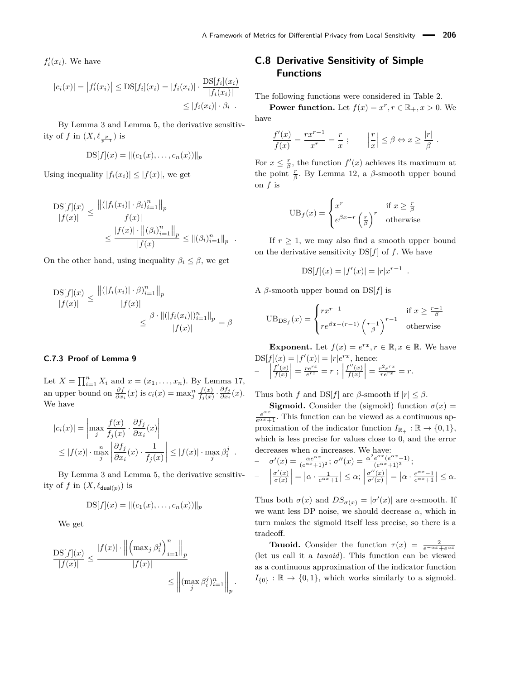$f_i'(x_i)$ . We have

$$
|c_i(x)| = |f'_i(x_i)| \leq \text{DS}[f_i](x_i) = |f_i(x_i)| \cdot \frac{\text{DS}[f_i](x_i)}{|f_i(x_i)|} \leq |f_i(x_i)| \cdot \beta_i.
$$

By Lemma [3](#page-5-1) and Lemma [5,](#page-6-3) the derivative sensitivity of *f* in  $(X, \ell_{\frac{p}{p-1}})$  is

$$
DS[f](x) = ||(c_1(x), \ldots, c_n(x))||_p
$$

Using inequality  $|f_i(x_i)| \leq |f(x)|$ , we get

$$
\frac{\text{DS}[f](x)}{|f(x)|} \le \frac{\left\| (|f_i(x_i)| \cdot \beta_i)_{i=1}^n \right\|_p}{|f(x)|} \le \frac{|f(x)| \cdot \left\| (\beta_i)_{i=1}^n \right\|_p}{|f(x)|} \le \left\| (\beta_i)_{i=1}^n \right\|_p.
$$

On the other hand, using inequality  $\beta_i \leq \beta$ , we get

$$
\frac{\text{DS}[f](x)}{|f(x)|} \le \frac{\left\| (|f_i(x_i)| \cdot \beta)_{i=1}^n \right\|_p}{|f(x)|} \le \frac{\beta \cdot \| (|f_i(x_i)|)_{i=1}^n \|_p}{|f(x)|} = \beta
$$

#### **C.7.3 Proof of Lemma [9](#page-7-3)**

Let  $X = \prod_{i=1}^{n} X_i$  and  $x = (x_1, ..., x_n)$ . By Lemma [17,](#page-24-3) an upper bound on  $\frac{\partial f}{\partial x_i}(x)$  is  $c_i(x) = \max_j^n \frac{f(x)}{f_j(x)}$  $\frac{f(x)}{f_j(x)} \cdot \frac{\partial f_j}{\partial x_i}$  $\frac{\partial f_j}{\partial x_i}(x)$ . We have

$$
|c_i(x)| = \left| \max_{j} \frac{f(x)}{f_j(x)} \cdot \frac{\partial f_j}{\partial x_i}(x) \right|
$$
  
 
$$
\leq |f(x)| \cdot \max_{j} \left| \frac{\partial f_j}{\partial x_i}(x) \cdot \frac{1}{f_j(x)} \right| \leq |f(x)| \cdot \max_{j} \beta_i^j.
$$

By Lemma [3](#page-5-1) and Lemma [5,](#page-6-3) the derivative sensitivity of  $f$  in  $(X, \ell_{\text{dual}(p)})$  is

$$
DS[f](x) = ||(c_1(x), \ldots, c_n(x))||_p
$$

We get

$$
\frac{\mathrm{DS}[f](x)}{|f(x)|} \le \frac{|f(x)| \cdot \left\| \left( \max_{j} \beta_i^j \right)_{i=1}^n \right\|_p}{|f(x)|} \le \left\| (\max_{j} \beta_i^j)_{i=1}^n \right\|_p.
$$

# <span id="page-31-0"></span>**C.8 Derivative Sensitivity of Simple Functions**

The following functions were considered in Table [2.](#page-10-0)

**Power function.** Let  $f(x) = x^r, r \in \mathbb{R}_+, x > 0$ . We have

$$
\frac{f'(x)}{f(x)} = \frac{rx^{r-1}}{x^r} = \frac{r}{x} ; \qquad \left| \frac{r}{x} \right| \leq \beta \Leftrightarrow x \geq \frac{|r|}{\beta} .
$$

For  $x \leq \frac{r}{\beta}$ , the function  $f'(x)$  achieves its maximum at the point  $\frac{r}{\beta}$ . By Lemma [12,](#page-24-4) a  $\beta$ -smooth upper bound on *f* is

$$
UB_f(x) = \begin{cases} x^r & \text{if } x \ge \frac{r}{\beta} \\ e^{\beta x - r} \left(\frac{r}{\beta}\right)^r & \text{otherwise} \end{cases}
$$

If  $r \geq 1$ , we may also find a smooth upper bound on the derivative sensitivity  $DS[f]$  of *f*. We have

$$
DS[f](x) = |f'(x)| = |r|x^{r-1}.
$$

A *β*-smooth upper bound on DS[*f*] is

$$
UB_{DS_f}(x) = \begin{cases} rx^{r-1} & \text{if } x \ge \frac{r-1}{\beta} \\ re^{\beta x - (r-1)} \left(\frac{r-1}{\beta}\right)^{r-1} & \text{otherwise} \end{cases}
$$

**Exponent.** Let  $f(x) = e^{rx}, r \in \mathbb{R}, x \in \mathbb{R}$ . We have  $DS[f](x) = |f'(x)| = |r|e^{rx}$ , hence: –     $f'(x)$  $\left| \frac{f'(x)}{f(x)} \right| = \frac{re^{rx}}{e^{rx}} = r ;$  $f''(x)$  $\left| \frac{f''(x)}{f(x)} \right| = \frac{r^2 e^{rx}}{r e^{rx}} = r.$ 

Thus both *f* and  $DS[f]$  are *β*-smooth if  $|r| \leq \beta$ .

**Sigmoid.** Consider the (sigmoid) function  $\sigma(x)$  =  $\frac{e^{\alpha x}}{e^{\alpha x}+1}$ . This function can be viewed as a continuous approximation of the indicator function  $I_{\mathbb{R}_+} : \mathbb{R} \to \{0,1\},\$ which is less precise for values close to 0, and the error decreases when *α* increases. We have:

$$
\sigma'(x) = \frac{\alpha e^{\alpha x}}{(e^{\alpha x}+1)^2}; \quad \sigma''(x) = \frac{\alpha^2 e^{\alpha x} (e^{\alpha x}-1)}{(e^{\alpha x}+1)^3};
$$
  

$$
-\left|\frac{\sigma'(x)}{\sigma(x)}\right| = \left|\alpha \cdot \frac{1}{e^{\alpha x}+1}\right| \leq \alpha; \left|\frac{\sigma''(x)}{\sigma'(x)}\right| = \left|\alpha \cdot \frac{e^{\alpha x}-1}{e^{\alpha x}+1}\right| \leq \alpha.
$$

Thus both  $\sigma(x)$  and  $DS_{\sigma(x)} = |\sigma'(x)|$  are *α*-smooth. If we want less DP noise, we should decrease  $\alpha$ , which in turn makes the sigmoid itself less precise, so there is a tradeoff.

**Tauoid.** Consider the function  $\tau(x) = \frac{2}{e^{-\alpha x} + e^{\alpha x}}$ (let us call it a *tauoid*). This function can be viewed as a continuous approximation of the indicator function  $I_{\{0\}} : \mathbb{R} \to \{0,1\}$ , which works similarly to a sigmoid.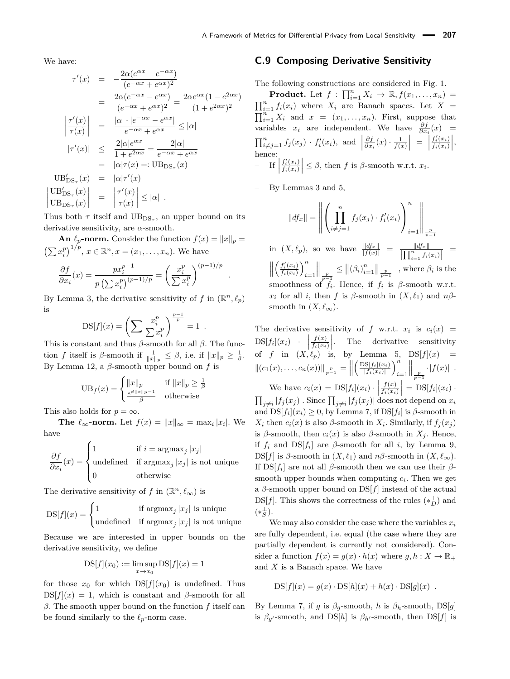We have:

$$
\tau'(x) = -\frac{2\alpha(e^{\alpha x} - e^{-\alpha x})}{(e^{-\alpha x} + e^{\alpha x})^2}
$$
\n
$$
= \frac{2\alpha(e^{-\alpha x} - e^{\alpha x})}{(e^{-\alpha x} + e^{\alpha x})^2} = \frac{2\alpha e^{\alpha x} (1 - e^{2\alpha x})}{(1 + e^{2\alpha x})^2}
$$
\n
$$
\left|\frac{\tau'(x)}{\tau(x)}\right| = \frac{|\alpha| \cdot |e^{-\alpha x} - e^{\alpha x}|}{e^{-\alpha x} + e^{\alpha x}} \leq |\alpha|
$$
\n
$$
|\tau'(x)| \leq \frac{2|\alpha|e^{\alpha x}}{1 + e^{2\alpha x}} = \frac{2|\alpha|}{e^{-\alpha x} + e^{\alpha x}}
$$
\n
$$
= |\alpha|\tau(x) =: \text{UB}_{\text{DS}_{\tau}}(x)
$$
\n
$$
\text{UB}_{\text{DS}_{\tau}}(x) = |\alpha|\tau'(x)
$$
\n
$$
\left|\frac{\text{UB}_{\text{DS}_{\tau}}(x)}{\text{UB}_{\text{DS}_{\tau}}(x)}\right| = \left|\frac{\tau'(x)}{\tau(x)}\right| \leq |\alpha|.
$$

Thus both  $\tau$  itself and  $UB_{DS_{\tau}}$ , an upper bound on its derivative sensitivity, are *α*-smooth.

**An**  $\ell_p$ **-norm.** Consider the function  $f(x) = ||x||_p =$  $\left(\sum x_i^p\right)^{1/p}, x \in \mathbb{R}^n, x = (x_1, \ldots, x_n).$  We have

$$
\frac{\partial f}{\partial x_i}(x) = \frac{px_i^{p-1}}{p\left(\sum x_i^p\right)^{(p-1)/p}} = \left(\frac{x_i^p}{\sum x_i^p}\right)^{(p-1)/p}
$$

By Lemma [3,](#page-5-1) the derivative sensitivity of f in  $(\mathbb{R}^n, \ell_p)$ is

$$
DS[f](x) = \left(\sum \frac{x_i^p}{\sum x_i^p}\right)^{\frac{p-1}{p}} = 1.
$$

This is constant and thus *β*-smooth for all *β*. The function *f* itself is *β*-smooth if  $\frac{1}{||x||_p} \leq \beta$ , i.e. if  $||x||_p \geq \frac{1}{\beta}$ . By Lemma [12,](#page-24-4) a *β*-smooth upper bound on *f* is

$$
UB_f(x) = \begin{cases} ||x||_p & \text{if } ||x||_p \ge \frac{1}{\beta} \\ \frac{e^{\beta ||x||_p - 1}}{\beta} & \text{otherwise} \end{cases}
$$

This also holds for  $p = \infty$ .

**The**  $\ell_{\infty}$ -norm. Let  $f(x) = ||x||_{\infty} = \max_i |x_i|$ . We have

$$
\frac{\partial f}{\partial x_i}(x) = \begin{cases} 1 & \text{if } i = \text{argmax}_j |x_j| \\ \text{undefined} & \text{if } \text{argmax}_j |x_j| \text{ is not unique} \\ 0 & \text{otherwise} \end{cases}
$$

The derivative sensitivity of *f* in  $(\mathbb{R}^n, \ell_\infty)$  is

$$
DS[f](x) = \begin{cases} 1 & \text{if } \operatorname{argmax}_j |x_j| \text{ is unique} \\ \text{undefined} & \text{if } \operatorname{argmax}_j |x_j| \text{ is not unique} \end{cases}
$$

Because we are interested in upper bounds on the derivative sensitivity, we define

$$
DS[f](x_0) := \limsup_{x \to x_0} DS[f](x) = 1
$$

for those  $x_0$  for which  $DS[f](x_0)$  is undefined. Thus  $DS[f](x) = 1$ , which is constant and *β*-smooth for all *β*. The smooth upper bound on the function *f* itself can be found similarly to the  $\ell_p$ -norm case.

#### <span id="page-32-0"></span>**C.9 Composing Derivative Sensitivity**

The following constructions are considered in Fig. [1.](#page-10-1)

**Product.** Let  $f: \prod_{i=1}^{n} X_i \rightarrow \mathbb{R}, f(x_1, \ldots, x_n) =$  $\prod_{i=1}^{n} f_i(x_i)$  where  $X_i$  are Banach spaces. Let  $X =$  $\prod_{i=1}^{n} X_i$  and  $x = (x_1, \ldots, x_n)$ . First, suppose that variables  $x_i$  are independent. We have  $\frac{\partial f}{\partial x_i}(x)$  =  $\prod_{i \neq j=1}^n f_j(x_j) \cdot f'_i(x_i)$ , and  $\Big|$  $\frac{\partial f}{\partial x_i}(x) \cdot \frac{1}{f(x)}$  =  $\Big|$  $f_i'(x_i)$  $\frac{f_i'(x_i)}{f_i(x_i)}\Bigg|,$ hence:  $-$  If  $\Big|$  $f_i'(x_i)$  $\left| \frac{f_i'(x_i)}{f_i(x_i)} \right| \leq \beta$ , then *f* is *β*-smooth w.r.t. *x<sub>i</sub>*.

– By Lemmas [3](#page-5-1) and [5,](#page-6-3)

*.*

$$
||df_x|| = \left\| \left( \prod_{i \neq j=1}^n f_j(x_j) \cdot f'_i(x_i) \right)_{i=1}^n \right\|_{\frac{p}{p-1}}
$$

 $\inf_{x \in \mathbb{R}^n} f(x, \ell_p)$ , so we have  $\frac{\|df_x\|}{\|f(x)\|} = \frac{\|df_x\|}{\| \prod_{i=1}^n f_i(x_i) \|} =$  $\left\| \left( \frac{f'_i(x_i)}{f_i(x_i)} \right)_{i=1}^n \right\|_{\frac{p}{p-1}} \leq \left\| (\beta_i)_{i=1}^n \right\|_{\frac{p}{p-1}}$ , where  $\beta_i$  is  $\int f_i'(x_i)$  $\frac{f_i'(x_i)}{f_i(x_i)}\bigg)_i^n$ *i*=1 *<sup>p</sup> p*−1  $\leq$   $\left\| \left( \beta_i \right)_{i=1}^n \right\|_{\frac{p}{p-1}}$ , where  $\beta_i$  is the smoothness of  $f_i$ . Hence, if  $f_i$  is  $\beta$ -smooth w.r.t.  $x_i$  for all *i*, then *f* is *β*-smooth in  $(X, \ell_1)$  and  $n\beta$ smooth in  $(X, \ell_\infty)$ .

The derivative sensitivity of  $f$  w.r.t.  $x_i$  is  $c_i(x)$  =  $DS[f_i](x_i)$  ·  $\left| \frac{f(x)}{f_i(x_i)} \right|$ of *f* in  $(X, \ell_p)$  is, by Lemma [5,](#page-6-3)  $DS[f](x) =$  $\left| \frac{f(x)}{f_i(x_i)} \right|$ . The derivative sensitivity  $||(c_1(x),...,c_n(x))||_{\frac{p}{p-1}} = ||$  $\int \frac{DS[f_i](x_i)}{g}$  $\frac{1}{|f_i(x_i)|}$ *i*=1 *<sup>p</sup> p*−1  $\cdot|f(x)|$ . We have  $c_i(x) = \text{DS}[f_i](x_i) \cdot$ *f*(*x*)  $\left| \frac{f(x)}{f_i(x_i)} \right| = \text{DS}[f_i](x_i)$ 

 $\prod_{j\neq i}|f_j(x_j)|$ . Since  $\prod_{j\neq i}|f_j(x_j)|$  does not depend on  $x_i$ and  $DS[f_i](x_i) \geq 0$ , by Lemma [7,](#page-7-1) if  $DS[f_i]$  is  $\beta$ -smooth in *X*<sup>*i*</sup> then *c*<sub>*i*</sub>(*x*) is also *β*-smooth in *X*<sup>*i*</sup>. Similarly, if  $f_j(x_j)$ is  $\beta$ -smooth, then  $c_i(x)$  is also  $\beta$ -smooth in  $X_i$ . Hence, if  $f_i$  and  $DS[f_i]$  are  $\beta$ -smooth for all *i*, by Lemma [9,](#page-7-3)  $DS[f]$  is  $\beta$ -smooth in  $(X, \ell_1)$  and  $n\beta$ -smooth in  $(X, \ell_\infty)$ . If  $DS[f_i]$  are not all *β*-smooth then we can use their *β*smooth upper bounds when computing  $c_i$ . Then we get a *β*-smooth upper bound on DS[*f*] instead of the actual DS[*f*]. This shows the correctness of the rules  $(*_D^{\perp})$  and  $(*_S^{\perp}).$ 

We may also consider the case where the variables  $x_i$ are fully dependent, i.e. equal (the case where they are partially dependent is currently not considered). Consider a function  $f(x) = g(x) \cdot h(x)$  where  $g, h: X \to \mathbb{R}_+$ and *X* is a Banach space. We have

$$
DS[f](x) = g(x) \cdot DS[h](x) + h(x) \cdot DS[g](x) .
$$

By Lemma [7,](#page-7-1) if *g* is  $\beta_q$ -smooth, *h* is  $\beta_h$ -smooth, DS[*g*] is  $\beta_{g'}$ -smooth, and DS[*h*] is  $\beta_{h'}$ -smooth, then DS[*f*] is